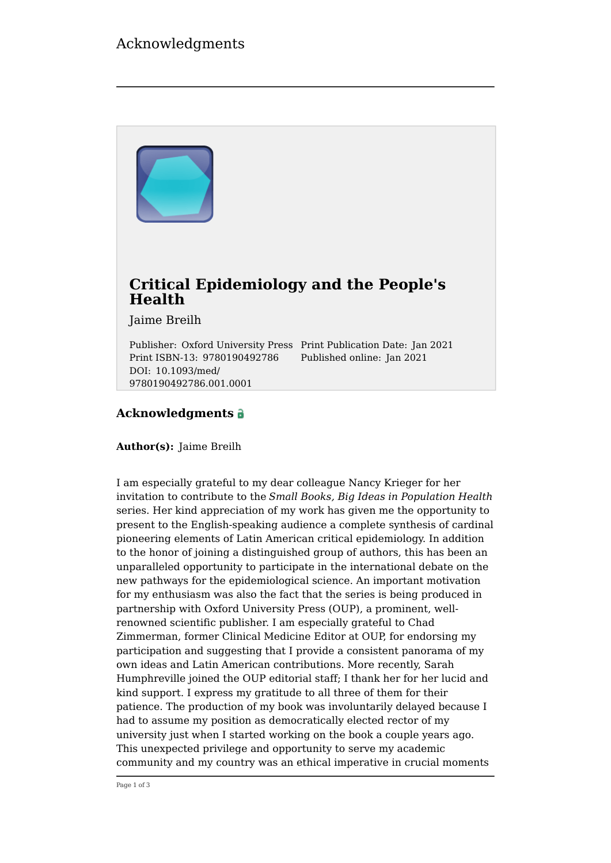# Acknowledgments



#### **Acknowledgments**

**Author(s):** Jaime Breilh

I am especially grateful to my dear colleague Nancy Krieger for her invitation to contribute to the *Small Books, Big Ideas in Population Health* series. Her kind appreciation of my work has given me the opportunity to present to the English-speaking audience a complete synthesis of cardinal pioneering elements of Latin American critical epidemiology. In addition to the honor of joining a distinguished group of authors, this has been an unparalleled opportunity to participate in the international debate on the new pathways for the epidemiological science. An important motivation for my enthusiasm was also the fact that the series is being produced in partnership with Oxford University Press (OUP), a prominent, wellrenowned scientific publisher. I am especially grateful to Chad Zimmerman, former Clinical Medicine Editor at OUP, for endorsing my participation and suggesting that I provide a consistent panorama of my own ideas and Latin American contributions. More recently, Sarah Humphreville joined the OUP editorial staff; I thank her for her lucid and kind support. I express my gratitude to all three of them for their patience. The production of my book was involuntarily delayed because I had to assume my position as democratically elected rector of my university just when I started working on the book a couple years ago. This unexpected privilege and opportunity to serve my academic community and my country was an ethical imperative in crucial moments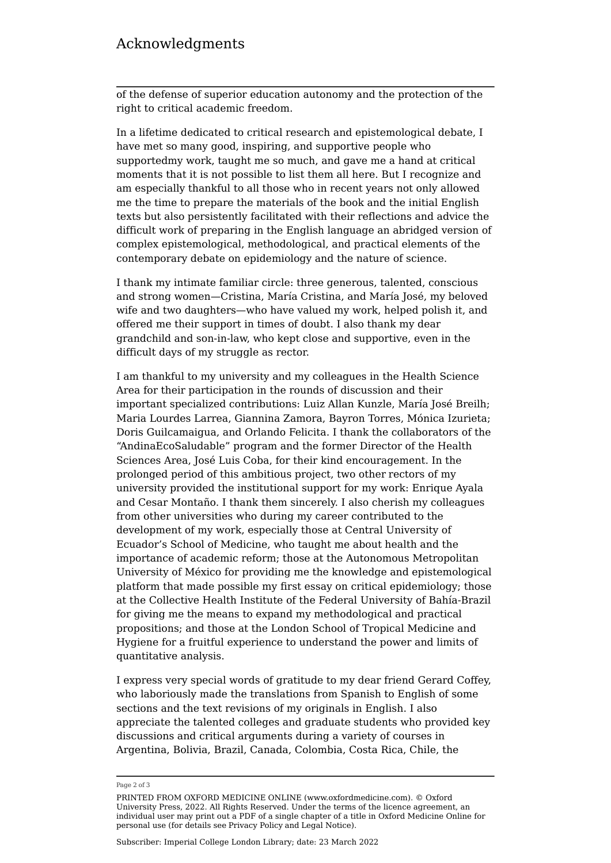### Acknowledgments

of the defense of superior education autonomy and the protection of the right to critical academic freedom.

In a lifetime dedicated to critical research and epistemological debate, I have met so many good, inspiring, and supportive people who supportedmy work, taught me so much, and gave me a hand at critical moments that it is not possible to list them all here. But I recognize and am especially thankful to all those who in recent years not only allowed me the time to prepare the materials of the book and the initial English texts but also persistently facilitated with their reflections and advice the difficult work of preparing in the English language an abridged version of complex epistemological, methodological, and practical elements of the contemporary debate on epidemiology and the nature of science.

I thank my intimate familiar circle: three generous, talented, conscious and strong women—Cristina, María Cristina, and María José, my beloved wife and two daughters—who have valued my work, helped polish it, and offered me their support in times of doubt. I also thank my dear grandchild and son-in-law, who kept close and supportive, even in the difficult days of my struggle as rector.

I am thankful to my university and my colleagues in the Health Science Area for their participation in the rounds of discussion and their important specialized contributions: Luiz Allan Kunzle, María José Breilh; Maria Lourdes Larrea, Giannina Zamora, Bayron Torres, Mónica Izurieta; Doris Guilcamaigua, and Orlando Felicita. I thank the collaborators of the "AndinaEcoSaludable" program and the former Director of the Health Sciences Area, José Luis Coba, for their kind encouragement. In the prolonged period of this ambitious project, two other rectors of my university provided the institutional support for my work: Enrique Ayala and Cesar Montaño. I thank them sincerely. I also cherish my colleagues from other universities who during my career contributed to the development of my work, especially those at Central University of Ecuador's School of Medicine, who taught me about health and the importance of academic reform; those at the Autonomous Metropolitan University of México for providing me the knowledge and epistemological platform that made possible my first essay on critical epidemiology; those at the Collective Health Institute of the Federal University of Bahía-Brazil for giving me the means to expand my methodological and practical propositions; and those at the London School of Tropical Medicine and Hygiene for a fruitful experience to understand the power and limits of quantitative analysis.

I express very special words of gratitude to my dear friend Gerard Coffey, who laboriously made the translations from Spanish to English of some sections and the text revisions of my originals in English. I also appreciate the talented colleges and graduate students who provided key discussions and critical arguments during a variety of courses in Argentina, Bolivia, Brazil, Canada, Colombia, Costa Rica, Chile, the

Page 2 of 3

PRINTED FROM OXFORD MEDICINE ONLINE (www.oxfordmedicine.com). © Oxford University Press, 2022. All Rights Reserved. Under the terms of the licence agreement, an individual user may print out a PDF of a single chapter of a title in Oxford Medicine Online for personal use (for details see [Privacy Policy](https://global.oup.com/privacy) and [Legal Notice](https://oxfordmedicine.com/page/legal-notice)).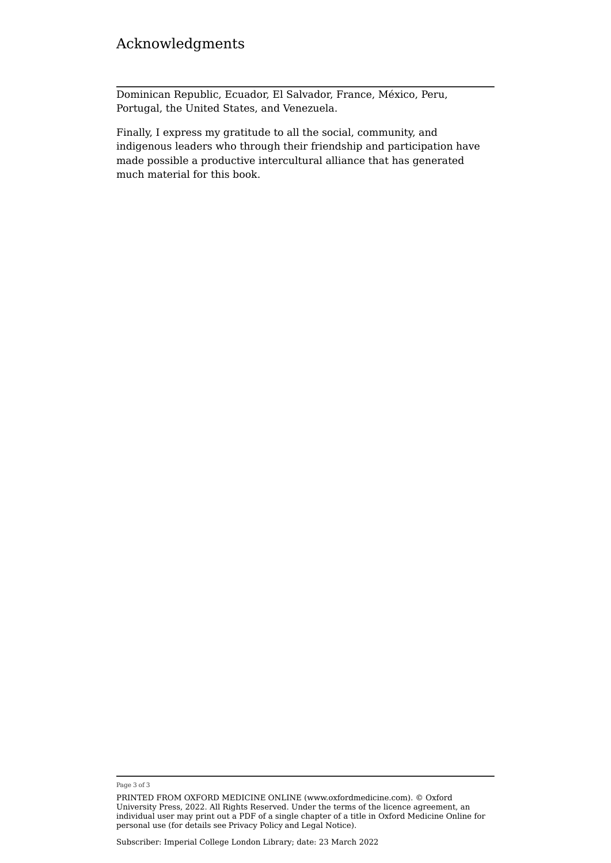# Acknowledgments

Dominican Republic, Ecuador, El Salvador, France, México, Peru, Portugal, the United States, and Venezuela.

Finally, I express my gratitude to all the social, community, and indigenous leaders who through their friendship and participation have made possible a productive intercultural alliance that has generated much material for this book.

Page 3 of 3

PRINTED FROM OXFORD MEDICINE ONLINE (www.oxfordmedicine.com). © Oxford University Press, 2022. All Rights Reserved. Under the terms of the licence agreement, an individual user may print out a PDF of a single chapter of a title in Oxford Medicine Online for personal use (for details see [Privacy Policy](https://global.oup.com/privacy) and [Legal Notice](https://oxfordmedicine.com/page/legal-notice)).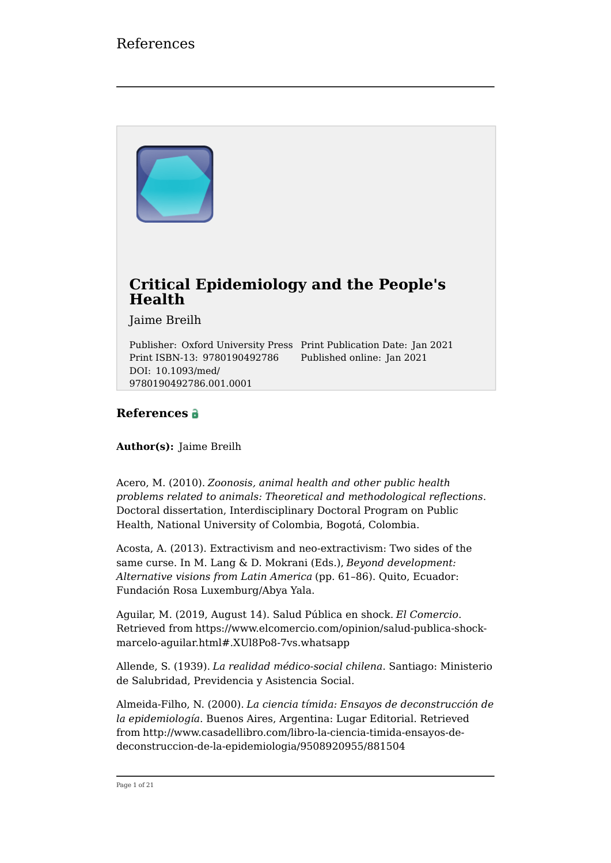

#### **References**

**Author(s):** Jaime Breilh

9780190492786.001.0001

Acero, M. (2010). *Zoonosis, animal health and other public health problems related to animals: Theoretical and methodological reflections*. Doctoral dissertation, Interdisciplinary Doctoral Program on Public Health, National University of Colombia, Bogotá, Colombia.

Acosta, A. (2013). Extractivism and neo-extractivism: Two sides of the same curse. In M. Lang & D. Mokrani (Eds.), *Beyond development: Alternative visions from Latin America* (pp. 61–86). Quito, Ecuador: Fundación Rosa Luxemburg/Abya Yala.

Aguilar, M. (2019, August 14). Salud Pública en shock. *El Comercio*. Retrieved from [https://www.elcomercio.com/opinion/salud-publica-shock](https://www.elcomercio.com/opinion/salud-publica-shock-marcelo-aguilar.html#.XUl8Po8-7vs.whatsapp)[marcelo-aguilar.html#.XUl8Po8-7vs.whatsapp](https://www.elcomercio.com/opinion/salud-publica-shock-marcelo-aguilar.html#.XUl8Po8-7vs.whatsapp)

Allende, S. (1939). *La realidad médico-social chilena*. Santiago: Ministerio de Salubridad, Previdencia y Asistencia Social.

Almeida-Filho, N. (2000). *La ciencia tímida: Ensayos de deconstrucción de la epidemiología*. Buenos Aires, Argentina: Lugar Editorial. Retrieved from [http://www.casadellibro.com/libro-la-ciencia-timida-ensayos-de](http://www.casadellibro.com/libro-la-ciencia-timida-ensayos-de-deconstruccion-de-la-epidemiologia/9508920955/881504)[deconstruccion-de-la-epidemiologia/9508920955/881504](http://www.casadellibro.com/libro-la-ciencia-timida-ensayos-de-deconstruccion-de-la-epidemiologia/9508920955/881504)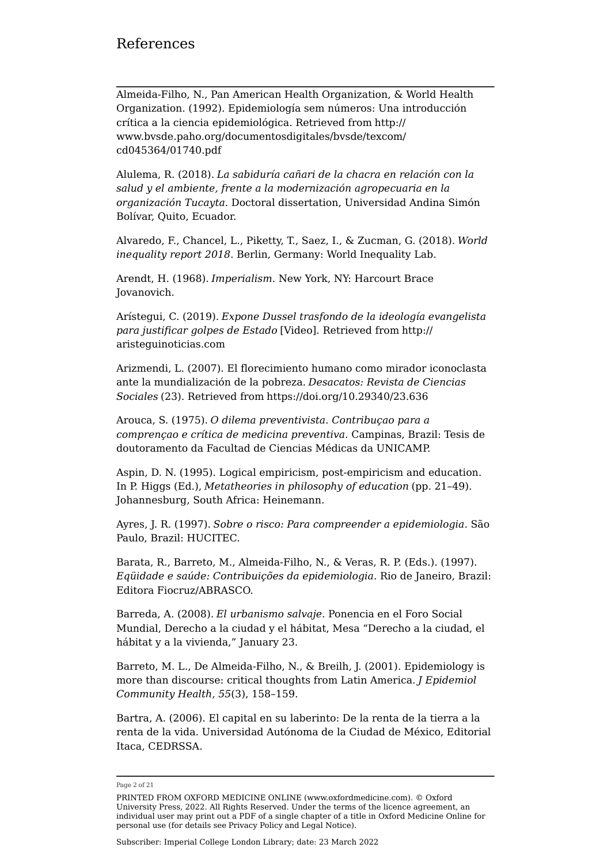Almeida-Filho, N., Pan American Health Organization, & World Health Organization. (1992). Epidemiología sem números: Una introducción crítica a la ciencia epidemiológica. Retrieved from [http://](http://www.bvsde.paho.org/documentosdigitales/bvsde/texcom/cd045364/01740.pdf) [www.bvsde.paho.org/documentosdigitales/bvsde/texcom/](http://www.bvsde.paho.org/documentosdigitales/bvsde/texcom/cd045364/01740.pdf) [cd045364/01740.pdf](http://www.bvsde.paho.org/documentosdigitales/bvsde/texcom/cd045364/01740.pdf)

Alulema, R. (2018). *La sabiduría cañari de la chacra en relación con la salud y el ambiente, frente a la modernización agropecuaria en la organización Tucayta*. Doctoral dissertation, Universidad Andina Simón Bolívar, Quito, Ecuador.

Alvaredo, F., Chancel, L., Piketty, T., Saez, I., & Zucman, G. (2018). *World inequality report 2018*. Berlin, Germany: World Inequality Lab.

Arendt, H. (1968). *Imperialism*. New York, NY: Harcourt Brace Jovanovich.

Arístegui, C. (2019). *Expone Dussel trasfondo de la ideología evangelista para justificar golpes de Estado* [Video]. Retrieved from [http://](http://aristeguinoticias.com) [aristeguinoticias.com](http://aristeguinoticias.com)

Arizmendi, L. (2007). El florecimiento humano como mirador iconoclasta ante la mundialización de la pobreza. *Desacatos: Revista de Ciencias Sociales* (23). Retrieved from <https://doi.org/10.29340/23.636>

Arouca, S. (1975). *O dilema preventivista. Contribuçao para a comprençao e crítica de medicina preventiva*. Campinas, Brazil: Tesis de doutoramento da Facultad de Ciencias Médicas da UNICAMP.

Aspin, D. N. (1995). Logical empiricism, post-empiricism and education. In P. Higgs (Ed.), *Metatheories in philosophy of education* (pp. 21–49). Johannesburg, South Africa: Heinemann.

Ayres, J. R. (1997). *Sobre o risco: Para compreender a epidemiologia*. São Paulo, Brazil: HUCITEC.

Barata, R., Barreto, M., Almeida-Filho, N., & Veras, R. P. (Eds.). (1997). *Eqüidade e saúde: Contribuições da epidemiologia*. Rio de Janeiro, Brazil: Editora Fiocruz/ABRASCO.

Barreda, A. (2008). *El urbanismo salvaje*. Ponencia en el Foro Social Mundial, Derecho a la ciudad y el hábitat, Mesa "Derecho a la ciudad, el hábitat y a la vivienda," January 23.

Barreto, M. L., De Almeida-Filho, N., & Breilh, J. (2001). Epidemiology is more than discourse: critical thoughts from Latin America. *J Epidemiol Community Health, 55*(3), 158–159.

Bartra, A. (2006). El capital en su laberinto: De la renta de la tierra a la renta de la vida. Universidad Autónoma de la Ciudad de México, Editorial Itaca, CEDRSSA.

Page 2 of 21

PRINTED FROM OXFORD MEDICINE ONLINE (www.oxfordmedicine.com). © Oxford University Press, 2022. All Rights Reserved. Under the terms of the licence agreement, an individual user may print out a PDF of a single chapter of a title in Oxford Medicine Online for personal use (for details see [Privacy Policy](https://global.oup.com/privacy) and [Legal Notice](https://oxfordmedicine.com/page/legal-notice)).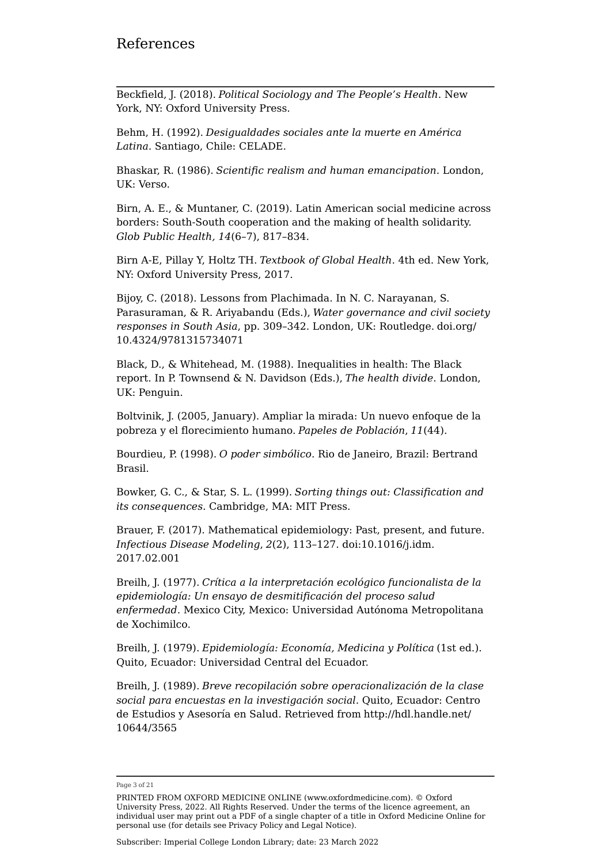Beckfield, J. (2018). *Political Sociology and The People's Health*. New York, NY: Oxford University Press.

Behm, H. (1992). *Desigualdades sociales ante la muerte en América Latina*. Santiago, Chile: CELADE.

Bhaskar, R. (1986). *Scientific realism and human emancipation*. London, UK: Verso.

Birn, A. E., & Muntaner, C. (2019). Latin American social medicine across borders: South-South cooperation and the making of health solidarity. *Glob Public Health, 14*(6–7), 817–834.

Birn A-E, Pillay Y, Holtz TH. *Textbook of Global Health*. 4th ed. New York, NY: Oxford University Press, 2017.

Bijoy, C. (2018). Lessons from Plachimada. In N. C. Narayanan, S. Parasuraman, & R. Ariyabandu (Eds.), *Water governance and civil society responses in South Asia*, pp. 309–342. London, UK: Routledge. [doi.org/](http://doi.org/10.4324/9781315734071) [10.4324/9781315734071](http://doi.org/10.4324/9781315734071)

Black, D., & Whitehead, M. (1988). Inequalities in health: The Black report. In P. Townsend & N. Davidson (Eds.), *The health divide*. London, UK: Penguin.

Boltvinik, J. (2005, January). Ampliar la mirada: Un nuevo enfoque de la pobreza y el florecimiento humano. *Papeles de Población*, *11*(44).

Bourdieu, P. (1998). *O poder simbólico*. Rio de Janeiro, Brazil: Bertrand Brasil.

Bowker, G. C., & Star, S. L. (1999). *Sorting things out: Classification and its consequences*. Cambridge, MA: MIT Press.

Brauer, F. (2017). Mathematical epidemiology: Past, present, and future. *Infectious Disease Modeling*, *2*(2), 113–127. doi:10.1016/j.idm. 2017.02.001

Breilh, J. (1977). *Crítica a la interpretación ecológico funcionalista de la epidemiología: Un ensayo de desmitificación del proceso salud enfermedad*. Mexico City, Mexico: Universidad Autónoma Metropolitana de Xochimilco.

Breilh, J. (1979). *Epidemiología: Economía, Medicina y Política* (1st ed.). Quito, Ecuador: Universidad Central del Ecuador.

Breilh, J. (1989). *Breve recopilación sobre operacionalización de la clase social para encuestas en la investigación social*. Quito, Ecuador: Centro de Estudios y Asesoría en Salud. Retrieved from [http://hdl.handle.net/](http://hdl.handle.net/10644/3565) [10644/3565](http://hdl.handle.net/10644/3565)

Page 3 of 21

PRINTED FROM OXFORD MEDICINE ONLINE (www.oxfordmedicine.com). © Oxford University Press, 2022. All Rights Reserved. Under the terms of the licence agreement, an individual user may print out a PDF of a single chapter of a title in Oxford Medicine Online for personal use (for details see [Privacy Policy](https://global.oup.com/privacy) and [Legal Notice](https://oxfordmedicine.com/page/legal-notice)).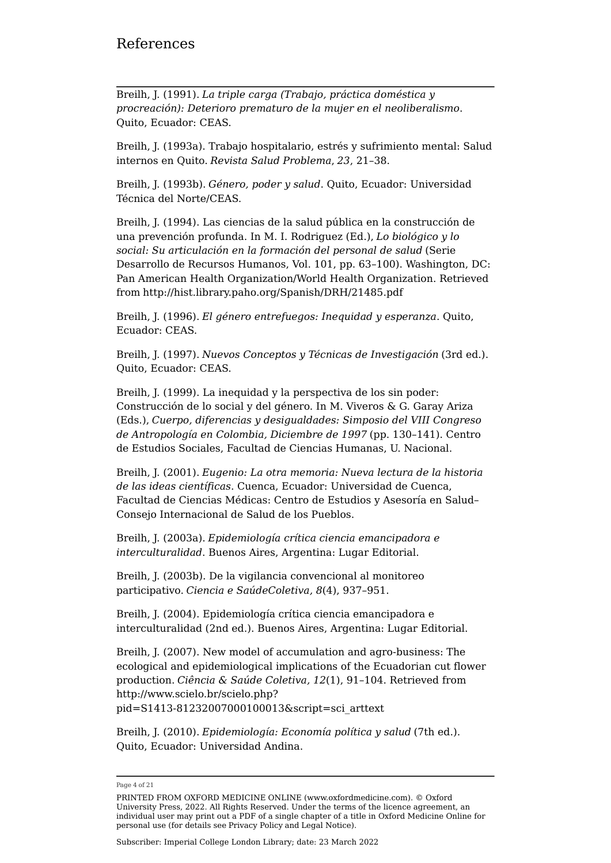Breilh, J. (1991). *La triple carga (Trabajo, práctica doméstica y procreación): Deterioro prematuro de la mujer en el neoliberalismo*. Quito, Ecuador: CEAS.

Breilh, J. (1993a). Trabajo hospitalario, estrés y sufrimiento mental: Salud internos en Quito. *Revista Salud Problema*, *23*, 21–38.

Breilh, J. (1993b). *Género, poder y salud*. Quito, Ecuador: Universidad Técnica del Norte/CEAS.

Breilh, J. (1994). Las ciencias de la salud pública en la construcción de una prevención profunda. In M. I. Rodriguez (Ed.), *Lo biológico y lo social: Su articulación en la formación del personal de salud* (Serie Desarrollo de Recursos Humanos, Vol. 101, pp. 63–100). Washington, DC: Pan American Health Organization/World Health Organization. Retrieved from <http://hist.library.paho.org/Spanish/DRH/21485.pdf>

Breilh, J. (1996). *El género entrefuegos: Inequidad y esperanza*. Quito, Ecuador: CEAS.

Breilh, J. (1997). *Nuevos Conceptos y Técnicas de Investigación* (3rd ed.). Quito, Ecuador: CEAS.

Breilh, J. (1999). La inequidad y la perspectiva de los sin poder: Construcción de lo social y del género. In M. Viveros & G. Garay Ariza (Eds.), *Cuerpo, diferencias y desigualdades: Simposio del VIII Congreso de Antropología en Colombia, Diciembre de 1997* (pp. 130–141). Centro de Estudios Sociales, Facultad de Ciencias Humanas, U. Nacional.

Breilh, J. (2001). *Eugenio: La otra memoria: Nueva lectura de la historia de las ideas científicas*. Cuenca, Ecuador: Universidad de Cuenca, Facultad de Ciencias Médicas: Centro de Estudios y Asesoría en Salud– Consejo Internacional de Salud de los Pueblos.

Breilh, J. (2003a). *Epidemiología crítica ciencia emancipadora e interculturalidad*. Buenos Aires, Argentina: Lugar Editorial.

Breilh, J. (2003b). De la vigilancia convencional al monitoreo participativo. *Ciencia e SaúdeColetiva, 8*(4), 937–951.

Breilh, J. (2004). Epidemiología crítica ciencia emancipadora e interculturalidad (2nd ed.). Buenos Aires, Argentina: Lugar Editorial.

Breilh, J. (2007). New model of accumulation and agro-business: The ecological and epidemiological implications of the Ecuadorian cut flower production. *Ciência & Saúde Coletiva, 12*(1), 91–104. Retrieved from [http://www.scielo.br/scielo.php?](http://www.scielo.br/scielo.php?pid=S1413-81232007000100013&script=sci_arttext) [pid=S1413-81232007000100013&script=sci\\_arttext](http://www.scielo.br/scielo.php?pid=S1413-81232007000100013&script=sci_arttext)

Breilh, J. (2010). *Epidemiología: Economía política y salud* (7th ed.). Quito, Ecuador: Universidad Andina.

Page 4 of 21

PRINTED FROM OXFORD MEDICINE ONLINE (www.oxfordmedicine.com). © Oxford University Press, 2022. All Rights Reserved. Under the terms of the licence agreement, an individual user may print out a PDF of a single chapter of a title in Oxford Medicine Online for personal use (for details see [Privacy Policy](https://global.oup.com/privacy) and [Legal Notice](https://oxfordmedicine.com/page/legal-notice)).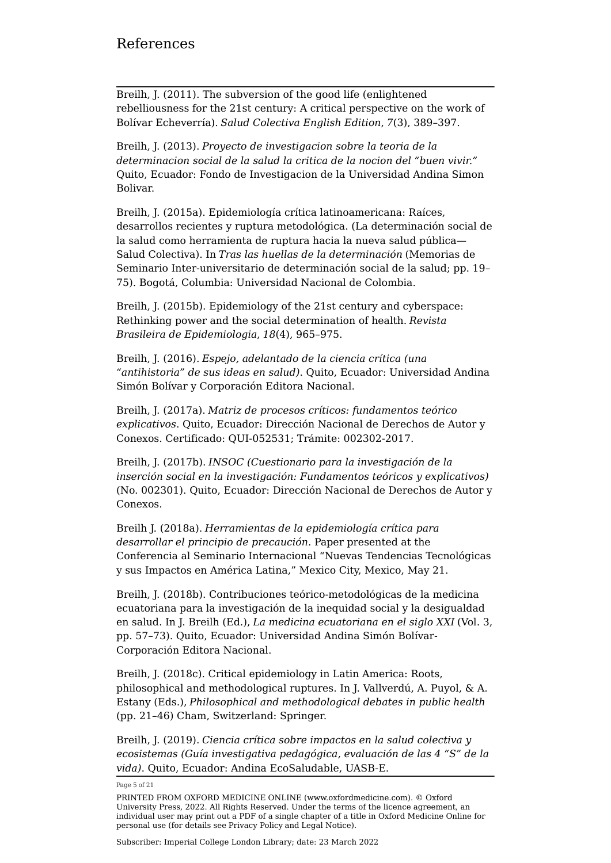### References

Breilh, J. (2011). The subversion of the good life (enlightened rebelliousness for the 21st century: A critical perspective on the work of Bolívar Echeverría). *Salud Colectiva English Edition*, *7*(3), 389–397.

Breilh, J. (2013). *Proyecto de investigacion sobre la teoria de la determinacion social de la salud la critica de la nocion del "buen vivir."* Quito, Ecuador: Fondo de Investigacion de la Universidad Andina Simon Bolivar.

Breilh, J. (2015a). Epidemiología crítica latinoamericana: Raíces, desarrollos recientes y ruptura metodológica. (La determinación social de la salud como herramienta de ruptura hacia la nueva salud pública— Salud Colectiva). In *Tras las huellas de la determinación* (Memorias de Seminario Inter-universitario de determinación social de la salud; pp. 19– 75). Bogotá, Columbia: Universidad Nacional de Colombia.

Breilh, J. (2015b). Epidemiology of the 21st century and cyberspace: Rethinking power and the social determination of health. *Revista Brasileira de Epidemiologia*, *18*(4), 965–975.

Breilh, J. (2016). *Espejo, adelantado de la ciencia crítica (una "antihistoria" de sus ideas en salud)*. Quito, Ecuador: Universidad Andina Simón Bolívar y Corporación Editora Nacional.

Breilh, J. (2017a). *Matriz de procesos críticos: fundamentos teórico explicativos*. Quito, Ecuador: Dirección Nacional de Derechos de Autor y Conexos. Certificado: QUI-052531; Trámite: 002302-2017.

Breilh, J. (2017b). *INSOC (Cuestionario para la investigación de la inserción social en la investigación: Fundamentos teóricos y explicativos)* (No. 002301). Quito, Ecuador: Dirección Nacional de Derechos de Autor y Conexos.

Breilh J. (2018a). *Herramientas de la epidemiología crítica para desarrollar el principio de precaución*. Paper presented at the Conferencia al Seminario Internacional "Nuevas Tendencias Tecnológicas y sus Impactos en América Latina," Mexico City, Mexico, May 21.

Breilh, J. (2018b). Contribuciones teórico-metodológicas de la medicina ecuatoriana para la investigación de la inequidad social y la desigualdad en salud. In J. Breilh (Ed.), *La medicina ecuatoriana en el siglo XXI* (Vol. 3, pp. 57–73). Quito, Ecuador: Universidad Andina Simón Bolívar-Corporación Editora Nacional.

Breilh, J. (2018c). Critical epidemiology in Latin America: Roots, philosophical and methodological ruptures. In J. Vallverdú, A. Puyol, & A. Estany (Eds.), *Philosophical and methodological debates in public health* (pp. 21–46) Cham, Switzerland: Springer.

Breilh, J. (2019). *Ciencia crítica sobre impactos en la salud colectiva y ecosistemas (Guía investigativa pedagógica, evaluación de las 4 "S" de la vida)*. Quito, Ecuador: Andina EcoSaludable, UASB-E.

Page 5 of 21

PRINTED FROM OXFORD MEDICINE ONLINE (www.oxfordmedicine.com). © Oxford University Press, 2022. All Rights Reserved. Under the terms of the licence agreement, an individual user may print out a PDF of a single chapter of a title in Oxford Medicine Online for personal use (for details see [Privacy Policy](https://global.oup.com/privacy) and [Legal Notice](https://oxfordmedicine.com/page/legal-notice)).

Subscriber: Imperial College London Library; date: 23 March 2022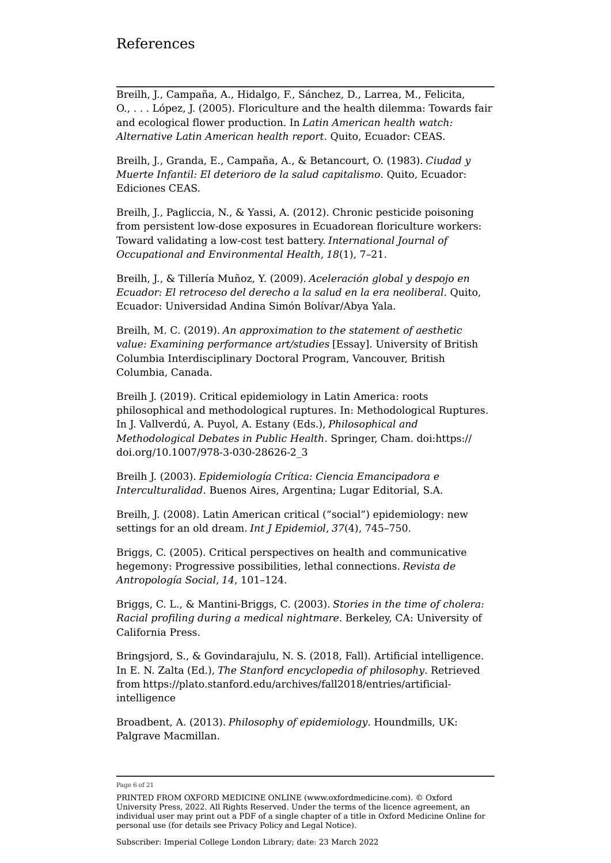Breilh, J., Campaña, A., Hidalgo, F., Sánchez, D., Larrea, M., Felicita, O., . . . López, J. (2005). Floriculture and the health dilemma: Towards fair and ecological flower production. In *Latin American health watch: Alternative Latin American health report*. Quito, Ecuador: CEAS.

Breilh, J., Granda, E., Campaña, A., & Betancourt, O. (1983). *Ciudad y Muerte Infantil: El deterioro de la salud capitalismo*. Quito, Ecuador: Ediciones CEAS.

Breilh, J., Pagliccia, N., & Yassi, A. (2012). Chronic pesticide poisoning from persistent low-dose exposures in Ecuadorean floriculture workers: Toward validating a low-cost test battery. *International Journal of Occupational and Environmental Health*, *18*(1), 7–21.

Breilh, J., & Tillería Muñoz, Y. (2009). *Aceleración global y despojo en Ecuador: El retroceso del derecho a la salud en la era neoliberal*. Quito, Ecuador: Universidad Andina Simón Bolívar/Abya Yala.

Breilh, M. C. (2019). *An approximation to the statement of aesthetic value: Examining performance art/studies* [Essay]. University of British Columbia Interdisciplinary Doctoral Program, Vancouver, British Columbia, Canada.

Breilh J. (2019). Critical epidemiology in Latin America: roots philosophical and methodological ruptures. In: Methodological Ruptures. In J. Vallverdú, A. Puyol, A. Estany (Eds.), *Philosophical and Methodological Debates in Public Health*. Springer, Cham. doi:[https://](https://doi.org/10.1007/978-3-030-28626-2_3) [doi.org/10.1007/978-3-030-28626-2\\_3](https://doi.org/10.1007/978-3-030-28626-2_3)

Breilh J. (2003). *Epidemiología Crítica: Ciencia Emancipadora e Interculturalidad*. Buenos Aires, Argentina; Lugar Editorial, S.A.

Breilh, J. (2008). Latin American critical ("social") epidemiology: new settings for an old dream. *Int J Epidemiol*, *37*(4), 745–750.

Briggs, C. (2005). Critical perspectives on health and communicative hegemony: Progressive possibilities, lethal connections. *Revista de Antropología Social*, *14*, 101–124.

Briggs, C. L., & Mantini-Briggs, C. (2003). *Stories in the time of cholera: Racial profiling during a medical nightmare*. Berkeley, CA: University of California Press.

Bringsjord, S., & Govindarajulu, N. S. (2018, Fall). Artificial intelligence. In E. N. Zalta (Ed.), *The Stanford encyclopedia of philosophy*. Retrieved from [https://plato.stanford.edu/archives/fall2018/entries/artificial](https://plato.stanford.edu/archives/fall2018/entries/artificial-intelligence)[intelligence](https://plato.stanford.edu/archives/fall2018/entries/artificial-intelligence)

Broadbent, A. (2013). *Philosophy of epidemiology*. Houndmills, UK: Palgrave Macmillan.

Page 6 of 21

PRINTED FROM OXFORD MEDICINE ONLINE (www.oxfordmedicine.com). © Oxford University Press, 2022. All Rights Reserved. Under the terms of the licence agreement, an individual user may print out a PDF of a single chapter of a title in Oxford Medicine Online for personal use (for details see [Privacy Policy](https://global.oup.com/privacy) and [Legal Notice](https://oxfordmedicine.com/page/legal-notice)).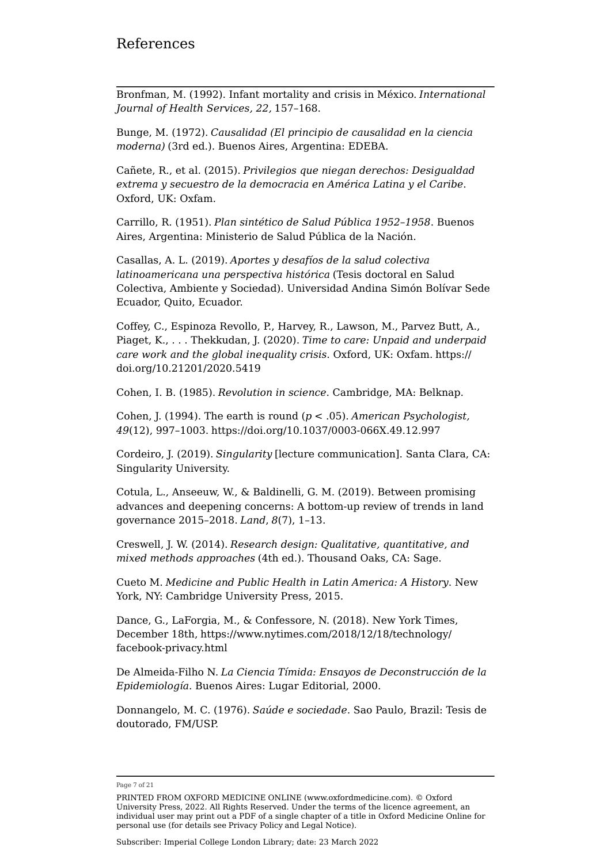Bronfman, M. (1992). Infant mortality and crisis in México. *International Journal of Health Services, 22,* 157–168.

Bunge, M. (1972). *Causalidad (El principio de causalidad en la ciencia moderna)* (3rd ed.). Buenos Aires, Argentina: EDEBA.

Cañete, R., et al. (2015). *Privilegios que niegan derechos: Desigualdad extrema y secuestro de la democracia en América Latina y el Caribe*. Oxford, UK: Oxfam.

Carrillo, R. (1951). *Plan sintético de Salud Pública 1952–1958*. Buenos Aires, Argentina: Ministerio de Salud Pública de la Nación.

Casallas, A. L. (2019). *Aportes y desafíos de la salud colectiva latinoamericana una perspectiva histórica* (Tesis doctoral en Salud Colectiva, Ambiente y Sociedad). Universidad Andina Simón Bolívar Sede Ecuador, Quito, Ecuador.

Coffey, C., Espinoza Revollo, P., Harvey, R., Lawson, M., Parvez Butt, A., Piaget, K., . . . Thekkudan, J. (2020). *Time to care: Unpaid and underpaid care work and the global inequality crisis*. Oxford, UK: Oxfam. [https://](https://doi.org/10.21201/2020.5419) [doi.org/10.21201/2020.5419](https://doi.org/10.21201/2020.5419)

Cohen, I. B. (1985). *Revolution in science*. Cambridge, MA: Belknap.

Cohen, J. (1994). The earth is round (*p* < .05). *American Psychologist, 49*(12), 997–1003. <https://doi.org/10.1037/0003-066X.49.12.997>

Cordeiro, J. (2019). *Singularity* [lecture communication]. Santa Clara, CA: Singularity University.

Cotula, L., Anseeuw, W., & Baldinelli, G. M. (2019). Between promising advances and deepening concerns: A bottom-up review of trends in land governance 2015–2018. *Land*, *8*(7), 1–13.

Creswell, J. W. (2014). *Research design: Qualitative, quantitative, and mixed methods approaches* (4th ed.). Thousand Oaks, CA: Sage.

Cueto M. *Medicine and Public Health in Latin America: A History*. New York, NY: Cambridge University Press, 2015.

Dance, G., LaForgia, M., & Confessore, N. (2018). New York Times, December 18th, [https://www.nytimes.com/2018/12/18/technology/](https://www.nytimes.com/2018/12/18/technology/facebook-privacy.html) [facebook-privacy.html](https://www.nytimes.com/2018/12/18/technology/facebook-privacy.html)

De Almeida-Filho N. *La Ciencia Tímida: Ensayos de Deconstrucción de la Epidemiología*. Buenos Aires: Lugar Editorial, 2000.

Donnangelo, M. C. (1976). *Saúde e sociedade*. Sao Paulo, Brazil: Tesis de doutorado, FM/USP.

Page 7 of 21

PRINTED FROM OXFORD MEDICINE ONLINE (www.oxfordmedicine.com). © Oxford University Press, 2022. All Rights Reserved. Under the terms of the licence agreement, an individual user may print out a PDF of a single chapter of a title in Oxford Medicine Online for personal use (for details see [Privacy Policy](https://global.oup.com/privacy) and [Legal Notice](https://oxfordmedicine.com/page/legal-notice)).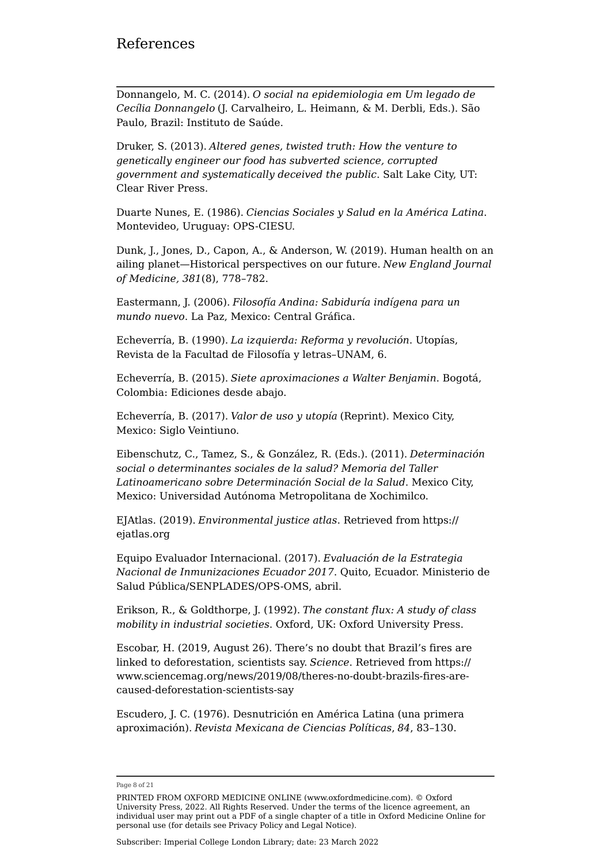Donnangelo, M. C. (2014). *O social na epidemiologia em Um legado de Cecília Donnangelo* (J. Carvalheiro, L. Heimann, & M. Derbli, Eds.). São Paulo, Brazil: Instituto de Saúde.

Druker, S. (2013). *Altered genes, twisted truth: How the venture to genetically engineer our food has subverted science, corrupted government and systematically deceived the public*. Salt Lake City, UT: Clear River Press.

Duarte Nunes, E. (1986). *Ciencias Sociales y Salud en la América Latina*. Montevideo, Uruguay: OPS-CIESU.

Dunk, J., Jones, D., Capon, A., & Anderson, W. (2019). Human health on an ailing planet—Historical perspectives on our future. *New England Journal of Medicine, 381*(8), 778–782.

Eastermann, J. (2006). *Filosofía Andina: Sabiduría indígena para un mundo nuevo*. La Paz, Mexico: Central Gráfica.

Echeverría, B. (1990). *La izquierda: Reforma y revolución*. Utopías, Revista de la Facultad de Filosofía y letras–UNAM, 6.

Echeverría, B. (2015). *Siete aproximaciones a Walter Benjamin*. Bogotá, Colombia: Ediciones desde abajo.

Echeverría, B. (2017). *Valor de uso y utopía* (Reprint). Mexico City, Mexico: Siglo Veintiuno.

Eibenschutz, C., Tamez, S., & González, R. (Eds.). (2011). *Determinación social o determinantes sociales de la salud? Memoria del Taller Latinoamericano sobre Determinación Social de la Salud*. Mexico City, Mexico: Universidad Autónoma Metropolitana de Xochimilco.

EJAtlas. (2019). *Environmental justice atlas*. Retrieved from [https://](https://ejatlas.org) [ejatlas.org](https://ejatlas.org)

Equipo Evaluador Internacional. (2017). *Evaluación de la Estrategia Nacional de Inmunizaciones Ecuador 2017*. Quito, Ecuador. Ministerio de Salud Pública/SENPLADES/OPS-OMS, abril.

Erikson, R., & Goldthorpe, J. (1992). *The constant flux: A study of class mobility in industrial societies*. Oxford, UK: Oxford University Press.

Escobar, H. (2019, August 26). There's no doubt that Brazil's fires are linked to deforestation, scientists say. *Science*. Retrieved from [https://](https://www.sciencemag.org/news/2019/08/theres-no-doubt-brazils-fires-are-caused-deforestation-scientists-say) [www.sciencemag.org/news/2019/08/theres-no-doubt-brazils-fires-are](https://www.sciencemag.org/news/2019/08/theres-no-doubt-brazils-fires-are-caused-deforestation-scientists-say)[caused-deforestation-scientists-say](https://www.sciencemag.org/news/2019/08/theres-no-doubt-brazils-fires-are-caused-deforestation-scientists-say)

Escudero, J. C. (1976). Desnutrición en América Latina (una primera aproximación). *Revista Mexicana de Ciencias Políticas*, *84*, 83–130.

Page 8 of 21

PRINTED FROM OXFORD MEDICINE ONLINE (www.oxfordmedicine.com). © Oxford University Press, 2022. All Rights Reserved. Under the terms of the licence agreement, an individual user may print out a PDF of a single chapter of a title in Oxford Medicine Online for personal use (for details see [Privacy Policy](https://global.oup.com/privacy) and [Legal Notice](https://oxfordmedicine.com/page/legal-notice)).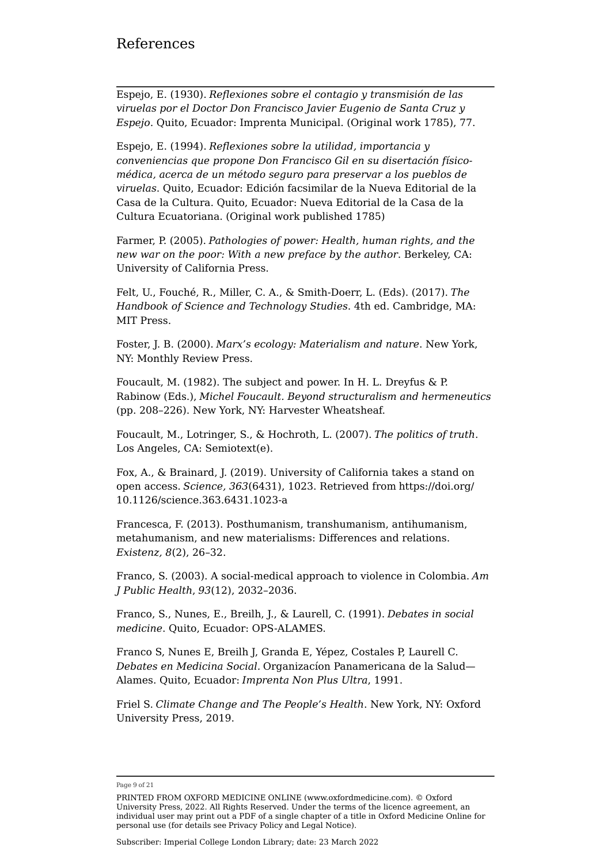Espejo, E. (1930). *Reflexiones sobre el contagio y transmisión de las viruelas por el Doctor Don Francisco Javier Eugenio de Santa Cruz y Espejo*. Quito, Ecuador: Imprenta Municipal. (Original work 1785), 77.

Espejo, E. (1994). *Reflexiones sobre la utilidad, importancia y conveniencias que propone Don Francisco Gil en su disertación físicomédica, acerca de un método seguro para preservar a los pueblos de viruelas*. Quito, Ecuador: Edición facsimilar de la Nueva Editorial de la Casa de la Cultura. Quito, Ecuador: Nueva Editorial de la Casa de la Cultura Ecuatoriana. (Original work published 1785)

Farmer, P. (2005). *Pathologies of power: Health, human rights, and the new war on the poor: With a new preface by the author*. Berkeley, CA: University of California Press.

Felt, U., Fouché, R., Miller, C. A., & Smith-Doerr, L. (Eds). (2017). *The Handbook of Science and Technology Studies*. 4th ed. Cambridge, MA: MIT Press.

Foster, J. B. (2000). *Marx's ecology: Materialism and nature*. New York, NY: Monthly Review Press.

Foucault, M. (1982). The subject and power. In H. L. Dreyfus & P. Rabinow (Eds.), *Michel Foucault. Beyond structuralism and hermeneutics* (pp. 208–226). New York, NY: Harvester Wheatsheaf.

Foucault, M., Lotringer, S., & Hochroth, L. (2007). *The politics of truth*. Los Angeles, CA: Semiotext(e).

Fox, A., & Brainard, J. (2019). University of California takes a stand on open access. *Science, 363*(6431), 1023. Retrieved from [https://doi.org/](https://doi.org/10.1126/science.363.6431.1023-a) [10.1126/science.363.6431.1023-a](https://doi.org/10.1126/science.363.6431.1023-a)

Francesca, F. (2013). Posthumanism, transhumanism, antihumanism, metahumanism, and new materialisms: Differences and relations. *Existenz, 8*(2), 26–32.

Franco, S. (2003). A social-medical approach to violence in Colombia. *Am J Public Health*, *93*(12), 2032–2036.

Franco, S., Nunes, E., Breilh, J., & Laurell, C. (1991). *Debates in social medicine*. Quito, Ecuador: OPS-ALAMES.

Franco S, Nunes E, Breilh J, Granda E, Yépez, Costales P, Laurell C. *Debates en Medicina Social.* Organizacíon Panamericana de la Salud— Alames. Quito, Ecuador: *Imprenta Non Plus Ultra*, 1991.

Friel S. *Climate Change and The People's Health*. New York, NY: Oxford University Press, 2019.

Page 9 of 21

PRINTED FROM OXFORD MEDICINE ONLINE (www.oxfordmedicine.com). © Oxford University Press, 2022. All Rights Reserved. Under the terms of the licence agreement, an individual user may print out a PDF of a single chapter of a title in Oxford Medicine Online for personal use (for details see [Privacy Policy](https://global.oup.com/privacy) and [Legal Notice](https://oxfordmedicine.com/page/legal-notice)).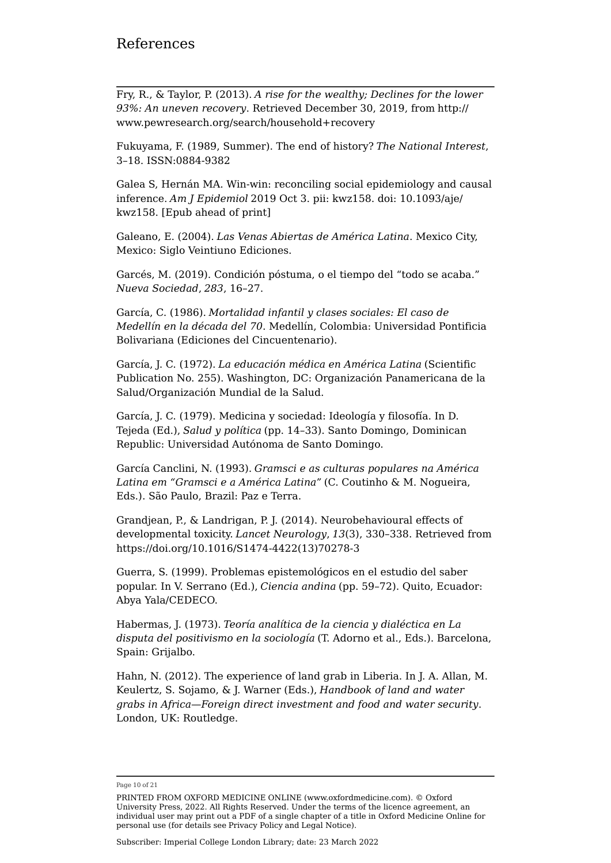Fry, R., & Taylor, P. (2013). *A rise for the wealthy; Declines for the lower 93%: An uneven recovery*. Retrieved December 30, 2019, from [http://](http://www.pewresearch.org/search/household+recovery) [www.pewresearch.org/search/household+recovery](http://www.pewresearch.org/search/household+recovery)

Fukuyama, F. (1989, Summer). The end of history? *The National Interest*, 3–18. ISSN:0884-9382

Galea S, Hernán MA. Win-win: reconciling social epidemiology and causal inference. *Am J Epidemiol* 2019 Oct 3. pii: kwz158. doi: 10.1093/aje/ kwz158. [Epub ahead of print]

Galeano, E. (2004). *Las Venas Abiertas de América Latina*. Mexico City, Mexico: Siglo Veintiuno Ediciones.

Garcés, M. (2019). Condición póstuma, o el tiempo del "todo se acaba." *Nueva Sociedad*, *283*, 16–27.

García, C. (1986). *Mortalidad infantil y clases sociales: El caso de Medellín en la década del 70*. Medellín, Colombia: Universidad Pontificia Bolivariana (Ediciones del Cincuentenario).

García, J. C. (1972). *La educación médica en América Latina* (Scientific Publication No. 255). Washington, DC: Organización Panamericana de la Salud/Organización Mundial de la Salud.

García, J. C. (1979). Medicina y sociedad: Ideología y filosofía. In D. Tejeda (Ed.), *Salud y política* (pp. 14–33). Santo Domingo, Dominican Republic: Universidad Autónoma de Santo Domingo.

García Canclini, N. (1993). *Gramsci e as culturas populares na América Latina em "Gramsci e a América Latina"* (C. Coutinho & M. Nogueira, Eds.). São Paulo, Brazil: Paz e Terra.

Grandjean, P., & Landrigan, P. J. (2014). Neurobehavioural effects of developmental toxicity. *Lancet Neurology*, *13*(3), 330–338. Retrieved from [https://doi.org/10.1016/S1474-4422\(13\)70278-3](https://doi.org/10.1016/S1474-4422(13)70278-3)

Guerra, S. (1999). Problemas epistemológicos en el estudio del saber popular. In V. Serrano (Ed.), *Ciencia andina* (pp. 59–72). Quito, Ecuador: Abya Yala/CEDECO.

Habermas, J. (1973). *Teoría analítica de la ciencia y dialéctica en La disputa del positivismo en la sociología* (T. Adorno et al., Eds.). Barcelona, Spain: Grijalbo.

Hahn, N. (2012). The experience of land grab in Liberia. In J. A. Allan, M. Keulertz, S. Sojamo, & J. Warner (Eds.), *Handbook of land and water grabs in Africa—Foreign direct investment and food and water security*. London, UK: Routledge.

Page 10 of 21

PRINTED FROM OXFORD MEDICINE ONLINE (www.oxfordmedicine.com). © Oxford University Press, 2022. All Rights Reserved. Under the terms of the licence agreement, an individual user may print out a PDF of a single chapter of a title in Oxford Medicine Online for personal use (for details see [Privacy Policy](https://global.oup.com/privacy) and [Legal Notice](https://oxfordmedicine.com/page/legal-notice)).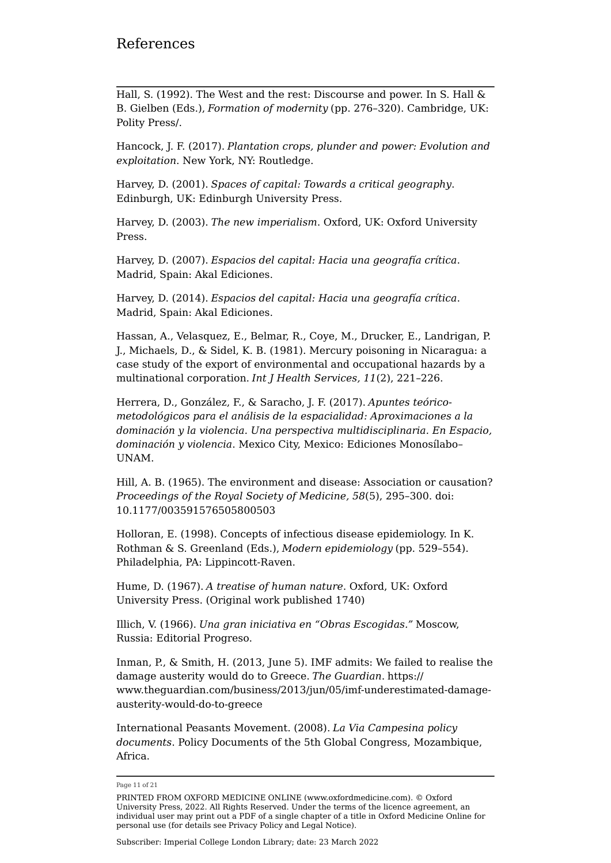Hall, S. (1992). The West and the rest: Discourse and power. In S. Hall & B. Gielben (Eds.), *Formation of modernity* (pp. 276–320). Cambridge, UK: Polity Press/.

Hancock, J. F. (2017). *Plantation crops, plunder and power: Evolution and exploitation*. New York, NY: Routledge.

Harvey, D. (2001). *Spaces of capital: Towards a critical geography*. Edinburgh, UK: Edinburgh University Press.

Harvey, D. (2003). *The new imperialism*. Oxford, UK: Oxford University Press.

Harvey, D. (2007). *Espacios del capital: Hacia una geografía crítica*. Madrid, Spain: Akal Ediciones.

Harvey, D. (2014). *Espacios del capital: Hacia una geografía crítica*. Madrid, Spain: Akal Ediciones.

Hassan, A., Velasquez, E., Belmar, R., Coye, M., Drucker, E., Landrigan, P. J., Michaels, D., & Sidel, K. B. (1981). Mercury poisoning in Nicaragua: a case study of the export of environmental and occupational hazards by a multinational corporation. *Int J Health Services, 11*(2), 221–226.

Herrera, D., González, F., & Saracho, J. F. (2017). *Apuntes teóricometodológicos para el análisis de la espacialidad: Aproximaciones a la dominación y la violencia. Una perspectiva multidisciplinaria. En Espacio, dominación y violencia*. Mexico City, Mexico: Ediciones Monosílabo– UNAM.

Hill, A. B. (1965). The environment and disease: Association or causation? *Proceedings of the Royal Society of Medicine, 58*(5), 295–300. doi: 10.1177/003591576505800503

Holloran, E. (1998). Concepts of infectious disease epidemiology. In K. Rothman & S. Greenland (Eds.), *Modern epidemiology* (pp. 529–554). Philadelphia, PA: Lippincott-Raven.

Hume, D. (1967). *A treatise of human nature*. Oxford, UK: Oxford University Press. (Original work published 1740)

Illich, V. (1966). *Una gran iniciativa en "Obras Escogidas."* Moscow, Russia: Editorial Progreso.

Inman, P., & Smith, H. (2013, June 5). IMF admits: We failed to realise the damage austerity would do to Greece. *The Guardian*. [https://](https://www.theguardian.com/business/2013/jun/05/imf-underestimated-damage-austerity-would-do-to-greece) [www.theguardian.com/business/2013/jun/05/imf-underestimated-damage](https://www.theguardian.com/business/2013/jun/05/imf-underestimated-damage-austerity-would-do-to-greece)[austerity-would-do-to-greece](https://www.theguardian.com/business/2013/jun/05/imf-underestimated-damage-austerity-would-do-to-greece)

International Peasants Movement. (2008). *La Via Campesina policy documents*. Policy Documents of the 5th Global Congress, Mozambique, Africa.

Page 11 of 21

PRINTED FROM OXFORD MEDICINE ONLINE (www.oxfordmedicine.com). © Oxford University Press, 2022. All Rights Reserved. Under the terms of the licence agreement, an individual user may print out a PDF of a single chapter of a title in Oxford Medicine Online for personal use (for details see [Privacy Policy](https://global.oup.com/privacy) and [Legal Notice](https://oxfordmedicine.com/page/legal-notice)).

Subscriber: Imperial College London Library; date: 23 March 2022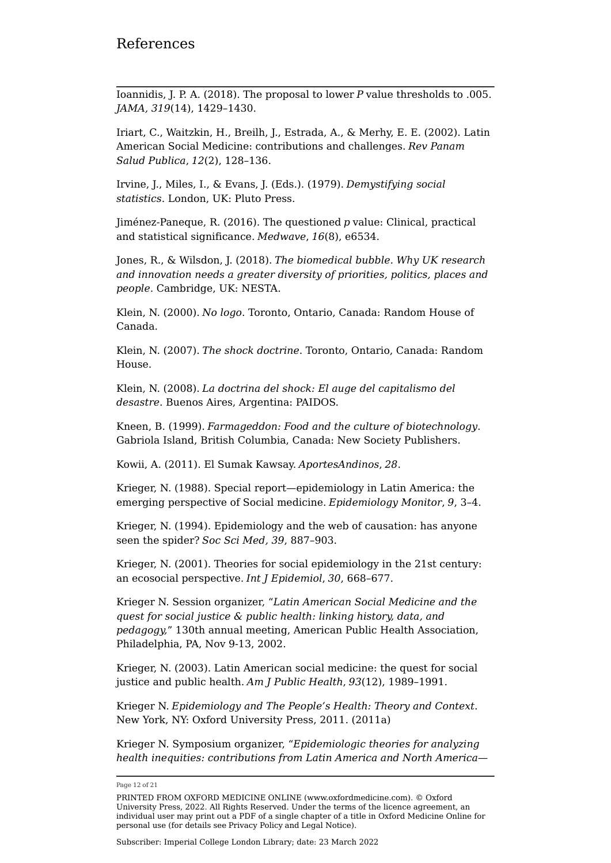Ioannidis, J. P. A. (2018). The proposal to lower *P* value thresholds to .005. *JAMA, 319*(14), 1429–1430.

Iriart, C., Waitzkin, H., Breilh, J., Estrada, A., & Merhy, E. E. (2002). Latin American Social Medicine: contributions and challenges. *Rev Panam Salud Publica*, *12*(2), 128–136.

Irvine, J., Miles, I., & Evans, J. (Eds.). (1979). *Demystifying social statistics*. London, UK: Pluto Press.

Jiménez-Paneque, R. (2016). The questioned *p* value: Clinical, practical and statistical significance. *Medwave*, *16*(8), e6534.

Jones, R., & Wilsdon, J. (2018). *The biomedical bubble. Why UK research and innovation needs a greater diversity of priorities, politics, places and people*. Cambridge, UK: NESTA.

Klein, N. (2000). *No logo*. Toronto, Ontario, Canada: Random House of Canada.

Klein, N. (2007). *The shock doctrine*. Toronto, Ontario, Canada: Random House.

Klein, N. (2008). *La doctrina del shock: El auge del capitalismo del desastre*. Buenos Aires, Argentina: PAIDOS.

Kneen, B. (1999). *Farmageddon: Food and the culture of biotechnology*. Gabriola Island, British Columbia, Canada: New Society Publishers.

Kowii, A. (2011). El Sumak Kawsay. *AportesAndinos*, *28*.

Krieger, N. (1988). Special report—epidemiology in Latin America: the emerging perspective of Social medicine. *Epidemiology Monitor*, *9*, 3–4.

Krieger, N. (1994). Epidemiology and the web of causation: has anyone seen the spider? *Soc Sci Med, 39*, 887–903.

Krieger, N. (2001). Theories for social epidemiology in the 21st century: an ecosocial perspective. *Int J Epidemiol*, *30*, 668–677.

Krieger N. Session organizer, "*Latin American Social Medicine and the quest for social justice & public health: linking history, data, and pedagogy,*" 130th annual meeting, American Public Health Association, Philadelphia, PA, Nov 9-13, 2002.

Krieger, N. (2003). Latin American social medicine: the quest for social justice and public health. *Am J Public Health*, *93*(12), 1989–1991.

Krieger N. *Epidemiology and The People's Health: Theory and Context*. New York, NY: Oxford University Press, 2011. (2011a)

Krieger N. Symposium organizer, "*Epidemiologic theories for analyzing health inequities: contributions from Latin America and North America—*

Page 12 of 21

PRINTED FROM OXFORD MEDICINE ONLINE (www.oxfordmedicine.com). © Oxford University Press, 2022. All Rights Reserved. Under the terms of the licence agreement, an individual user may print out a PDF of a single chapter of a title in Oxford Medicine Online for personal use (for details see [Privacy Policy](https://global.oup.com/privacy) and [Legal Notice](https://oxfordmedicine.com/page/legal-notice)).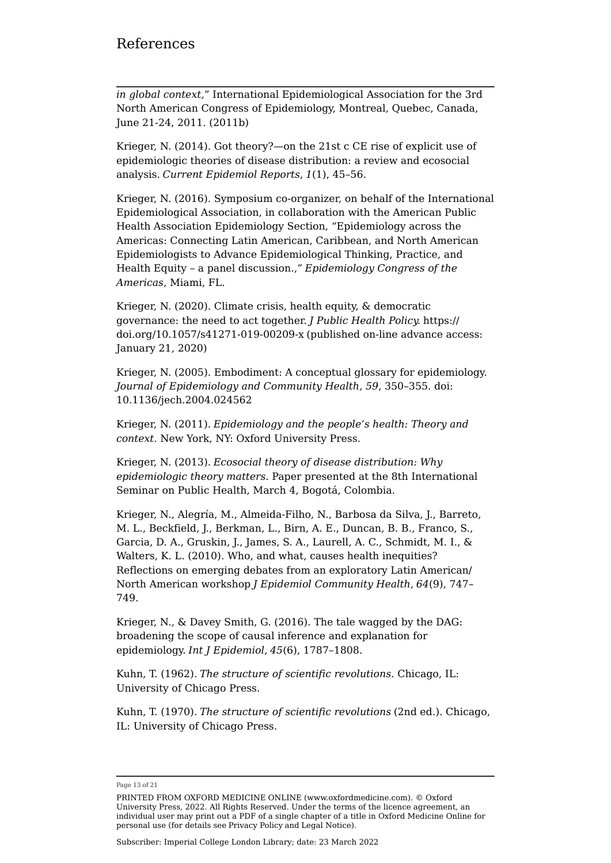*in global context,*" International Epidemiological Association for the 3rd North American Congress of Epidemiology, Montreal, Quebec, Canada, June 21-24, 2011. (2011b)

Krieger, N. (2014). Got theory?—on the 21st c CE rise of explicit use of epidemiologic theories of disease distribution: a review and ecosocial analysis. *Current Epidemiol Reports*, *1*(1), 45–56.

Krieger, N. (2016). Symposium co-organizer, on behalf of the International Epidemiological Association, in collaboration with the American Public Health Association Epidemiology Section, "Epidemiology across the Americas: Connecting Latin American, Caribbean, and North American Epidemiologists to Advance Epidemiological Thinking, Practice, and Health Equity – a panel discussion.," *Epidemiology Congress of the Americas*, Miami, FL.

Krieger, N. (2020). Climate crisis, health equity, & democratic governance: the need to act together. *J Public Health Policy.* [https://](https://doi.org/10.1057/s41271-019-00209-x) [doi.org/10.1057/s41271-019-00209-x](https://doi.org/10.1057/s41271-019-00209-x) (published on-line advance access: January 21, 2020)

Krieger, N. (2005). Embodiment: A conceptual glossary for epidemiology. *Journal of Epidemiology and Community Health, 59*, 350–355. doi: 10.1136/jech.2004.024562

Krieger, N. (2011). *Epidemiology and the people's health: Theory and context*. New York, NY: Oxford University Press.

Krieger, N. (2013). *Ecosocial theory of disease distribution: Why epidemiologic theory matters*. Paper presented at the 8th International Seminar on Public Health, March 4, Bogotá, Colombia.

Krieger, N., Alegría, M., Almeida-Filho, N., Barbosa da Silva, J., Barreto, M. L., Beckfield, J., Berkman, L., Birn, A. E., Duncan, B. B., Franco, S., Garcia, D. A., Gruskin, J., James, S. A., Laurell, A. C., Schmidt, M. I., & Walters, K. L. (2010). Who, and what, causes health inequities? Reflections on emerging debates from an exploratory Latin American/ North American workshop *J Epidemiol Community Health*, *64*(9), 747– 749.

Krieger, N., & Davey Smith, G. (2016). The tale wagged by the DAG: broadening the scope of causal inference and explanation for epidemiology. *Int J Epidemiol*, *45*(6), 1787–1808.

Kuhn, T. (1962). *The structure of scientific revolutions*. Chicago, IL: University of Chicago Press.

Kuhn, T. (1970). *The structure of scientific revolutions* (2nd ed.). Chicago, IL: University of Chicago Press.

Subscriber: Imperial College London Library; date: 23 March 2022

Page 13 of 21

PRINTED FROM OXFORD MEDICINE ONLINE (www.oxfordmedicine.com). © Oxford University Press, 2022. All Rights Reserved. Under the terms of the licence agreement, an individual user may print out a PDF of a single chapter of a title in Oxford Medicine Online for personal use (for details see [Privacy Policy](https://global.oup.com/privacy) and [Legal Notice](https://oxfordmedicine.com/page/legal-notice)).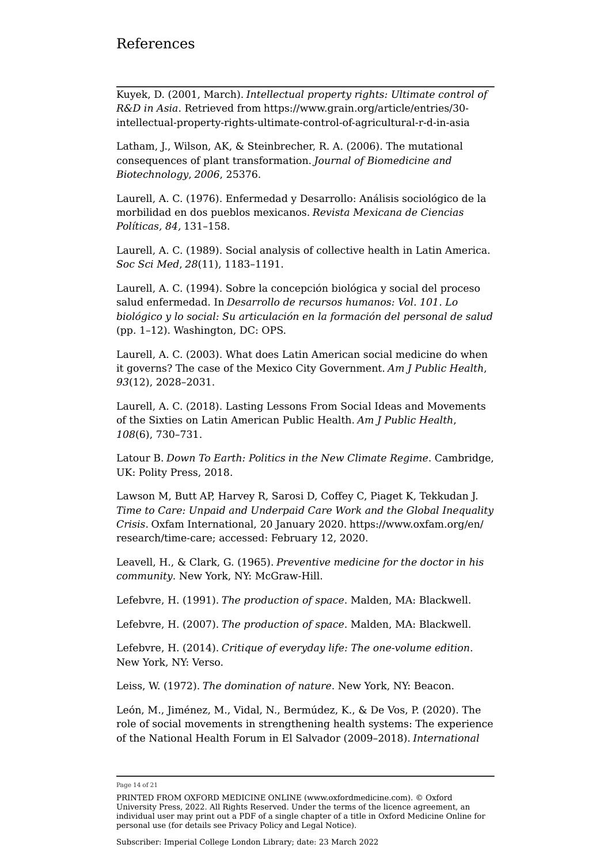Kuyek, D. (2001, March). *Intellectual property rights: Ultimate control of R&D in Asia*. Retrieved from [https://www.grain.org/article/entries/30](https://www.grain.org/article/entries/30-intellectual-property-rights-ultimate-control-of-agricultural-r-d-in-asia) [intellectual-property-rights-ultimate-control-of-agricultural-r-d-in-asia](https://www.grain.org/article/entries/30-intellectual-property-rights-ultimate-control-of-agricultural-r-d-in-asia)

Latham, J., Wilson, AK, & Steinbrecher, R. A. (2006). The mutational consequences of plant transformation. *Journal of Biomedicine and Biotechnology*, *2006*, 25376.

Laurell, A. C. (1976). Enfermedad y Desarrollo: Análisis sociológico de la morbilidad en dos pueblos mexicanos. *Revista Mexicana de Ciencias Políticas, 84,* 131–158.

Laurell, A. C. (1989). Social analysis of collective health in Latin America. *Soc Sci Med*, *28*(11), 1183–1191.

Laurell, A. C. (1994). Sobre la concepción biológica y social del proceso salud enfermedad. In *Desarrollo de recursos humanos: Vol. 101. Lo biológico y lo social: Su articulación en la formación del personal de salud* (pp. 1–12). Washington, DC: OPS.

Laurell, A. C. (2003). What does Latin American social medicine do when it governs? The case of the Mexico City Government. *Am J Public Health*, *93*(12), 2028–2031.

Laurell, A. C. (2018). Lasting Lessons From Social Ideas and Movements of the Sixties on Latin American Public Health. *Am J Public Health*, *108*(6), 730–731.

Latour B. *Down To Earth: Politics in the New Climate Regime*. Cambridge, UK: Polity Press, 2018.

Lawson M, Butt AP, Harvey R, Sarosi D, Coffey C, Piaget K, Tekkudan J. *Time to Care: Unpaid and Underpaid Care Work and the Global Inequality Crisis.* Oxfam International, 20 January 2020. [https://www.oxfam.org/en/](https://www.oxfam.org/en/research/time-care) [research/time-care](https://www.oxfam.org/en/research/time-care); accessed: February 12, 2020.

Leavell, H., & Clark, G. (1965). *Preventive medicine for the doctor in his community*. New York, NY: McGraw-Hill.

Lefebvre, H. (1991). *The production of space*. Malden, MA: Blackwell.

Lefebvre, H. (2007). *The production of space*. Malden, MA: Blackwell.

Lefebvre, H. (2014). *Critique of everyday life: The one-volume edition*. New York, NY: Verso.

Leiss, W. (1972). *The domination of nature*. New York, NY: Beacon.

León, M., Jiménez, M., Vidal, N., Bermúdez, K., & De Vos, P. (2020). The role of social movements in strengthening health systems: The experience of the National Health Forum in El Salvador (2009–2018). *International* 

Page 14 of 21

PRINTED FROM OXFORD MEDICINE ONLINE (www.oxfordmedicine.com). © Oxford University Press, 2022. All Rights Reserved. Under the terms of the licence agreement, an individual user may print out a PDF of a single chapter of a title in Oxford Medicine Online for personal use (for details see [Privacy Policy](https://global.oup.com/privacy) and [Legal Notice](https://oxfordmedicine.com/page/legal-notice)).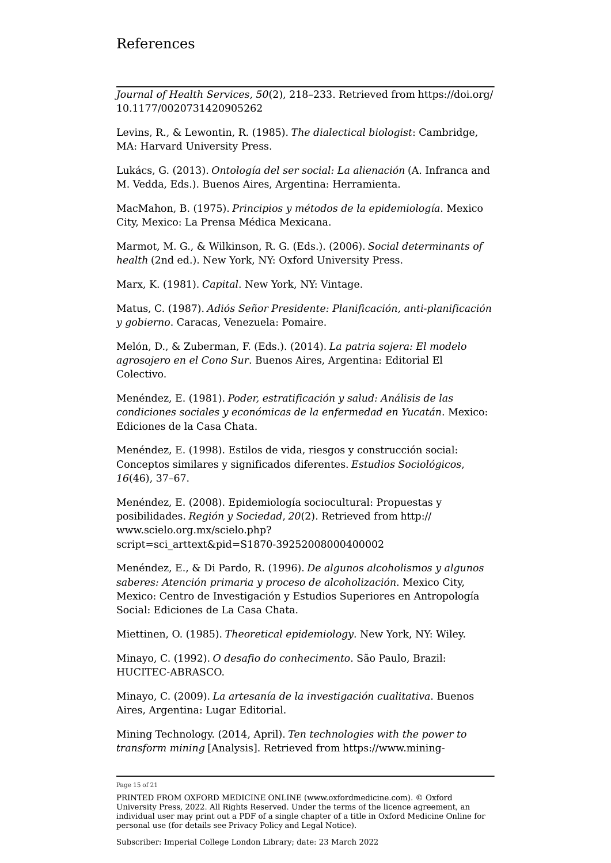*Journal of Health Services, 50*(2), 218–233. Retrieved from [https://doi.org/](https://doi.org/10.1177/0020731420905262) [10.1177/0020731420905262](https://doi.org/10.1177/0020731420905262)

Levins, R., & Lewontin, R. (1985). *The dialectical biologist*: Cambridge, MA: Harvard University Press.

Lukács, G. (2013). *Ontología del ser social: La alienación* (A. Infranca and M. Vedda, Eds.). Buenos Aires, Argentina: Herramienta.

MacMahon, B. (1975). *Principios y métodos de la epidemiología*. Mexico City, Mexico: La Prensa Médica Mexicana.

Marmot, M. G., & Wilkinson, R. G. (Eds.). (2006). *Social determinants of health* (2nd ed.). New York, NY: Oxford University Press.

Marx, K. (1981). *Capital*. New York, NY: Vintage.

Matus, C. (1987). *Adiós Señor Presidente: Planificación, anti-planificación y gobierno*. Caracas, Venezuela: Pomaire.

Melón, D., & Zuberman, F. (Eds.). (2014). *La patria sojera: El modelo agrosojero en el Cono Sur*. Buenos Aires, Argentina: Editorial El Colectivo.

Menéndez, E. (1981). *Poder, estratificación y salud: Análisis de las condiciones sociales y económicas de la enfermedad en Yucatán*. Mexico: Ediciones de la Casa Chata.

Menéndez, E. (1998). Estilos de vida, riesgos y construcción social: Conceptos similares y significados diferentes. *Estudios Sociológicos*, *16*(46), 37–67.

Menéndez, E. (2008). Epidemiología sociocultural: Propuestas y posibilidades. *Región y Sociedad*, *20*(2). Retrieved from [http://](http://www.scielo.org.mx/scielo.php?script=sci_arttext&pid=S1870-39252008000400002) [www.scielo.org.mx/scielo.php?](http://www.scielo.org.mx/scielo.php?script=sci_arttext&pid=S1870-39252008000400002) [script=sci\\_arttext&pid=S1870-39252008000400002](http://www.scielo.org.mx/scielo.php?script=sci_arttext&pid=S1870-39252008000400002)

Menéndez, E., & Di Pardo, R. (1996). *De algunos alcoholismos y algunos saberes: Atención primaria y proceso de alcoholización*. Mexico City, Mexico: Centro de Investigación y Estudios Superiores en Antropología Social: Ediciones de La Casa Chata.

Miettinen, O. (1985). *Theoretical epidemiology*. New York, NY: Wiley.

Minayo, C. (1992). *O desafio do conhecimento*. São Paulo, Brazil: HUCITEC-ABRASCO.

Minayo, C. (2009). *La artesanía de la investigación cualitativa*. Buenos Aires, Argentina: Lugar Editorial.

Mining Technology. (2014, April). *Ten technologies with the power to transform mining* [Analysis]. Retrieved from [https://www.mining-](https://www.mining-technology.com/features/featureten-technologies-with-the-power-to-transform-mining-4211240)

Page 15 of 21

PRINTED FROM OXFORD MEDICINE ONLINE (www.oxfordmedicine.com). © Oxford University Press, 2022. All Rights Reserved. Under the terms of the licence agreement, an individual user may print out a PDF of a single chapter of a title in Oxford Medicine Online for personal use (for details see [Privacy Policy](https://global.oup.com/privacy) and [Legal Notice](https://oxfordmedicine.com/page/legal-notice)).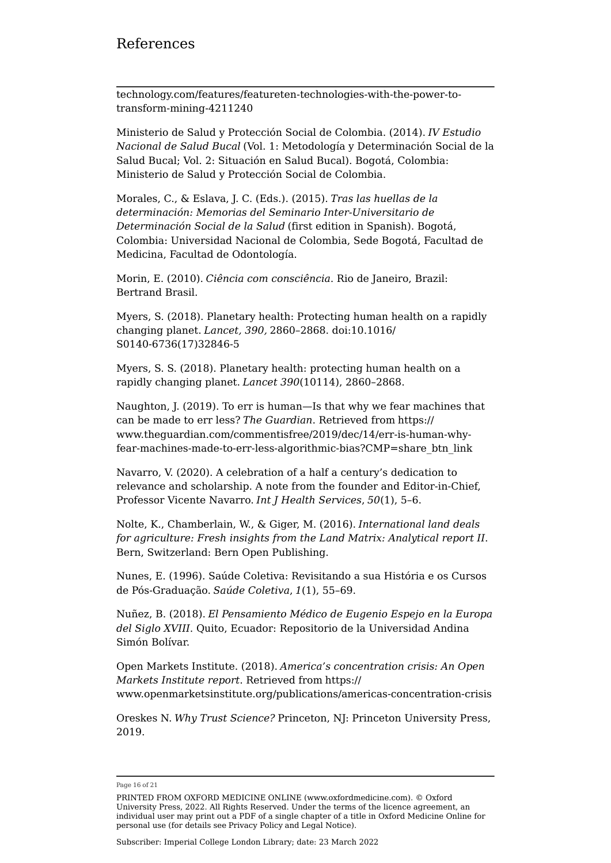### References

[technology.com/features/featureten-technologies-with-the-power-to](https://www.mining-technology.com/features/featureten-technologies-with-the-power-to-transform-mining-4211240)[transform-mining-4211240](https://www.mining-technology.com/features/featureten-technologies-with-the-power-to-transform-mining-4211240)

Ministerio de Salud y Protección Social de Colombia. (2014). *IV Estudio Nacional de Salud Bucal* (Vol. 1: Metodología y Determinación Social de la Salud Bucal; Vol. 2: Situación en Salud Bucal). Bogotá, Colombia: Ministerio de Salud y Protección Social de Colombia.

Morales, C., & Eslava, J. C. (Eds.). (2015). *Tras las huellas de la determinación: Memorias del Seminario Inter-Universitario de Determinación Social de la Salud* (first edition in Spanish). Bogotá, Colombia: Universidad Nacional de Colombia, Sede Bogotá, Facultad de Medicina, Facultad de Odontología.

Morin, E. (2010). *Ciência com consciência*. Rio de Janeiro, Brazil: Bertrand Brasil.

Myers, S. (2018). Planetary health: Protecting human health on a rapidly changing planet. *Lancet, 390,* 2860–2868. doi:10.1016/ S0140-6736(17)32846-5

Myers, S. S. (2018). Planetary health: protecting human health on a rapidly changing planet. *Lancet 390*(10114), 2860–2868.

Naughton, J. (2019). To err is human—Is that why we fear machines that can be made to err less? *The Guardian*. Retrieved from [https://](https://www.theguardian.com/commentisfree/2019/dec/14/err-is-human-why-fear-machines-made-to-err-less-algorithmic-bias?CMP=share_btn_link) [www.theguardian.com/commentisfree/2019/dec/14/err-is-human-why](https://www.theguardian.com/commentisfree/2019/dec/14/err-is-human-why-fear-machines-made-to-err-less-algorithmic-bias?CMP=share_btn_link)[fear-machines-made-to-err-less-algorithmic-bias?CMP=share\\_btn\\_link](https://www.theguardian.com/commentisfree/2019/dec/14/err-is-human-why-fear-machines-made-to-err-less-algorithmic-bias?CMP=share_btn_link)

Navarro, V. (2020). A celebration of a half a century's dedication to relevance and scholarship. A note from the founder and Editor-in-Chief, Professor Vicente Navarro. *Int J Health Services*, *50*(1), 5–6.

Nolte, K., Chamberlain, W., & Giger, M. (2016). *International land deals for agriculture: Fresh insights from the Land Matrix: Analytical report II*. Bern, Switzerland: Bern Open Publishing.

Nunes, E. (1996). Saúde Coletiva: Revisitando a sua História e os Cursos de Pós-Graduação. *Saúde Coletiva*, *1*(1), 55–69.

Nuñez, B. (2018). *El Pensamiento Médico de Eugenio Espejo en la Europa del Siglo XVIII*. Quito, Ecuador: Repositorio de la Universidad Andina Simón Bolívar.

Open Markets Institute. (2018). *America's concentration crisis: An Open Markets Institute report*. Retrieved from [https://](https://www.openmarketsinstitute.org/publications/americas-concentration-crisis) [www.openmarketsinstitute.org/publications/americas-concentration-crisis](https://www.openmarketsinstitute.org/publications/americas-concentration-crisis)

Oreskes N. *Why Trust Science?* Princeton, NJ: Princeton University Press, 2019.

Page 16 of 21

PRINTED FROM OXFORD MEDICINE ONLINE (www.oxfordmedicine.com). © Oxford University Press, 2022. All Rights Reserved. Under the terms of the licence agreement, an individual user may print out a PDF of a single chapter of a title in Oxford Medicine Online for personal use (for details see [Privacy Policy](https://global.oup.com/privacy) and [Legal Notice](https://oxfordmedicine.com/page/legal-notice)).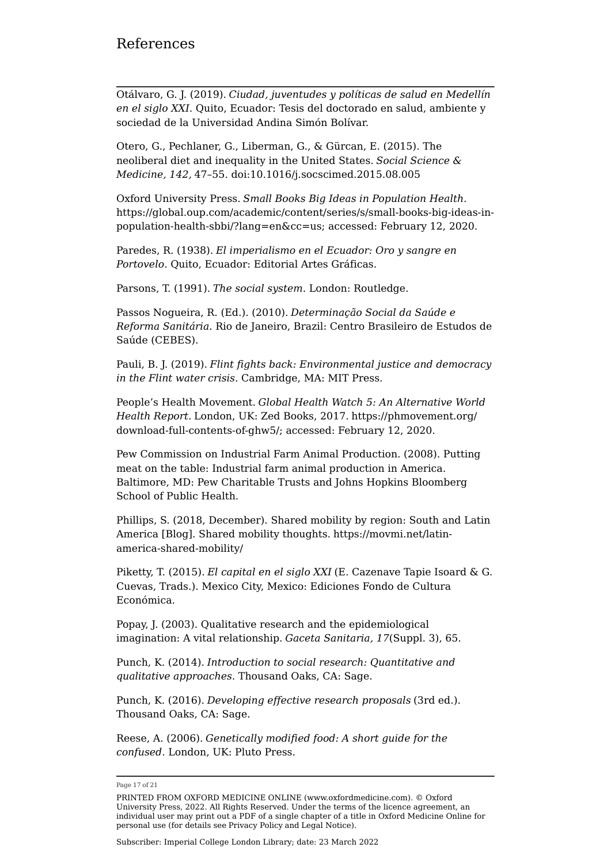Otálvaro, G. J. (2019). *Ciudad, juventudes y políticas de salud en Medellín en el siglo XXI*. Quito, Ecuador: Tesis del doctorado en salud, ambiente y sociedad de la Universidad Andina Simón Bolívar.

Otero, G., Pechlaner, G., Liberman, G., & Gürcan, E. (2015). The neoliberal diet and inequality in the United States. *Social Science & Medicine, 142,* 47–55. doi:10.1016/j.socscimed.2015.08.005

Oxford University Press. *Small Books Big Ideas in Population Health*. [https://global.oup.com/academic/content/series/s/small-books-big-ideas-in](https://global.oup.com/academic/content/series/s/small-books-big-ideas-in-population-health-sbbi/?lang=en&cc=us)[population-health-sbbi/?lang=en&cc=us;](https://global.oup.com/academic/content/series/s/small-books-big-ideas-in-population-health-sbbi/?lang=en&cc=us) accessed: February 12, 2020.

Paredes, R. (1938). *El imperialismo en el Ecuador: Oro y sangre en Portovelo*. Quito, Ecuador: Editorial Artes Gráficas.

Parsons, T. (1991). *The social system*. London: Routledge.

Passos Nogueira, R. (Ed.). (2010). *Determinação Social da Saúde e Reforma Sanitária*. Rio de Janeiro, Brazil: Centro Brasileiro de Estudos de Saúde (CEBES).

Pauli, B. J. (2019). *Flint fights back: Environmental justice and democracy in the Flint water crisis*. Cambridge, MA: MIT Press.

People's Health Movement. *Global Health Watch 5: An Alternative World Health Report.* London, UK: Zed Books, 2017. [https://phmovement.org/](https://phmovement.org/download-full-contents-of-ghw5/) [download-full-contents-of-ghw5/](https://phmovement.org/download-full-contents-of-ghw5/); accessed: February 12, 2020.

Pew Commission on Industrial Farm Animal Production. (2008). Putting meat on the table: Industrial farm animal production in America. Baltimore, MD: Pew Charitable Trusts and Johns Hopkins Bloomberg School of Public Health.

Phillips, S. (2018, December). Shared mobility by region: South and Latin America [Blog]. Shared mobility thoughts. [https://movmi.net/latin](https://movmi.net/latin-america-shared-mobility/)[america-shared-mobility/](https://movmi.net/latin-america-shared-mobility/)

Piketty, T. (2015). *El capital en el siglo XXI* (E. Cazenave Tapie Isoard & G. Cuevas, Trads.). Mexico City, Mexico: Ediciones Fondo de Cultura Económica.

Popay, J. (2003). Qualitative research and the epidemiological imagination: A vital relationship. *Gaceta Sanitaria, 17*(Suppl. 3), 65.

Punch, K. (2014). *Introduction to social research: Quantitative and qualitative approaches*. Thousand Oaks, CA: Sage.

Punch, K. (2016). *Developing effective research proposals* (3rd ed.). Thousand Oaks, CA: Sage.

Reese, A. (2006). *Genetically modified food: A short guide for the confused*. London, UK: Pluto Press.

Page 17 of 21

PRINTED FROM OXFORD MEDICINE ONLINE (www.oxfordmedicine.com). © Oxford University Press, 2022. All Rights Reserved. Under the terms of the licence agreement, an individual user may print out a PDF of a single chapter of a title in Oxford Medicine Online for personal use (for details see [Privacy Policy](https://global.oup.com/privacy) and [Legal Notice](https://oxfordmedicine.com/page/legal-notice)).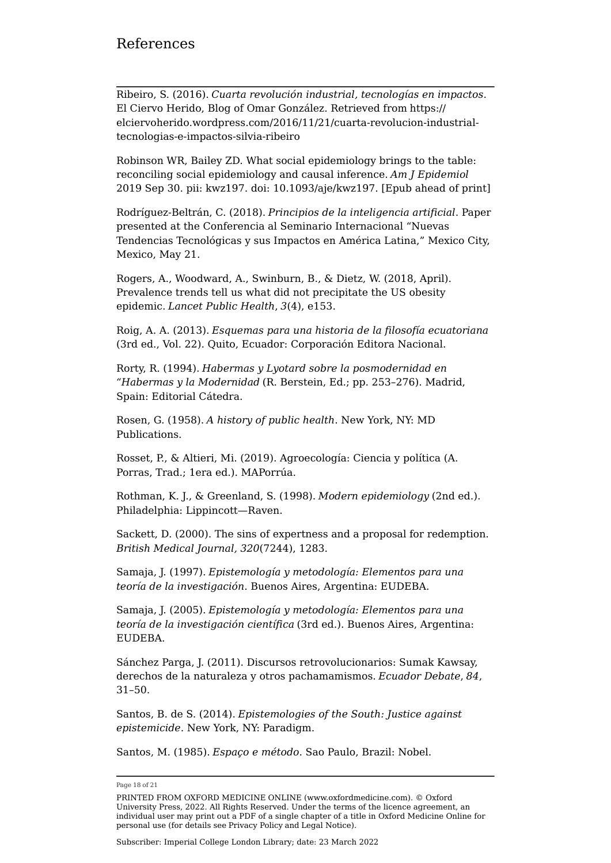Ribeiro, S. (2016). *Cuarta revolución industrial, tecnologías en impactos*. El Ciervo Herido, Blog of Omar González. Retrieved from [https://](https://elciervoherido.wordpress.com/2016/11/21/cuarta-revolucion-industrial-tecnologias-e-impactos-silvia-ribeiro) [elciervoherido.wordpress.com/2016/11/21/cuarta-revolucion-industrial](https://elciervoherido.wordpress.com/2016/11/21/cuarta-revolucion-industrial-tecnologias-e-impactos-silvia-ribeiro)[tecnologias-e-impactos-silvia-ribeiro](https://elciervoherido.wordpress.com/2016/11/21/cuarta-revolucion-industrial-tecnologias-e-impactos-silvia-ribeiro)

Robinson WR, Bailey ZD. What social epidemiology brings to the table: reconciling social epidemiology and causal inference. *Am J Epidemiol* 2019 Sep 30. pii: kwz197. doi: 10.1093/aje/kwz197. [Epub ahead of print]

Rodríguez-Beltrán, C. (2018). *Principios de la inteligencia artificial*. Paper presented at the Conferencia al Seminario Internacional "Nuevas Tendencias Tecnológicas y sus Impactos en América Latina," Mexico City, Mexico, May 21.

Rogers, A., Woodward, A., Swinburn, B., & Dietz, W. (2018, April). Prevalence trends tell us what did not precipitate the US obesity epidemic. *Lancet Public Health*, *3*(4), e153.

Roig, A. A. (2013). *Esquemas para una historia de la filosofía ecuatoriana* (3rd ed., Vol. 22). Quito, Ecuador: Corporación Editora Nacional.

Rorty, R. (1994). *Habermas y Lyotard sobre la posmodernidad en "Habermas y la Modernidad* (R. Berstein, Ed.; pp. 253–276). Madrid, Spain: Editorial Cátedra.

Rosen, G. (1958). *A history of public health*. New York, NY: MD Publications.

Rosset, P., & Altieri, Mi. (2019). Agroecología: Ciencia y política (A. Porras, Trad.; 1era ed.). MAPorrúa.

Rothman, K. J., & Greenland, S. (1998). *Modern epidemiology* (2nd ed.). Philadelphia: Lippincott—Raven.

Sackett, D. (2000). The sins of expertness and a proposal for redemption. *British Medical Journal, 320*(7244), 1283.

Samaja, J. (1997). *Epistemología y metodología: Elementos para una teoría de la investigación*. Buenos Aires, Argentina: EUDEBA.

Samaja, J. (2005). *Epistemología y metodología: Elementos para una teoría de la investigación científica* (3rd ed.). Buenos Aires, Argentina: EUDEBA.

Sánchez Parga, J. (2011). Discursos retrovolucionarios: Sumak Kawsay, derechos de la naturaleza y otros pachamamismos. *Ecuador Debate*, *84*, 31–50.

Santos, B. de S. (2014). *Epistemologies of the South: Justice against epistemicide*. New York, NY: Paradigm.

Santos, M. (1985). *Espaço e método*. Sao Paulo, Brazil: Nobel.

Page 18 of 21

PRINTED FROM OXFORD MEDICINE ONLINE (www.oxfordmedicine.com). © Oxford University Press, 2022. All Rights Reserved. Under the terms of the licence agreement, an individual user may print out a PDF of a single chapter of a title in Oxford Medicine Online for personal use (for details see [Privacy Policy](https://global.oup.com/privacy) and [Legal Notice](https://oxfordmedicine.com/page/legal-notice)).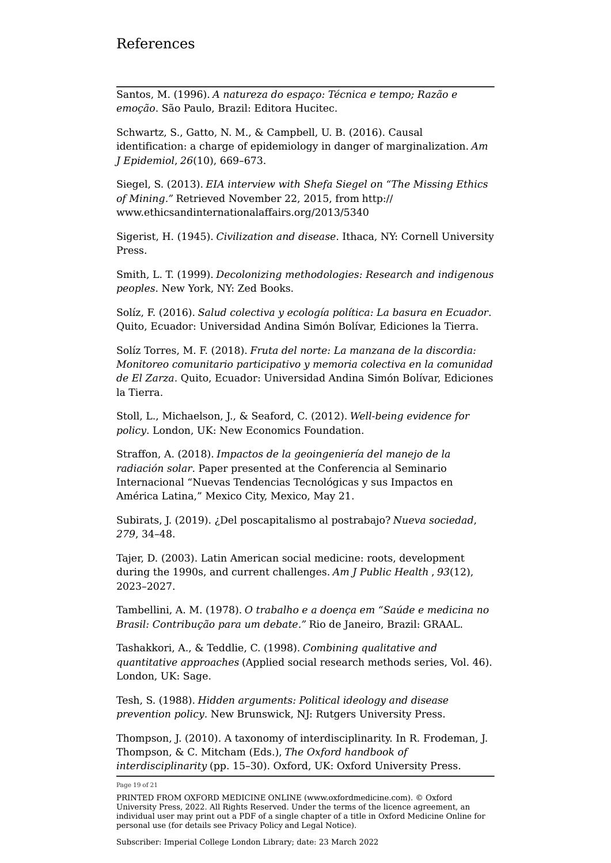Santos, M. (1996). *A natureza do espaço: Técnica e tempo; Razão e emoção*. São Paulo, Brazil: Editora Hucitec.

Schwartz, S., Gatto, N. M., & Campbell, U. B. (2016). Causal identification: a charge of epidemiology in danger of marginalization. *Am J Epidemiol*, *26*(10), 669–673.

Siegel, S. (2013). *EIA interview with Shefa Siegel on "The Missing Ethics of Mining."* Retrieved November 22, 2015, from [http://](http://www.ethicsandinternationalaffairs.org/2013/5340) [www.ethicsandinternationalaffairs.org/2013/5340](http://www.ethicsandinternationalaffairs.org/2013/5340)

Sigerist, H. (1945). *Civilization and disease*. Ithaca, NY: Cornell University Press.

Smith, L. T. (1999). *Decolonizing methodologies: Research and indigenous peoples*. New York, NY: Zed Books.

Solíz, F. (2016). *Salud colectiva y ecología política: La basura en Ecuador*. Quito, Ecuador: Universidad Andina Simón Bolívar, Ediciones la Tierra.

Solíz Torres, M. F. (2018). *Fruta del norte: La manzana de la discordia: Monitoreo comunitario participativo y memoria colectiva en la comunidad de El Zarza*. Quito, Ecuador: Universidad Andina Simón Bolívar, Ediciones la Tierra.

Stoll, L., Michaelson, J., & Seaford, C. (2012). *Well-being evidence for policy*. London, UK: New Economics Foundation.

Straffon, A. (2018). *Impactos de la geoingeniería del manejo de la radiación solar*. Paper presented at the Conferencia al Seminario Internacional "Nuevas Tendencias Tecnológicas y sus Impactos en América Latina," Mexico City, Mexico, May 21.

Subirats, J. (2019). ¿Del poscapitalismo al postrabajo? *Nueva sociedad*, *279*, 34–48.

Tajer, D. (2003). Latin American social medicine: roots, development during the 1990s, and current challenges. *Am J Public Health* , *93*(12), 2023–2027.

Tambellini, A. M. (1978). *O trabalho e a doença em "Saúde e medicina no Brasil: Contribução para um debate."* Rio de Janeiro, Brazil: GRAAL.

Tashakkori, A., & Teddlie, C. (1998). *Combining qualitative and quantitative approaches* (Applied social research methods series, Vol. 46). London, UK: Sage.

Tesh, S. (1988). *Hidden arguments: Political ideology and disease prevention policy*. New Brunswick, NJ: Rutgers University Press.

Thompson, J. (2010). A taxonomy of interdisciplinarity. In R. Frodeman, J. Thompson, & C. Mitcham (Eds.), *The Oxford handbook of interdisciplinarity* (pp. 15–30). Oxford, UK: Oxford University Press.

Page 19 of 21

PRINTED FROM OXFORD MEDICINE ONLINE (www.oxfordmedicine.com). © Oxford University Press, 2022. All Rights Reserved. Under the terms of the licence agreement, an individual user may print out a PDF of a single chapter of a title in Oxford Medicine Online for personal use (for details see [Privacy Policy](https://global.oup.com/privacy) and [Legal Notice](https://oxfordmedicine.com/page/legal-notice)).

Subscriber: Imperial College London Library; date: 23 March 2022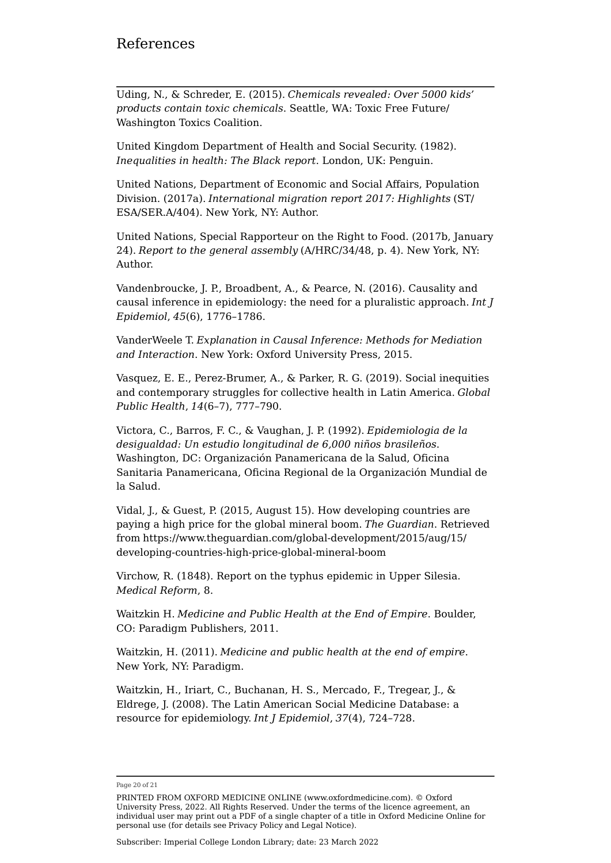#### References

Uding, N., & Schreder, E. (2015). *Chemicals revealed: Over 5000 kids' products contain toxic chemicals*. Seattle, WA: Toxic Free Future/ Washington Toxics Coalition.

United Kingdom Department of Health and Social Security. (1982). *Inequalities in health: The Black report*. London, UK: Penguin.

United Nations, Department of Economic and Social Affairs, Population Division. (2017a). *International migration report 2017: Highlights* (ST/ ESA/SER.A/404). New York, NY: Author.

United Nations, Special Rapporteur on the Right to Food. (2017b, January 24). *Report to the general assembly* (A/HRC/34/48, p. 4). New York, NY: Author.

Vandenbroucke, J. P., Broadbent, A., & Pearce, N. (2016). Causality and causal inference in epidemiology: the need for a pluralistic approach. *Int J Epidemiol*, *45*(6), 1776–1786.

VanderWeele T. *Explanation in Causal Inference: Methods for Mediation and Interaction*. New York: Oxford University Press, 2015.

Vasquez, E. E., Perez-Brumer, A., & Parker, R. G. (2019). Social inequities and contemporary struggles for collective health in Latin America. *Global Public Health*, *14*(6–7), 777–790.

Victora, C., Barros, F. C., & Vaughan, J. P. (1992). *Epidemiologia de la desigualdad: Un estudio longitudinal de 6,000 niños brasileños*. Washington, DC: Organización Panamericana de la Salud, Oficina Sanitaria Panamericana, Oficina Regional de la Organización Mundial de la Salud.

Vidal, J., & Guest, P. (2015, August 15). How developing countries are paying a high price for the global mineral boom. *The Guardian*. Retrieved from [https://www.theguardian.com/global-development/2015/aug/15/](https://www.theguardian.com/global-development/2015/aug/15/developing-countries-high-price-global-mineral-boom) [developing-countries-high-price-global-mineral-boom](https://www.theguardian.com/global-development/2015/aug/15/developing-countries-high-price-global-mineral-boom)

Virchow, R. (1848). Report on the typhus epidemic in Upper Silesia. *Medical Reform*, 8.

Waitzkin H. *Medicine and Public Health at the End of Empire*. Boulder, CO: Paradigm Publishers, 2011.

Waitzkin, H. (2011). *Medicine and public health at the end of empire*. New York, NY: Paradigm.

Waitzkin, H., Iriart, C., Buchanan, H. S., Mercado, F., Tregear, J., & Eldrege, J. (2008). The Latin American Social Medicine Database: a resource for epidemiology. *Int J Epidemiol*, *37*(4), 724–728.

Page 20 of 21

PRINTED FROM OXFORD MEDICINE ONLINE (www.oxfordmedicine.com). © Oxford University Press, 2022. All Rights Reserved. Under the terms of the licence agreement, an individual user may print out a PDF of a single chapter of a title in Oxford Medicine Online for personal use (for details see [Privacy Policy](https://global.oup.com/privacy) and [Legal Notice](https://oxfordmedicine.com/page/legal-notice)).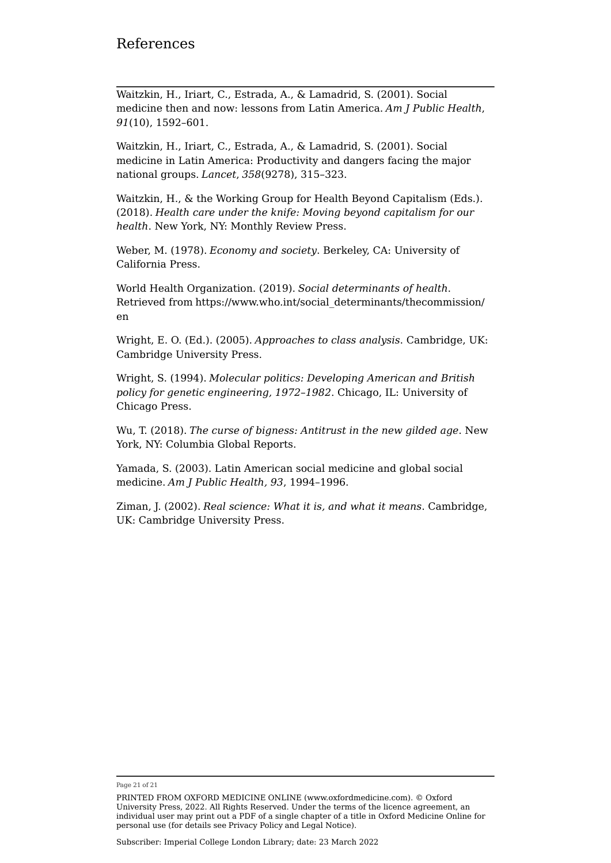Waitzkin, H., Iriart, C., Estrada, A., & Lamadrid, S. (2001). Social medicine then and now: lessons from Latin America. *Am J Public Health*, *91*(10), 1592–601.

Waitzkin, H., Iriart, C., Estrada, A., & Lamadrid, S. (2001). Social medicine in Latin America: Productivity and dangers facing the major national groups. *Lancet*, *358*(9278), 315–323.

Waitzkin, H., & the Working Group for Health Beyond Capitalism (Eds.). (2018). *Health care under the knife: Moving beyond capitalism for our health*. New York, NY: Monthly Review Press.

Weber, M. (1978). *Economy and society*. Berkeley, CA: University of California Press.

World Health Organization. (2019). *Social determinants of health*. Retrieved from [https://www.who.int/social\\_determinants/thecommission/](https://www.who.int/social_determinants/thecommission/en) [en](https://www.who.int/social_determinants/thecommission/en)

Wright, E. O. (Ed.). (2005). *Approaches to class analysis*. Cambridge, UK: Cambridge University Press.

Wright, S. (1994). *Molecular politics: Developing American and British policy for genetic engineering, 1972–1982*. Chicago, IL: University of Chicago Press.

Wu, T. (2018). *The curse of bigness: Antitrust in the new gilded age*. New York, NY: Columbia Global Reports.

Yamada, S. (2003). Latin American social medicine and global social medicine. *Am J Public Health, 93*, 1994–1996.

Ziman, J. (2002). *Real science: What it is, and what it means*. Cambridge, UK: Cambridge University Press.

Page 21 of 21

PRINTED FROM OXFORD MEDICINE ONLINE (www.oxfordmedicine.com). © Oxford University Press, 2022. All Rights Reserved. Under the terms of the licence agreement, an individual user may print out a PDF of a single chapter of a title in Oxford Medicine Online for personal use (for details see [Privacy Policy](https://global.oup.com/privacy) and [Legal Notice](https://oxfordmedicine.com/page/legal-notice)).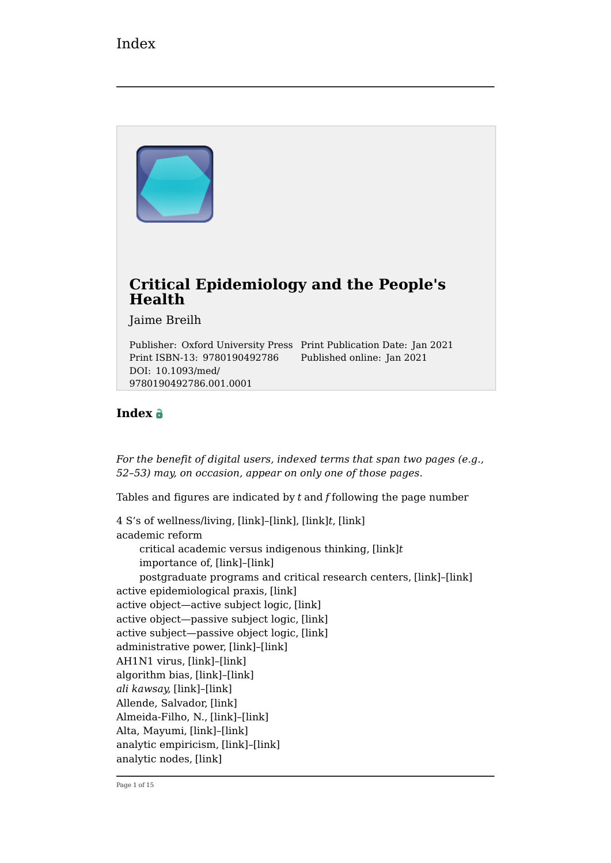

#### **Index**

9780190492786.001.0001

*For the benefit of digital users, indexed terms that span two pages (e.g., 52–53) may, on occasion, appear on only one of those pages*.

Tables and figures are indicated by *t* and *f* following the page number

4 S's of wellness/living, [\[link\]](https://oxfordmedicine.com/view/10.1093/med/9780190492786.001.0001/med-9780190492786-chapter-3#med-9780190492786-chapter-3-div2-8)–[\[link\],](https://oxfordmedicine.com/view/10.1093/med/9780190492786.001.0001/med-9780190492786-chapter-3#med-9780190492786-chapter-3-div2-8) [\[link\]](https://oxfordmedicine.com/view/10.1093/med/9780190492786.001.0001/med-9780190492786-chapter-3#med-9780190492786-chapter-3-tableGroup-4)*t*, [\[link\]](https://oxfordmedicine.com/view/10.1093/med/9780190492786.001.0001/med-9780190492786-chapter-4#med-9780190492786-chapter-4-div2-11) academic reform critical academic versus indigenous thinking, [\[link\]](https://oxfordmedicine.com/view/10.1093/med/9780190492786.001.0001/med-9780190492786-chapter-4#med-9780190492786-chapter-4-tableGroup-8)*t* importance of, [\[link\]](https://oxfordmedicine.com/view/10.1093/med/9780190492786.001.0001/med-9780190492786-chapter-4#med-9780190492786-chapter-4-div1-20)–[\[link\]](https://oxfordmedicine.com/view/10.1093/med/9780190492786.001.0001/med-9780190492786-chapter-4#med-9780190492786-chapter-4-div1-20) postgraduate programs and critical research centers, [\[link\]](https://oxfordmedicine.com/view/10.1093/med/9780190492786.001.0001/med-9780190492786-chapter-2#med-9780190492786-chapter-2-div2-3)–[\[link\]](https://oxfordmedicine.com/view/10.1093/med/9780190492786.001.0001/med-9780190492786-chapter-2#med-9780190492786-chapter-2-div2-3) active epidemiological praxis, [\[link\]](https://oxfordmedicine.com/view/10.1093/med/9780190492786.001.0001/med-9780190492786-chapter-1#med-9780190492786-chapter-1-div1-1) active object—active subject logic, [\[link\]](https://oxfordmedicine.com/view/10.1093/med/9780190492786.001.0001/med-9780190492786-chapter-1#med-9780190492786-chapter-1-div1-1) active object—passive subject logic, [\[link\]](https://oxfordmedicine.com/view/10.1093/med/9780190492786.001.0001/med-9780190492786-chapter-1#med-9780190492786-chapter-1-div1-1) active subject—passive object logic, [\[link\]](https://oxfordmedicine.com/view/10.1093/med/9780190492786.001.0001/med-9780190492786-chapter-1#med-9780190492786-chapter-1-div1-1) administrative power, [\[link\]](https://oxfordmedicine.com/view/10.1093/med/9780190492786.001.0001/med-9780190492786-chapter-4#med-9780190492786-chapter-4-div2-17)–[\[link\]](https://oxfordmedicine.com/view/10.1093/med/9780190492786.001.0001/med-9780190492786-chapter-4#med-9780190492786-chapter-4-div2-17) AH1N1 virus, [\[link\]](https://oxfordmedicine.com/view/10.1093/med/9780190492786.001.0001/med-9780190492786-chapter-4#med-9780190492786-chapter-4-div1-16)–[\[link\]](https://oxfordmedicine.com/view/10.1093/med/9780190492786.001.0001/med-9780190492786-chapter-4#med-9780190492786-chapter-4-div1-16) algorithm bias, [\[link\]](https://oxfordmedicine.com/view/10.1093/med/9780190492786.001.0001/med-9780190492786-chapter-3#med-9780190492786-chapter-3-div1-6)–[\[link\]](https://oxfordmedicine.com/view/10.1093/med/9780190492786.001.0001/med-9780190492786-chapter-3#med-9780190492786-chapter-3-div1-6) *ali kawsay,* [\[link\]](https://oxfordmedicine.com/view/10.1093/med/9780190492786.001.0001/med-9780190492786-chapter-4#med-9780190492786-chapter-4-div2-22)–[\[link\]](https://oxfordmedicine.com/view/10.1093/med/9780190492786.001.0001/med-9780190492786-chapter-4#med-9780190492786-chapter-4-div2-22) Allende, Salvador, [\[link\]](https://oxfordmedicine.com/view/10.1093/med/9780190492786.001.0001/med-9780190492786-chapter-2#med-9780190492786-chapter-2-div1-3) Almeida-Filho, N., [\[link\]](https://oxfordmedicine.com/view/10.1093/med/9780190492786.001.0001/med-9780190492786-chapter-3#med-9780190492786-chapter-3-div2-9)–[\[link\]](https://oxfordmedicine.com/view/10.1093/med/9780190492786.001.0001/med-9780190492786-chapter-3#med-9780190492786-chapter-3-div2-9) Alta, Mayumi, [\[link\]](https://oxfordmedicine.com/view/10.1093/med/9780190492786.001.0001/med-9780190492786-chapter-4#med-9780190492786-chapter-4-div1-20)–[\[link\]](https://oxfordmedicine.com/view/10.1093/med/9780190492786.001.0001/med-9780190492786-chapter-4#med-9780190492786-chapter-4-div1-20) analytic empiricism, [\[link\]](https://oxfordmedicine.com/view/10.1093/med/9780190492786.001.0001/med-9780190492786-chapter-4#med-9780190492786-chapter-4-div2-20)–[\[link\]](https://oxfordmedicine.com/view/10.1093/med/9780190492786.001.0001/med-9780190492786-chapter-4#med-9780190492786-chapter-4-div2-20) analytic nodes, [\[link\]](https://oxfordmedicine.com/view/10.1093/med/9780190492786.001.0001/med-9780190492786-chapter-4#med-9780190492786-chapter-4-div2-11)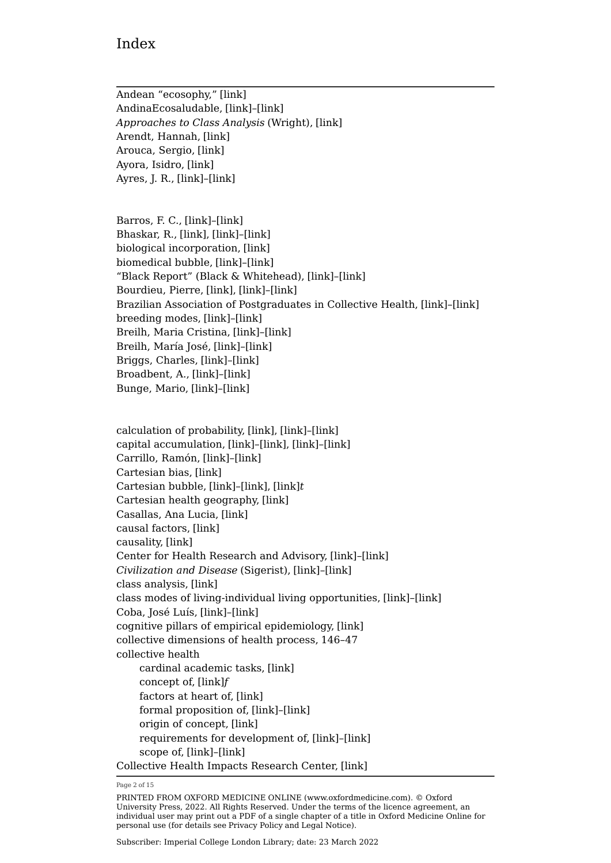Andean "ecosophy," [\[link\]](https://oxfordmedicine.com/view/10.1093/med/9780190492786.001.0001/med-9780190492786-chapter-4#med-9780190492786-chapter-4-div2-22) AndinaEcosaludable, [\[link\]](https://oxfordmedicine.com/view/10.1093/med/9780190492786.001.0001/med-9780190492786-chapter-4#med-9780190492786-chapter-4-div1-20)–[\[link\]](https://oxfordmedicine.com/view/10.1093/med/9780190492786.001.0001/med-9780190492786-chapter-4#med-9780190492786-chapter-4-div1-20) *Approaches to Class Analysis* (Wright), [\[link\]](https://oxfordmedicine.com/view/10.1093/med/9780190492786.001.0001/med-9780190492786-chapter-4#med-9780190492786-chapter-4-div2-16) Arendt, Hannah, [\[link\]](https://oxfordmedicine.com/view/10.1093/med/9780190492786.001.0001/med-9780190492786-chapter-3#med-9780190492786-chapter-3-div1-7) Arouca, Sergio, [\[link\]](https://oxfordmedicine.com/view/10.1093/med/9780190492786.001.0001/med-9780190492786-chapter-2#med-9780190492786-chapter-2-div2-3) Ayora, Isidro, [\[link\]](https://oxfordmedicine.com/view/10.1093/med/9780190492786.001.0001/med-9780190492786-chapter-2#med-9780190492786-chapter-2-div1-3) Ayres, J. R., [\[link\]](https://oxfordmedicine.com/view/10.1093/med/9780190492786.001.0001/med-9780190492786-chapter-3#med-9780190492786-chapter-3-div2-9)–[\[link\]](https://oxfordmedicine.com/view/10.1093/med/9780190492786.001.0001/med-9780190492786-chapter-3#med-9780190492786-chapter-3-div2-9)

Barros, F. C., [\[link\]](https://oxfordmedicine.com/view/10.1093/med/9780190492786.001.0001/med-9780190492786-chapter-3#med-9780190492786-chapter-3-div2-9)–[\[link\]](https://oxfordmedicine.com/view/10.1093/med/9780190492786.001.0001/med-9780190492786-chapter-3#med-9780190492786-chapter-3-div2-9) Bhaskar, R., [\[link\]](https://oxfordmedicine.com/view/10.1093/med/9780190492786.001.0001/med-9780190492786-chapter-3#med-9780190492786-chapter-3-div2-6), [\[link\]](https://oxfordmedicine.com/view/10.1093/med/9780190492786.001.0001/med-9780190492786-chapter-4#med-9780190492786-chapter-4-div2-12)–[\[link\]](https://oxfordmedicine.com/view/10.1093/med/9780190492786.001.0001/med-9780190492786-chapter-4#med-9780190492786-chapter-4-div2-12) biological incorporation, [\[link\]](https://oxfordmedicine.com/view/10.1093/med/9780190492786.001.0001/med-9780190492786-chapter-2#med-9780190492786-chapter-2-div2-3) biomedical bubble, [\[link\]](https://oxfordmedicine.com/view/10.1093/med/9780190492786.001.0001/med-9780190492786-chapter-2#med-9780190492786-chapter-2-div2-3)–[\[link\]](https://oxfordmedicine.com/view/10.1093/med/9780190492786.001.0001/med-9780190492786-chapter-2#med-9780190492786-chapter-2-div2-3) "Black Report" (Black & Whitehead), [\[link\]](https://oxfordmedicine.com/view/10.1093/med/9780190492786.001.0001/med-9780190492786-chapter-4#med-9780190492786-chapter-4-div2-16)–[\[link\]](https://oxfordmedicine.com/view/10.1093/med/9780190492786.001.0001/med-9780190492786-chapter-4#med-9780190492786-chapter-4-div2-16) Bourdieu, Pierre, [\[link\]](https://oxfordmedicine.com/view/10.1093/med/9780190492786.001.0001/med-9780190492786-chapter-3#med-9780190492786-chapter-3-div2-8), [\[link\]](https://oxfordmedicine.com/view/10.1093/med/9780190492786.001.0001/med-9780190492786-chapter-4#med-9780190492786-chapter-4-div2-16)–[\[link\]](https://oxfordmedicine.com/view/10.1093/med/9780190492786.001.0001/med-9780190492786-chapter-4#med-9780190492786-chapter-4-div2-16) Brazilian Association of Postgraduates in Collective Health, [\[link\]](https://oxfordmedicine.com/view/10.1093/med/9780190492786.001.0001/med-9780190492786-chapter-2#med-9780190492786-chapter-2-div2-3)–[\[link\]](https://oxfordmedicine.com/view/10.1093/med/9780190492786.001.0001/med-9780190492786-chapter-2#med-9780190492786-chapter-2-div2-3) breeding modes, [\[link\]](https://oxfordmedicine.com/view/10.1093/med/9780190492786.001.0001/med-9780190492786-chapter-3#med-9780190492786-chapter-3-div2-6)–[\[link\]](https://oxfordmedicine.com/view/10.1093/med/9780190492786.001.0001/med-9780190492786-chapter-3#med-9780190492786-chapter-3-div2-6) Breilh, Maria Cristina, [\[link\]](https://oxfordmedicine.com/view/10.1093/med/9780190492786.001.0001/med-9780190492786-chapter-4#med-9780190492786-chapter-4-div1-18)–[\[link\]](https://oxfordmedicine.com/view/10.1093/med/9780190492786.001.0001/med-9780190492786-chapter-4#med-9780190492786-chapter-4-div1-18) Breilh, María José, [\[link\]](https://oxfordmedicine.com/view/10.1093/med/9780190492786.001.0001/med-9780190492786-chapter-4#med-9780190492786-chapter-4-div1-20)–[\[link\]](https://oxfordmedicine.com/view/10.1093/med/9780190492786.001.0001/med-9780190492786-chapter-4#med-9780190492786-chapter-4-div1-20) Briggs, Charles, [\[link\]](https://oxfordmedicine.com/view/10.1093/med/9780190492786.001.0001/med-9780190492786-chapter-4#med-9780190492786-chapter-4-div2-14)–[\[link\]](https://oxfordmedicine.com/view/10.1093/med/9780190492786.001.0001/med-9780190492786-chapter-4#med-9780190492786-chapter-4-div2-14) Broadbent, A., [\[link\]](https://oxfordmedicine.com/view/10.1093/med/9780190492786.001.0001/med-9780190492786-chapter-3#med-9780190492786-chapter-3-div1-9)–[\[link\]](https://oxfordmedicine.com/view/10.1093/med/9780190492786.001.0001/med-9780190492786-chapter-3#med-9780190492786-chapter-3-div1-9) Bunge, Mario, [\[link\]](https://oxfordmedicine.com/view/10.1093/med/9780190492786.001.0001/med-9780190492786-chapter-3#med-9780190492786-chapter-3-div2-6)–[\[link\]](https://oxfordmedicine.com/view/10.1093/med/9780190492786.001.0001/med-9780190492786-chapter-3#med-9780190492786-chapter-3-div2-6)

calculation of probability, [\[link\]](https://oxfordmedicine.com/view/10.1093/med/9780190492786.001.0001/med-9780190492786-chapter-3#med-9780190492786-chapter-3-div1-10), [\[link\]](https://oxfordmedicine.com/view/10.1093/med/9780190492786.001.0001/med-9780190492786-chapter-3#med-9780190492786-chapter-3-div2-4)–[\[link\]](https://oxfordmedicine.com/view/10.1093/med/9780190492786.001.0001/med-9780190492786-chapter-3#med-9780190492786-chapter-3-div2-4) capital accumulation, [\[link\]](https://oxfordmedicine.com/view/10.1093/med/9780190492786.001.0001/med-9780190492786-chapter-3#med-9780190492786-chapter-3-div1-6)–[\[link\]](https://oxfordmedicine.com/view/10.1093/med/9780190492786.001.0001/med-9780190492786-chapter-3#med-9780190492786-chapter-3-div1-6), [\[link\]](https://oxfordmedicine.com/view/10.1093/med/9780190492786.001.0001/med-9780190492786-chapter-3#med-9780190492786-chapter-3-div2-6)–[\[link\]](https://oxfordmedicine.com/view/10.1093/med/9780190492786.001.0001/med-9780190492786-chapter-3#med-9780190492786-chapter-3-div2-6) Carrillo, Ramón, [\[link\]](https://oxfordmedicine.com/view/10.1093/med/9780190492786.001.0001/med-9780190492786-chapter-2#med-9780190492786-chapter-2-div1-3)–[\[link\]](https://oxfordmedicine.com/view/10.1093/med/9780190492786.001.0001/med-9780190492786-chapter-2#med-9780190492786-chapter-2-div1-3) Cartesian bias, [\[link\]](https://oxfordmedicine.com/view/10.1093/med/9780190492786.001.0001/med-9780190492786-chapter-3#med-9780190492786-chapter-3-div1-10) Cartesian bubble, [\[link\]](https://oxfordmedicine.com/view/10.1093/med/9780190492786.001.0001/med-9780190492786-chapter-3#med-9780190492786-chapter-3-div1-10)–[\[link\],](https://oxfordmedicine.com/view/10.1093/med/9780190492786.001.0001/med-9780190492786-chapter-3#med-9780190492786-chapter-3-div1-10) [\[link\]](https://oxfordmedicine.com/view/10.1093/med/9780190492786.001.0001/med-9780190492786-chapter-3#med-9780190492786-chapter-3-tableGroup-2)*t* Cartesian health geography, [\[link\]](https://oxfordmedicine.com/view/10.1093/med/9780190492786.001.0001/med-9780190492786-chapter-1#med-9780190492786-chapter-1-div1-1) Casallas, Ana Lucia, [\[link\]](https://oxfordmedicine.com/view/10.1093/med/9780190492786.001.0001/med-9780190492786-chapter-2#med-9780190492786-chapter-2-div2-3) causal factors, [\[link\]](https://oxfordmedicine.com/view/10.1093/med/9780190492786.001.0001/med-9780190492786-chapter-3#med-9780190492786-chapter-3-div2-6) causality, [\[link\]](https://oxfordmedicine.com/view/10.1093/med/9780190492786.001.0001/med-9780190492786-chapter-3#med-9780190492786-chapter-3-div2-6) Center for Health Research and Advisory, [\[link\]](https://oxfordmedicine.com/view/10.1093/med/9780190492786.001.0001/med-9780190492786-chapter-2#med-9780190492786-chapter-2-div2-3)–[\[link\]](https://oxfordmedicine.com/view/10.1093/med/9780190492786.001.0001/med-9780190492786-chapter-2#med-9780190492786-chapter-2-div2-3) *Civilization and Disease* (Sigerist), [\[link\]](https://oxfordmedicine.com/view/10.1093/med/9780190492786.001.0001/med-9780190492786-chapter-2#med-9780190492786-chapter-2-div1-3)–[\[link\]](https://oxfordmedicine.com/view/10.1093/med/9780190492786.001.0001/med-9780190492786-chapter-2#med-9780190492786-chapter-2-div1-3) class analysis, [\[link\]](https://oxfordmedicine.com/view/10.1093/med/9780190492786.001.0001/med-9780190492786-chapter-4#med-9780190492786-chapter-4-div2-16) class modes of living-individual living opportunities, [\[link\]](https://oxfordmedicine.com/view/10.1093/med/9780190492786.001.0001/med-9780190492786-chapter-4#med-9780190492786-chapter-4-div2-15)–[\[link\]](https://oxfordmedicine.com/view/10.1093/med/9780190492786.001.0001/med-9780190492786-chapter-4#med-9780190492786-chapter-4-div2-15) Coba, José Luís, [\[link\]](https://oxfordmedicine.com/view/10.1093/med/9780190492786.001.0001/med-9780190492786-chapter-4#med-9780190492786-chapter-4-div1-20)–[\[link\]](https://oxfordmedicine.com/view/10.1093/med/9780190492786.001.0001/med-9780190492786-chapter-4#med-9780190492786-chapter-4-div1-20) cognitive pillars of empirical epidemiology, [\[link\]](https://oxfordmedicine.com/view/10.1093/med/9780190492786.001.0001/med-9780190492786-chapter-1#med-9780190492786-chapter-1-div1-1) collective dimensions of health process, 146–47 collective health cardinal academic tasks, [\[link\]](https://oxfordmedicine.com/view/10.1093/med/9780190492786.001.0001/med-9780190492786-chapter-4#med-9780190492786-chapter-4-div1-19) concept of, [\[link\]](https://oxfordmedicine.com/view/10.1093/med/9780190492786.001.0001/med-9780190492786-chapter-2#med-9780190492786-chapter-2-figureGroup-2)*f* factors at heart of, [\[link\]](https://oxfordmedicine.com/view/10.1093/med/9780190492786.001.0001/med-9780190492786-chapter-3#med-9780190492786-chapter-3-div1-6) formal proposition of, [\[link\]](https://oxfordmedicine.com/view/10.1093/med/9780190492786.001.0001/med-9780190492786-chapter-2#med-9780190492786-chapter-2-div2-3)–[\[link\]](https://oxfordmedicine.com/view/10.1093/med/9780190492786.001.0001/med-9780190492786-chapter-2#med-9780190492786-chapter-2-div2-3) origin of concept, [\[link\]](https://oxfordmedicine.com/view/10.1093/med/9780190492786.001.0001/med-9780190492786-chapter-2#med-9780190492786-chapter-2-div2-1) requirements for development of, [\[link\]](https://oxfordmedicine.com/view/10.1093/med/9780190492786.001.0001/med-9780190492786-chapter-2#med-9780190492786-chapter-2-div2-1)–[\[link\]](https://oxfordmedicine.com/view/10.1093/med/9780190492786.001.0001/med-9780190492786-chapter-2#med-9780190492786-chapter-2-div2-1) scope of, [\[link\]](https://oxfordmedicine.com/view/10.1093/med/9780190492786.001.0001/med-9780190492786-chapter-2#med-9780190492786-chapter-2-div2-1)–[\[link\]](https://oxfordmedicine.com/view/10.1093/med/9780190492786.001.0001/med-9780190492786-chapter-2#med-9780190492786-chapter-2-div2-1) Collective Health Impacts Research Center, [\[link\]](https://oxfordmedicine.com/view/10.1093/med/9780190492786.001.0001/med-9780190492786-chapter-4#med-9780190492786-chapter-4-div2-10)

Page 2 of 15

PRINTED FROM OXFORD MEDICINE ONLINE (www.oxfordmedicine.com). © Oxford University Press, 2022. All Rights Reserved. Under the terms of the licence agreement, an individual user may print out a PDF of a single chapter of a title in Oxford Medicine Online for personal use (for details see [Privacy Policy](https://global.oup.com/privacy) and [Legal Notice](https://oxfordmedicine.com/page/legal-notice)).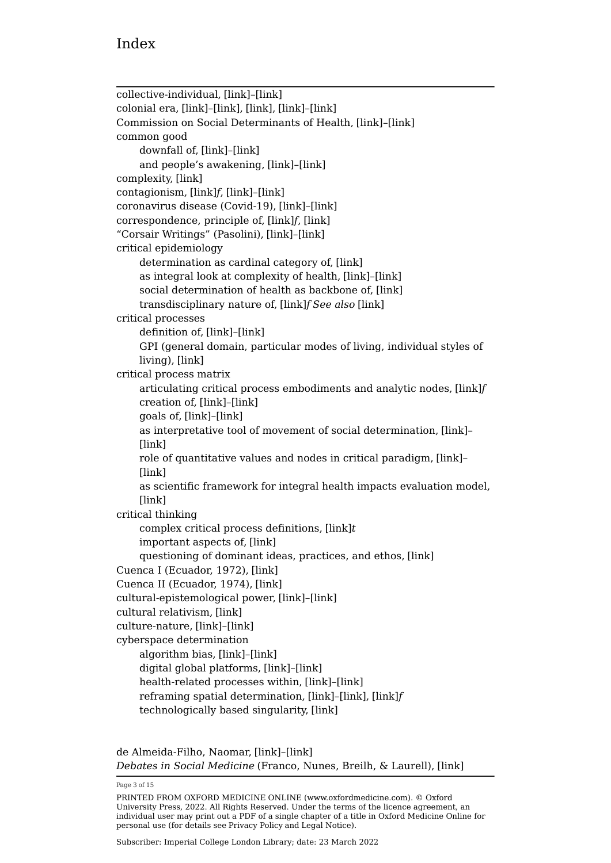collective-individual, [\[link\]](https://oxfordmedicine.com/view/10.1093/med/9780190492786.001.0001/med-9780190492786-chapter-3#med-9780190492786-chapter-3-div2-5)–[\[link\]](https://oxfordmedicine.com/view/10.1093/med/9780190492786.001.0001/med-9780190492786-chapter-3#med-9780190492786-chapter-3-div2-5) colonial era, [\[link\]](https://oxfordmedicine.com/view/10.1093/med/9780190492786.001.0001/med-9780190492786-chapter-2#med-9780190492786-chapter-2-div1-3)–[\[link\],](https://oxfordmedicine.com/view/10.1093/med/9780190492786.001.0001/med-9780190492786-chapter-2#med-9780190492786-chapter-2-div1-3) [\[link\]](https://oxfordmedicine.com/view/10.1093/med/9780190492786.001.0001/med-9780190492786-chapter-2#med-9780190492786-chapter-2-div2-2), [\[link\]](https://oxfordmedicine.com/view/10.1093/med/9780190492786.001.0001/med-9780190492786-chapter-3#med-9780190492786-chapter-3-div1-6)–[\[link\]](https://oxfordmedicine.com/view/10.1093/med/9780190492786.001.0001/med-9780190492786-chapter-3#med-9780190492786-chapter-3-div1-6) Commission on Social Determinants of Health, [\[link\]](https://oxfordmedicine.com/view/10.1093/med/9780190492786.001.0001/med-9780190492786-chapter-3#med-9780190492786-chapter-3-div2-7)–[\[link\]](https://oxfordmedicine.com/view/10.1093/med/9780190492786.001.0001/med-9780190492786-chapter-3#med-9780190492786-chapter-3-div2-7) common good downfall of, [\[link\]](https://oxfordmedicine.com/view/10.1093/med/9780190492786.001.0001/med-9780190492786-chapter-3#med-9780190492786-chapter-3-div1-7)–[\[link\]](https://oxfordmedicine.com/view/10.1093/med/9780190492786.001.0001/med-9780190492786-chapter-3#med-9780190492786-chapter-3-div1-7) and people's awakening, [\[link\]](https://oxfordmedicine.com/view/10.1093/med/9780190492786.001.0001/med-9780190492786-chapter-4#med-9780190492786-chapter-4-div1-16)–[\[link\]](https://oxfordmedicine.com/view/10.1093/med/9780190492786.001.0001/med-9780190492786-chapter-4#med-9780190492786-chapter-4-div1-16) complexity, [\[link\]](https://oxfordmedicine.com/view/10.1093/med/9780190492786.001.0001/med-9780190492786-chapter-3#med-9780190492786-chapter-3-div2-5) contagionism, [\[link\]](https://oxfordmedicine.com/view/10.1093/med/9780190492786.001.0001/med-9780190492786-chapter-2#med-9780190492786-chapter-2-figureGroup-1)*f*, [\[link\]](https://oxfordmedicine.com/view/10.1093/med/9780190492786.001.0001/med-9780190492786-chapter-2#med-9780190492786-chapter-2-div1-2)–[\[link\]](https://oxfordmedicine.com/view/10.1093/med/9780190492786.001.0001/med-9780190492786-chapter-2#med-9780190492786-chapter-2-div1-2) coronavirus disease (Covid-19), [\[link\]](https://oxfordmedicine.com/view/10.1093/med/9780190492786.001.0001/med-9780190492786-chapter-4#med-9780190492786-chapter-4-div1-16)–[\[link\]](https://oxfordmedicine.com/view/10.1093/med/9780190492786.001.0001/med-9780190492786-chapter-4#med-9780190492786-chapter-4-div1-16) correspondence, principle of, [\[link\]](https://oxfordmedicine.com/view/10.1093/med/9780190492786.001.0001/med-9780190492786-chapter-3#med-9780190492786-chapter-3-figureGroup-5)*f*, [\[link\]](https://oxfordmedicine.com/view/10.1093/med/9780190492786.001.0001/med-9780190492786-chapter-3#med-9780190492786-chapter-3-div2-4) "Corsair Writings" (Pasolini), [\[link\]](https://oxfordmedicine.com/view/10.1093/med/9780190492786.001.0001/med-9780190492786-chapter-3#med-9780190492786-chapter-3-div1-7)–[\[link\]](https://oxfordmedicine.com/view/10.1093/med/9780190492786.001.0001/med-9780190492786-chapter-3#med-9780190492786-chapter-3-div1-7) critical epidemiology determination as cardinal category of, [\[link\]](https://oxfordmedicine.com/view/10.1093/med/9780190492786.001.0001/med-9780190492786-chapter-3#med-9780190492786-chapter-3-div2-6) as integral look at complexity of health, [\[link\]](https://oxfordmedicine.com/view/10.1093/med/9780190492786.001.0001/med-9780190492786-chapter-4#med-9780190492786-chapter-4-div2-20)–[\[link\]](https://oxfordmedicine.com/view/10.1093/med/9780190492786.001.0001/med-9780190492786-chapter-4#med-9780190492786-chapter-4-div2-20) social determination of health as backbone of, [\[link\]](https://oxfordmedicine.com/view/10.1093/med/9780190492786.001.0001/med-9780190492786-chapter-3#med-9780190492786-chapter-3-div2-8) transdisciplinary nature of, [\[link\]](https://oxfordmedicine.com/view/10.1093/med/9780190492786.001.0001/med-9780190492786-chapter-4#med-9780190492786-chapter-4-figureGroup-15)*f See also* [\[link\]](https://oxfordmedicine.com/view/10.1093/med/9780190492786.001.0001/med-9780190492786-indexList-1#med-9780190492786-indexList-1-indexItem1-176) critical processes definition of, [\[link\]](https://oxfordmedicine.com/view/10.1093/med/9780190492786.001.0001/med-9780190492786-chapter-4#med-9780190492786-chapter-4-div2-10)–[\[link\]](https://oxfordmedicine.com/view/10.1093/med/9780190492786.001.0001/med-9780190492786-chapter-4#med-9780190492786-chapter-4-div2-10) GPI (general domain, particular modes of living, individual styles of living), [\[link\]](https://oxfordmedicine.com/view/10.1093/med/9780190492786.001.0001/med-9780190492786-chapter-3#med-9780190492786-chapter-3-div1-6) critical process matrix articulating critical process embodiments and analytic nodes, [\[link\]](https://oxfordmedicine.com/view/10.1093/med/9780190492786.001.0001/med-9780190492786-chapter-4#med-9780190492786-chapter-4-figureGroup-12)*f* creation of, [\[link\]](https://oxfordmedicine.com/view/10.1093/med/9780190492786.001.0001/med-9780190492786-chapter-4#med-9780190492786-chapter-4-div2-10)–[\[link\]](https://oxfordmedicine.com/view/10.1093/med/9780190492786.001.0001/med-9780190492786-chapter-4#med-9780190492786-chapter-4-div2-10) goals of, [\[link\]](https://oxfordmedicine.com/view/10.1093/med/9780190492786.001.0001/med-9780190492786-chapter-4#med-9780190492786-chapter-4-div2-11)–[\[link\]](https://oxfordmedicine.com/view/10.1093/med/9780190492786.001.0001/med-9780190492786-chapter-4#med-9780190492786-chapter-4-div2-11) as interpretative tool of movement of social determination, [\[link\]](https://oxfordmedicine.com/view/10.1093/med/9780190492786.001.0001/med-9780190492786-chapter-4#med-9780190492786-chapter-4-div2-11)– [\[link\]](https://oxfordmedicine.com/view/10.1093/med/9780190492786.001.0001/med-9780190492786-chapter-4#med-9780190492786-chapter-4-div2-11) role of quantitative values and nodes in critical paradigm, [\[link\]](https://oxfordmedicine.com/view/10.1093/med/9780190492786.001.0001/med-9780190492786-chapter-4#med-9780190492786-chapter-4-div2-12)– [\[link\]](https://oxfordmedicine.com/view/10.1093/med/9780190492786.001.0001/med-9780190492786-chapter-4#med-9780190492786-chapter-4-div2-12) as scientific framework for integral health impacts evaluation model, [\[link\]](https://oxfordmedicine.com/view/10.1093/med/9780190492786.001.0001/med-9780190492786-chapter-4#med-9780190492786-chapter-4-div2-10) critical thinking complex critical process definitions, [\[link\]](https://oxfordmedicine.com/view/10.1093/med/9780190492786.001.0001/med-9780190492786-chapter-3#med-9780190492786-chapter-3-tableGroup-2)*t* important aspects of, [\[link\]](https://oxfordmedicine.com/view/10.1093/med/9780190492786.001.0001/med-9780190492786-chapter-3#med-9780190492786-chapter-3-div1-9) questioning of dominant ideas, practices, and ethos, [\[link\]](https://oxfordmedicine.com/view/10.1093/med/9780190492786.001.0001/med-9780190492786-chapter-3#med-9780190492786-chapter-3-div1-9) Cuenca I (Ecuador, 1972), [\[link\]](https://oxfordmedicine.com/view/10.1093/med/9780190492786.001.0001/med-9780190492786-chapter-2#med-9780190492786-chapter-2-div2-3) Cuenca II (Ecuador, 1974), [\[link\]](https://oxfordmedicine.com/view/10.1093/med/9780190492786.001.0001/med-9780190492786-chapter-2#med-9780190492786-chapter-2-div2-3) cultural-epistemological power, [\[link\]](https://oxfordmedicine.com/view/10.1093/med/9780190492786.001.0001/med-9780190492786-chapter-4#med-9780190492786-chapter-4-div2-17)–[\[link\]](https://oxfordmedicine.com/view/10.1093/med/9780190492786.001.0001/med-9780190492786-chapter-4#med-9780190492786-chapter-4-div2-17) cultural relativism, [\[link\]](https://oxfordmedicine.com/view/10.1093/med/9780190492786.001.0001/med-9780190492786-chapter-1#med-9780190492786-chapter-1-div1-1) culture-nature, [\[link\]](https://oxfordmedicine.com/view/10.1093/med/9780190492786.001.0001/med-9780190492786-chapter-3#med-9780190492786-chapter-3-div2-5)–[\[link\]](https://oxfordmedicine.com/view/10.1093/med/9780190492786.001.0001/med-9780190492786-chapter-3#med-9780190492786-chapter-3-div2-5) cyberspace determination algorithm bias, [\[link\]](https://oxfordmedicine.com/view/10.1093/med/9780190492786.001.0001/med-9780190492786-chapter-3#med-9780190492786-chapter-3-div1-6)–[\[link\]](https://oxfordmedicine.com/view/10.1093/med/9780190492786.001.0001/med-9780190492786-chapter-3#med-9780190492786-chapter-3-div1-6) digital global platforms, [\[link\]](https://oxfordmedicine.com/view/10.1093/med/9780190492786.001.0001/med-9780190492786-chapter-3#med-9780190492786-chapter-3-div1-6)–[\[link\]](https://oxfordmedicine.com/view/10.1093/med/9780190492786.001.0001/med-9780190492786-chapter-3#med-9780190492786-chapter-3-div1-6) health-related processes within, [\[link\]](https://oxfordmedicine.com/view/10.1093/med/9780190492786.001.0001/med-9780190492786-chapter-3#med-9780190492786-chapter-3-div1-6)–[\[link\]](https://oxfordmedicine.com/view/10.1093/med/9780190492786.001.0001/med-9780190492786-chapter-3#med-9780190492786-chapter-3-div1-6) reframing spatial determination, [\[link\]](https://oxfordmedicine.com/view/10.1093/med/9780190492786.001.0001/med-9780190492786-chapter-4#med-9780190492786-chapter-4-div2-19)–[\[link\],](https://oxfordmedicine.com/view/10.1093/med/9780190492786.001.0001/med-9780190492786-chapter-4#med-9780190492786-chapter-4-div2-19) [\[link\]](https://oxfordmedicine.com/view/10.1093/med/9780190492786.001.0001/med-9780190492786-chapter-4#med-9780190492786-chapter-4-figureGroup-14)*f* technologically based singularity, [\[link\]](https://oxfordmedicine.com/view/10.1093/med/9780190492786.001.0001/med-9780190492786-chapter-3#med-9780190492786-chapter-3-div1-6)

de Almeida-Filho, Naomar, [\[link\]](https://oxfordmedicine.com/view/10.1093/med/9780190492786.001.0001/med-9780190492786-chapter-2#med-9780190492786-chapter-2-div2-3)–[\[link\]](https://oxfordmedicine.com/view/10.1093/med/9780190492786.001.0001/med-9780190492786-chapter-2#med-9780190492786-chapter-2-div2-3) *Debates in Social Medicine* (Franco, Nunes, Breilh, & Laurell), [\[link\]](https://oxfordmedicine.com/view/10.1093/med/9780190492786.001.0001/med-9780190492786-chapter-2#med-9780190492786-chapter-2-div2-3)

Page 3 of 15

PRINTED FROM OXFORD MEDICINE ONLINE (www.oxfordmedicine.com). © Oxford University Press, 2022. All Rights Reserved. Under the terms of the licence agreement, an individual user may print out a PDF of a single chapter of a title in Oxford Medicine Online for personal use (for details see [Privacy Policy](https://global.oup.com/privacy) and [Legal Notice](https://oxfordmedicine.com/page/legal-notice)).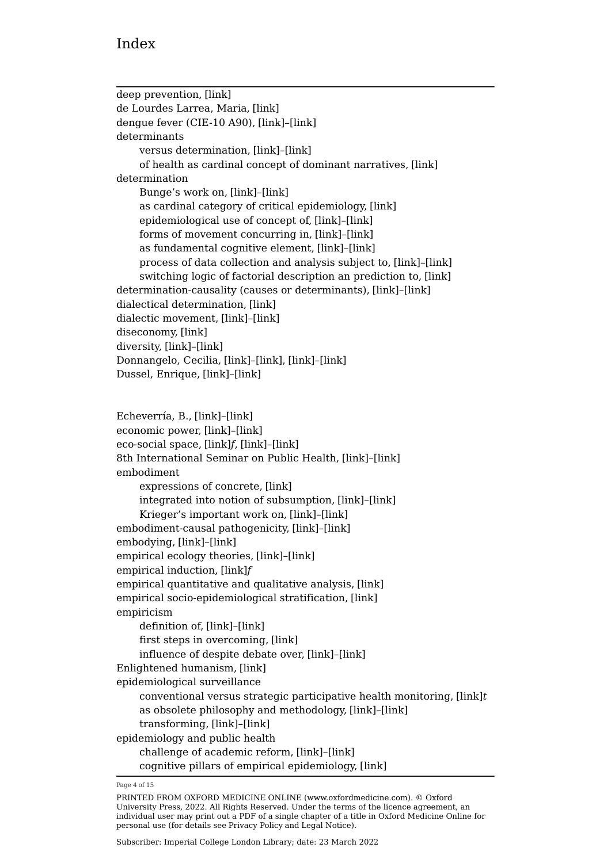deep prevention, [\[link\]](https://oxfordmedicine.com/view/10.1093/med/9780190492786.001.0001/med-9780190492786-chapter-4#med-9780190492786-chapter-4-div1-18) de Lourdes Larrea, Maria, [\[link\]](https://oxfordmedicine.com/view/10.1093/med/9780190492786.001.0001/med-9780190492786-chapter-4#med-9780190492786-chapter-4-div1-20) dengue fever (CIE-10 A90), [\[link\]](https://oxfordmedicine.com/view/10.1093/med/9780190492786.001.0001/med-9780190492786-chapter-4#med-9780190492786-chapter-4-div2-10)–[\[link\]](https://oxfordmedicine.com/view/10.1093/med/9780190492786.001.0001/med-9780190492786-chapter-4#med-9780190492786-chapter-4-div2-10) determinants versus determination, [\[link\]](https://oxfordmedicine.com/view/10.1093/med/9780190492786.001.0001/med-9780190492786-chapter-3#med-9780190492786-chapter-3-div2-7)–[\[link\]](https://oxfordmedicine.com/view/10.1093/med/9780190492786.001.0001/med-9780190492786-chapter-3#med-9780190492786-chapter-3-div2-7) of health as cardinal concept of dominant narratives, [\[link\]](https://oxfordmedicine.com/view/10.1093/med/9780190492786.001.0001/med-9780190492786-chapter-3#med-9780190492786-chapter-3-div2-6) determination Bunge's work on, [\[link\]](https://oxfordmedicine.com/view/10.1093/med/9780190492786.001.0001/med-9780190492786-chapter-3#med-9780190492786-chapter-3-div2-6)–[\[link\]](https://oxfordmedicine.com/view/10.1093/med/9780190492786.001.0001/med-9780190492786-chapter-3#med-9780190492786-chapter-3-div2-6) as cardinal category of critical epidemiology, [\[link\]](https://oxfordmedicine.com/view/10.1093/med/9780190492786.001.0001/med-9780190492786-chapter-3#med-9780190492786-chapter-3-div2-6) epidemiological use of concept of, [\[link\]](https://oxfordmedicine.com/view/10.1093/med/9780190492786.001.0001/med-9780190492786-chapter-3#med-9780190492786-chapter-3-div2-7)–[\[link\]](https://oxfordmedicine.com/view/10.1093/med/9780190492786.001.0001/med-9780190492786-chapter-3#med-9780190492786-chapter-3-div2-7) forms of movement concurring in, [\[link\]](https://oxfordmedicine.com/view/10.1093/med/9780190492786.001.0001/med-9780190492786-chapter-3#med-9780190492786-chapter-3-div2-6)–[\[link\]](https://oxfordmedicine.com/view/10.1093/med/9780190492786.001.0001/med-9780190492786-chapter-3#med-9780190492786-chapter-3-div2-6) as fundamental cognitive element, [\[link\]](https://oxfordmedicine.com/view/10.1093/med/9780190492786.001.0001/med-9780190492786-chapter-3#med-9780190492786-chapter-3-div2-6)–[\[link\]](https://oxfordmedicine.com/view/10.1093/med/9780190492786.001.0001/med-9780190492786-chapter-3#med-9780190492786-chapter-3-div2-6) process of data collection and analysis subject to, [\[link\]](https://oxfordmedicine.com/view/10.1093/med/9780190492786.001.0001/med-9780190492786-chapter-3#med-9780190492786-chapter-3-div2-6)–[\[link\]](https://oxfordmedicine.com/view/10.1093/med/9780190492786.001.0001/med-9780190492786-chapter-3#med-9780190492786-chapter-3-div2-6) switching logic of factorial description an prediction to, [\[link\]](https://oxfordmedicine.com/view/10.1093/med/9780190492786.001.0001/med-9780190492786-chapter-3#med-9780190492786-chapter-3-div2-9) determination-causality (causes or determinants), [\[link\]](https://oxfordmedicine.com/view/10.1093/med/9780190492786.001.0001/med-9780190492786-chapter-3#med-9780190492786-chapter-3-div2-5)–[\[link\]](https://oxfordmedicine.com/view/10.1093/med/9780190492786.001.0001/med-9780190492786-chapter-3#med-9780190492786-chapter-3-div2-5) dialectical determination, [\[link\]](https://oxfordmedicine.com/view/10.1093/med/9780190492786.001.0001/med-9780190492786-chapter-3#med-9780190492786-chapter-3-div2-6) dialectic movement, [\[link\]](https://oxfordmedicine.com/view/10.1093/med/9780190492786.001.0001/med-9780190492786-chapter-3#med-9780190492786-chapter-3-div2-5)–[\[link\]](https://oxfordmedicine.com/view/10.1093/med/9780190492786.001.0001/med-9780190492786-chapter-3#med-9780190492786-chapter-3-div2-5) diseconomy, [\[link\]](https://oxfordmedicine.com/view/10.1093/med/9780190492786.001.0001/med-9780190492786-chapter-1#med-9780190492786-chapter-1-div1-1) diversity, [\[link\]](https://oxfordmedicine.com/view/10.1093/med/9780190492786.001.0001/med-9780190492786-chapter-3#med-9780190492786-chapter-3-div2-5)–[\[link\]](https://oxfordmedicine.com/view/10.1093/med/9780190492786.001.0001/med-9780190492786-chapter-3#med-9780190492786-chapter-3-div2-5) Donnangelo, Cecilia, [\[link\]](https://oxfordmedicine.com/view/10.1093/med/9780190492786.001.0001/med-9780190492786-chapter-2#med-9780190492786-chapter-2-div2-3)–[\[link\]](https://oxfordmedicine.com/view/10.1093/med/9780190492786.001.0001/med-9780190492786-chapter-2#med-9780190492786-chapter-2-div2-3), [\[link\]](https://oxfordmedicine.com/view/10.1093/med/9780190492786.001.0001/med-9780190492786-chapter-3#med-9780190492786-chapter-3-div2-9)–[\[link\]](https://oxfordmedicine.com/view/10.1093/med/9780190492786.001.0001/med-9780190492786-chapter-3#med-9780190492786-chapter-3-div2-9) Dussel, Enrique, [\[link\]](https://oxfordmedicine.com/view/10.1093/med/9780190492786.001.0001/med-9780190492786-chapter-3#med-9780190492786-chapter-3-div1-5)–[\[link\]](https://oxfordmedicine.com/view/10.1093/med/9780190492786.001.0001/med-9780190492786-chapter-3#med-9780190492786-chapter-3-div1-5) Echeverría, B., [\[link\]](https://oxfordmedicine.com/view/10.1093/med/9780190492786.001.0001/med-9780190492786-chapter-3#med-9780190492786-chapter-3-div1-7)–[\[link\]](https://oxfordmedicine.com/view/10.1093/med/9780190492786.001.0001/med-9780190492786-chapter-3#med-9780190492786-chapter-3-div1-7) economic power, [\[link\]](https://oxfordmedicine.com/view/10.1093/med/9780190492786.001.0001/med-9780190492786-chapter-4#med-9780190492786-chapter-4-div2-17)–[\[link\]](https://oxfordmedicine.com/view/10.1093/med/9780190492786.001.0001/med-9780190492786-chapter-4#med-9780190492786-chapter-4-div2-17) eco-social space, [\[link\]](https://oxfordmedicine.com/view/10.1093/med/9780190492786.001.0001/med-9780190492786-chapter-4#med-9780190492786-chapter-4-figureGroup-14)*f*, [\[link\]](https://oxfordmedicine.com/view/10.1093/med/9780190492786.001.0001/med-9780190492786-chapter-4#med-9780190492786-chapter-4-div2-19)–[\[link\]](https://oxfordmedicine.com/view/10.1093/med/9780190492786.001.0001/med-9780190492786-chapter-4#med-9780190492786-chapter-4-div2-19) 8th International Seminar on Public Health, [\[link\]](https://oxfordmedicine.com/view/10.1093/med/9780190492786.001.0001/med-9780190492786-chapter-3#med-9780190492786-chapter-3-div2-5)–[\[link\]](https://oxfordmedicine.com/view/10.1093/med/9780190492786.001.0001/med-9780190492786-chapter-3#med-9780190492786-chapter-3-div2-5) embodiment expressions of concrete, [\[link\]](https://oxfordmedicine.com/view/10.1093/med/9780190492786.001.0001/med-9780190492786-chapter-2#med-9780190492786-chapter-2-div2-3) integrated into notion of subsumption, [\[link\]](https://oxfordmedicine.com/view/10.1093/med/9780190492786.001.0001/med-9780190492786-chapter-3#med-9780190492786-chapter-3-div2-6)–[\[link\]](https://oxfordmedicine.com/view/10.1093/med/9780190492786.001.0001/med-9780190492786-chapter-3#med-9780190492786-chapter-3-div2-6) Krieger's important work on, [\[link\]](https://oxfordmedicine.com/view/10.1093/med/9780190492786.001.0001/med-9780190492786-chapter-3#med-9780190492786-chapter-3-div2-5)–[\[link\]](https://oxfordmedicine.com/view/10.1093/med/9780190492786.001.0001/med-9780190492786-chapter-3#med-9780190492786-chapter-3-div2-5) embodiment-causal pathogenicity, [\[link\]](https://oxfordmedicine.com/view/10.1093/med/9780190492786.001.0001/med-9780190492786-chapter-3#med-9780190492786-chapter-3-div2-5)–[\[link\]](https://oxfordmedicine.com/view/10.1093/med/9780190492786.001.0001/med-9780190492786-chapter-3#med-9780190492786-chapter-3-div2-5) embodying, [\[link\]](https://oxfordmedicine.com/view/10.1093/med/9780190492786.001.0001/med-9780190492786-chapter-3#med-9780190492786-chapter-3-div2-6)–[\[link\]](https://oxfordmedicine.com/view/10.1093/med/9780190492786.001.0001/med-9780190492786-chapter-3#med-9780190492786-chapter-3-div2-6) empirical ecology theories, [\[link\]](https://oxfordmedicine.com/view/10.1093/med/9780190492786.001.0001/med-9780190492786-chapter-3#med-9780190492786-chapter-3-div2-6)–[\[link\]](https://oxfordmedicine.com/view/10.1093/med/9780190492786.001.0001/med-9780190492786-chapter-3#med-9780190492786-chapter-3-div2-6) empirical induction, [\[link\]](https://oxfordmedicine.com/view/10.1093/med/9780190492786.001.0001/med-9780190492786-chapter-3#med-9780190492786-chapter-3-figureGroup-5)*f* empirical quantitative and qualitative analysis, [\[link\]](https://oxfordmedicine.com/view/10.1093/med/9780190492786.001.0001/med-9780190492786-chapter-1#med-9780190492786-chapter-1-div1-1) empirical socio-epidemiological stratification, [\[link\]](https://oxfordmedicine.com/view/10.1093/med/9780190492786.001.0001/med-9780190492786-chapter-1#med-9780190492786-chapter-1-div1-1) empiricism definition of, [\[link\]](https://oxfordmedicine.com/view/10.1093/med/9780190492786.001.0001/med-9780190492786-chapter-3#med-9780190492786-chapter-3-div1-9)–[\[link\]](https://oxfordmedicine.com/view/10.1093/med/9780190492786.001.0001/med-9780190492786-chapter-3#med-9780190492786-chapter-3-div1-9) first steps in overcoming, [\[link\]](https://oxfordmedicine.com/view/10.1093/med/9780190492786.001.0001/med-9780190492786-chapter-2#med-9780190492786-chapter-2-div2-3) influence of despite debate over, [\[link\]](https://oxfordmedicine.com/view/10.1093/med/9780190492786.001.0001/med-9780190492786-chapter-3#med-9780190492786-chapter-3-div1-9)–[\[link\]](https://oxfordmedicine.com/view/10.1093/med/9780190492786.001.0001/med-9780190492786-chapter-3#med-9780190492786-chapter-3-div1-9) Enlightened humanism, [\[link\]](https://oxfordmedicine.com/view/10.1093/med/9780190492786.001.0001/med-9780190492786-chapter-2#med-9780190492786-chapter-2-div1-3)

epidemiological surveillance

conventional versus strategic participative health monitoring, [\[link\]](https://oxfordmedicine.com/view/10.1093/med/9780190492786.001.0001/med-9780190492786-chapter-4#med-9780190492786-chapter-4-tableGroup-9)*t* as obsolete philosophy and methodology, [\[link\]](https://oxfordmedicine.com/view/10.1093/med/9780190492786.001.0001/med-9780190492786-chapter-4#med-9780190492786-chapter-4-div2-11)–[\[link\]](https://oxfordmedicine.com/view/10.1093/med/9780190492786.001.0001/med-9780190492786-chapter-4#med-9780190492786-chapter-4-div2-11) transforming, [\[link\]](https://oxfordmedicine.com/view/10.1093/med/9780190492786.001.0001/med-9780190492786-chapter-4#med-9780190492786-chapter-4-div2-11)–[\[link\]](https://oxfordmedicine.com/view/10.1093/med/9780190492786.001.0001/med-9780190492786-chapter-4#med-9780190492786-chapter-4-div2-11) epidemiology and public health challenge of academic reform, [\[link\]](https://oxfordmedicine.com/view/10.1093/med/9780190492786.001.0001/med-9780190492786-chapter-4#med-9780190492786-chapter-4-div1-20)–[\[link\]](https://oxfordmedicine.com/view/10.1093/med/9780190492786.001.0001/med-9780190492786-chapter-4#med-9780190492786-chapter-4-div1-20) cognitive pillars of empirical epidemiology, [\[link\]](https://oxfordmedicine.com/view/10.1093/med/9780190492786.001.0001/med-9780190492786-chapter-1#med-9780190492786-chapter-1-div1-1)

Page 4 of 15

PRINTED FROM OXFORD MEDICINE ONLINE (www.oxfordmedicine.com). © Oxford University Press, 2022. All Rights Reserved. Under the terms of the licence agreement, an individual user may print out a PDF of a single chapter of a title in Oxford Medicine Online for personal use (for details see [Privacy Policy](https://global.oup.com/privacy) and [Legal Notice](https://oxfordmedicine.com/page/legal-notice)).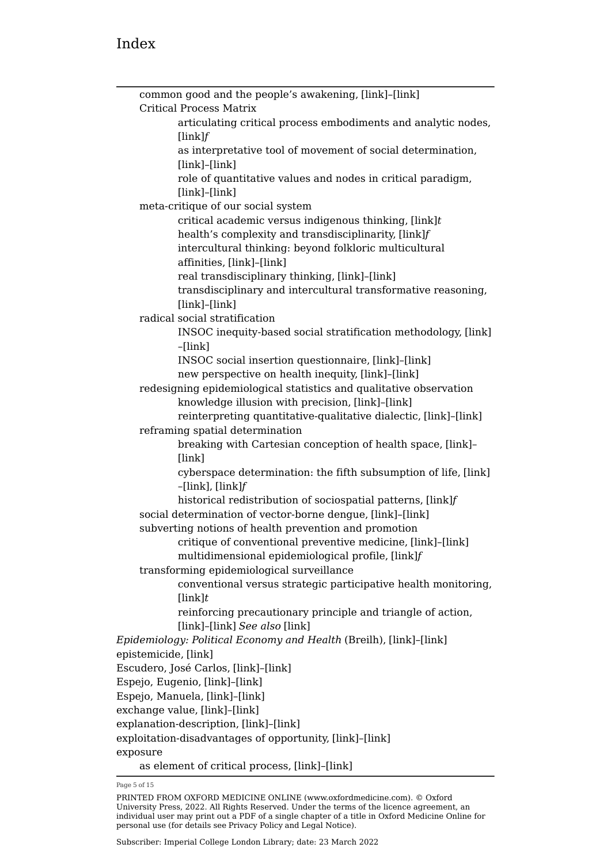common good and the people's awakening, [\[link\]](https://oxfordmedicine.com/view/10.1093/med/9780190492786.001.0001/med-9780190492786-chapter-4#med-9780190492786-chapter-4-div1-16)–[\[link\]](https://oxfordmedicine.com/view/10.1093/med/9780190492786.001.0001/med-9780190492786-chapter-4#med-9780190492786-chapter-4-div1-16) Critical Process Matrix articulating critical process embodiments and analytic nodes, [\[link\]](https://oxfordmedicine.com/view/10.1093/med/9780190492786.001.0001/med-9780190492786-chapter-4#med-9780190492786-chapter-4-figureGroup-12)*f* as interpretative tool of movement of social determination, [\[link\]](https://oxfordmedicine.com/view/10.1093/med/9780190492786.001.0001/med-9780190492786-chapter-4#med-9780190492786-chapter-4-div2-11)–[\[link\]](https://oxfordmedicine.com/view/10.1093/med/9780190492786.001.0001/med-9780190492786-chapter-4#med-9780190492786-chapter-4-div2-11) role of quantitative values and nodes in critical paradigm, [\[link\]](https://oxfordmedicine.com/view/10.1093/med/9780190492786.001.0001/med-9780190492786-chapter-4#med-9780190492786-chapter-4-div2-12)–[\[link\]](https://oxfordmedicine.com/view/10.1093/med/9780190492786.001.0001/med-9780190492786-chapter-4#med-9780190492786-chapter-4-div2-12) meta-critique of our social system critical academic versus indigenous thinking, [\[link\]](https://oxfordmedicine.com/view/10.1093/med/9780190492786.001.0001/med-9780190492786-chapter-4#med-9780190492786-chapter-4-tableGroup-8)*t* health's complexity and transdisciplinarity, [\[link\]](https://oxfordmedicine.com/view/10.1093/med/9780190492786.001.0001/med-9780190492786-chapter-4#med-9780190492786-chapter-4-figureGroup-15)*f* intercultural thinking: beyond folkloric multicultural affinities, [\[link\]](https://oxfordmedicine.com/view/10.1093/med/9780190492786.001.0001/med-9780190492786-chapter-4#med-9780190492786-chapter-4-div2-22)–[\[link\]](https://oxfordmedicine.com/view/10.1093/med/9780190492786.001.0001/med-9780190492786-chapter-4#med-9780190492786-chapter-4-div2-22) real transdisciplinary thinking, [\[link\]](https://oxfordmedicine.com/view/10.1093/med/9780190492786.001.0001/med-9780190492786-chapter-4#med-9780190492786-chapter-4-div2-21)–[\[link\]](https://oxfordmedicine.com/view/10.1093/med/9780190492786.001.0001/med-9780190492786-chapter-4#med-9780190492786-chapter-4-div2-21) transdisciplinary and intercultural transformative reasoning, [\[link\]](https://oxfordmedicine.com/view/10.1093/med/9780190492786.001.0001/med-9780190492786-chapter-4#med-9780190492786-chapter-4-div2-20)–[\[link\]](https://oxfordmedicine.com/view/10.1093/med/9780190492786.001.0001/med-9780190492786-chapter-4#med-9780190492786-chapter-4-div2-20) radical social stratification INSOC inequity-based social stratification methodology, [\[link\]](https://oxfordmedicine.com/view/10.1093/med/9780190492786.001.0001/med-9780190492786-chapter-4#med-9780190492786-chapter-4-div2-16) –[\[link\]](https://oxfordmedicine.com/view/10.1093/med/9780190492786.001.0001/med-9780190492786-chapter-4#med-9780190492786-chapter-4-div2-16) INSOC social insertion questionnaire, [\[link\]](https://oxfordmedicine.com/view/10.1093/med/9780190492786.001.0001/med-9780190492786-chapter-4#med-9780190492786-chapter-4-div2-17)–[\[link\]](https://oxfordmedicine.com/view/10.1093/med/9780190492786.001.0001/med-9780190492786-chapter-4#med-9780190492786-chapter-4-div2-17) new perspective on health inequity, [\[link\]](https://oxfordmedicine.com/view/10.1093/med/9780190492786.001.0001/med-9780190492786-chapter-4#med-9780190492786-chapter-4-div2-15)–[\[link\]](https://oxfordmedicine.com/view/10.1093/med/9780190492786.001.0001/med-9780190492786-chapter-4#med-9780190492786-chapter-4-div2-15) redesigning epidemiological statistics and qualitative observation knowledge illusion with precision, [\[link\]](https://oxfordmedicine.com/view/10.1093/med/9780190492786.001.0001/med-9780190492786-chapter-4#med-9780190492786-chapter-4-div2-13)–[\[link\]](https://oxfordmedicine.com/view/10.1093/med/9780190492786.001.0001/med-9780190492786-chapter-4#med-9780190492786-chapter-4-div2-13) reinterpreting quantitative-qualitative dialectic, [\[link\]](https://oxfordmedicine.com/view/10.1093/med/9780190492786.001.0001/med-9780190492786-chapter-4#med-9780190492786-chapter-4-div2-14)–[\[link\]](https://oxfordmedicine.com/view/10.1093/med/9780190492786.001.0001/med-9780190492786-chapter-4#med-9780190492786-chapter-4-div2-14) reframing spatial determination breaking with Cartesian conception of health space, [\[link\]](https://oxfordmedicine.com/view/10.1093/med/9780190492786.001.0001/med-9780190492786-chapter-4#med-9780190492786-chapter-4-div2-18)– [\[link\]](https://oxfordmedicine.com/view/10.1093/med/9780190492786.001.0001/med-9780190492786-chapter-4#med-9780190492786-chapter-4-div2-18) cyberspace determination: the fifth subsumption of life, [\[link\]](https://oxfordmedicine.com/view/10.1093/med/9780190492786.001.0001/med-9780190492786-chapter-4#med-9780190492786-chapter-4-div2-19) –[\[link\]](https://oxfordmedicine.com/view/10.1093/med/9780190492786.001.0001/med-9780190492786-chapter-4#med-9780190492786-chapter-4-div2-19), [\[link\]](https://oxfordmedicine.com/view/10.1093/med/9780190492786.001.0001/med-9780190492786-chapter-4#med-9780190492786-chapter-4-figureGroup-14)*f* historical redistribution of sociospatial patterns, [\[link\]](https://oxfordmedicine.com/view/10.1093/med/9780190492786.001.0001/med-9780190492786-chapter-4#med-9780190492786-chapter-4-figureGroup-13)*f* social determination of vector-borne dengue, [\[link\]](https://oxfordmedicine.com/view/10.1093/med/9780190492786.001.0001/med-9780190492786-chapter-4#med-9780190492786-chapter-4-div2-10)–[\[link\]](https://oxfordmedicine.com/view/10.1093/med/9780190492786.001.0001/med-9780190492786-chapter-4#med-9780190492786-chapter-4-div2-10) subverting notions of health prevention and promotion critique of conventional preventive medicine, [\[link\]](https://oxfordmedicine.com/view/10.1093/med/9780190492786.001.0001/med-9780190492786-chapter-4#med-9780190492786-chapter-4-div1-18)–[\[link\]](https://oxfordmedicine.com/view/10.1093/med/9780190492786.001.0001/med-9780190492786-chapter-4#med-9780190492786-chapter-4-div1-18) multidimensional epidemiological profile, [\[link\]](https://oxfordmedicine.com/view/10.1093/med/9780190492786.001.0001/med-9780190492786-chapter-4#med-9780190492786-chapter-4-figureGroup-16)*f* transforming epidemiological surveillance conventional versus strategic participative health monitoring, [\[link\]](https://oxfordmedicine.com/view/10.1093/med/9780190492786.001.0001/med-9780190492786-chapter-4#med-9780190492786-chapter-4-tableGroup-9)*t* reinforcing precautionary principle and triangle of action, [\[link\]](https://oxfordmedicine.com/view/10.1093/med/9780190492786.001.0001/med-9780190492786-chapter-4#med-9780190492786-chapter-4-div1-19)–[\[link\]](https://oxfordmedicine.com/view/10.1093/med/9780190492786.001.0001/med-9780190492786-chapter-4#med-9780190492786-chapter-4-div1-19) *See also* [\[link\]](https://oxfordmedicine.com/view/10.1093/med/9780190492786.001.0001/med-9780190492786-indexList-1#med-9780190492786-indexList-1-indexItem1-176) *Epidemiology: Political Economy and Health* (Breilh), [\[link\]](https://oxfordmedicine.com/view/10.1093/med/9780190492786.001.0001/med-9780190492786-chapter-3#med-9780190492786-chapter-3-div2-9)–[\[link\]](https://oxfordmedicine.com/view/10.1093/med/9780190492786.001.0001/med-9780190492786-chapter-3#med-9780190492786-chapter-3-div2-9) epistemicide, [\[link\]](https://oxfordmedicine.com/view/10.1093/med/9780190492786.001.0001/med-9780190492786-chapter-2#med-9780190492786-chapter-2-div1-3) Escudero, José Carlos, [\[link\]](https://oxfordmedicine.com/view/10.1093/med/9780190492786.001.0001/med-9780190492786-chapter-2#med-9780190492786-chapter-2-div2-3)–[\[link\]](https://oxfordmedicine.com/view/10.1093/med/9780190492786.001.0001/med-9780190492786-chapter-2#med-9780190492786-chapter-2-div2-3) Espejo, Eugenio, [\[link\]](https://oxfordmedicine.com/view/10.1093/med/9780190492786.001.0001/med-9780190492786-chapter-2#med-9780190492786-chapter-2-div1-3)–[\[link\]](https://oxfordmedicine.com/view/10.1093/med/9780190492786.001.0001/med-9780190492786-chapter-2#med-9780190492786-chapter-2-div1-3) Espejo, Manuela, [\[link\]](https://oxfordmedicine.com/view/10.1093/med/9780190492786.001.0001/med-9780190492786-chapter-2#med-9780190492786-chapter-2-div1-3)–[\[link\]](https://oxfordmedicine.com/view/10.1093/med/9780190492786.001.0001/med-9780190492786-chapter-2#med-9780190492786-chapter-2-div1-3) exchange value, [\[link\]](https://oxfordmedicine.com/view/10.1093/med/9780190492786.001.0001/med-9780190492786-chapter-3#med-9780190492786-chapter-3-div1-7)–[\[link\]](https://oxfordmedicine.com/view/10.1093/med/9780190492786.001.0001/med-9780190492786-chapter-3#med-9780190492786-chapter-3-div1-7) explanation-description, [\[link\]](https://oxfordmedicine.com/view/10.1093/med/9780190492786.001.0001/med-9780190492786-chapter-3#med-9780190492786-chapter-3-div2-5)–[\[link\]](https://oxfordmedicine.com/view/10.1093/med/9780190492786.001.0001/med-9780190492786-chapter-3#med-9780190492786-chapter-3-div2-5) exploitation-disadvantages of opportunity, [\[link\]](https://oxfordmedicine.com/view/10.1093/med/9780190492786.001.0001/med-9780190492786-chapter-4#med-9780190492786-chapter-4-div2-15)–[\[link\]](https://oxfordmedicine.com/view/10.1093/med/9780190492786.001.0001/med-9780190492786-chapter-4#med-9780190492786-chapter-4-div2-15) exposure

as element of critical process, [\[link\]](https://oxfordmedicine.com/view/10.1093/med/9780190492786.001.0001/med-9780190492786-chapter-4#med-9780190492786-chapter-4-div2-11)–[\[link\]](https://oxfordmedicine.com/view/10.1093/med/9780190492786.001.0001/med-9780190492786-chapter-4#med-9780190492786-chapter-4-div2-11)

Page 5 of 15

PRINTED FROM OXFORD MEDICINE ONLINE (www.oxfordmedicine.com). © Oxford University Press, 2022. All Rights Reserved. Under the terms of the licence agreement, an individual user may print out a PDF of a single chapter of a title in Oxford Medicine Online for personal use (for details see [Privacy Policy](https://global.oup.com/privacy) and [Legal Notice](https://oxfordmedicine.com/page/legal-notice)).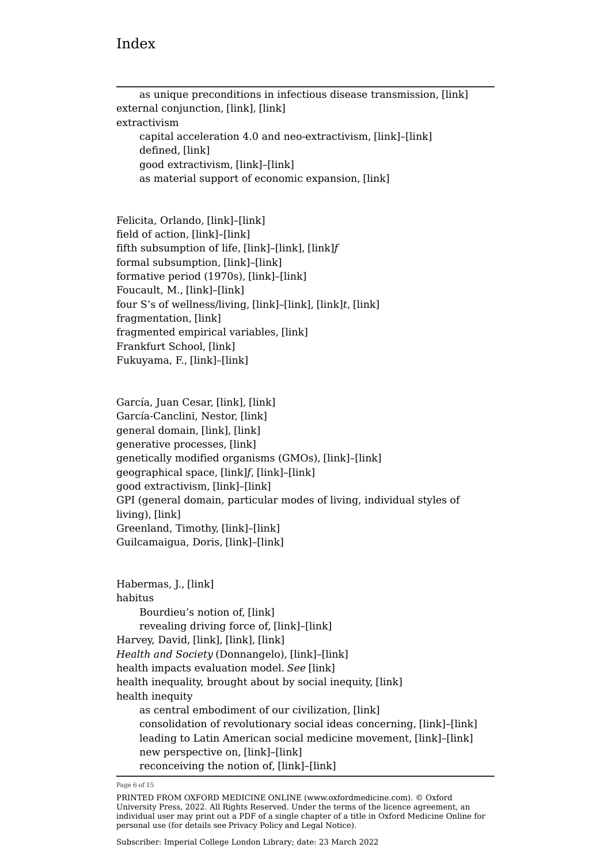$\overline{a}$ 

| as unique preconditions in infectious disease transmission, [link]<br>external conjunction, [link], [link] |
|------------------------------------------------------------------------------------------------------------|
| extractivism                                                                                               |
| capital acceleration 4.0 and neo-extractivism, [link]-[link]<br>defined, [link]                            |
| good extractivism, [link]-[link]                                                                           |
| as material support of economic expansion, [link]                                                          |
|                                                                                                            |
| Felicita, Orlando, [link]-[link]                                                                           |
| field of action, [link]-[link]                                                                             |
| fifth subsumption of life, [link]-[link], [link]f                                                          |
| formal subsumption, [link]-[link]                                                                          |
| formative period (1970s), [link]-[link]                                                                    |
| Foucault, M., [link]-[link]                                                                                |
| four S's of wellness/living, [link]-[link], [link]t, [link]                                                |
| fragmentation, [link]                                                                                      |
| fragmented empirical variables, [link]                                                                     |
| Frankfurt School, [link]                                                                                   |
| Fukuyama, F., [link]-[link]                                                                                |
|                                                                                                            |
| García, Juan Cesar, [link], [link]<br>García-Canclini, Nestor, [link]                                      |
| general domain, [link], [link]                                                                             |
| generative processes, [link]                                                                               |
| genetically modified organisms (GMOs), [link]-[link]                                                       |
| geographical space, [link]f, [link]-[link]                                                                 |
| good extractivism, [link]-[link]                                                                           |
| GPI (general domain, particular modes of living, individual styles of                                      |
| living), [link]                                                                                            |
| Greenland, Timothy, [link]-[link]                                                                          |
| Guilcamaigua, Doris, [link]-[link]                                                                         |
|                                                                                                            |
| Habermas, J., [link]                                                                                       |
| habitus                                                                                                    |
| Bourdieu's notion of, [link]                                                                               |
| revealing driving force of, [link]-[link]                                                                  |
| Harvey, David, [link], [link], [link]                                                                      |
| Health and Society (Donnangelo), [link]-[link]                                                             |
| health impacts evaluation model. See [link]<br>health inequality, brought about by social inequity, [link] |
| health inequity                                                                                            |
| as central embodiment of our civilization, [link]                                                          |
| consolidation of revolutionary social ideas concerning, [link]-[link]                                      |
| leading to Latin American social medicine movement, [link]-[link]                                          |
| new perspective on, [link]-[link]                                                                          |
| reconceiving the notion of, [link]-[link]                                                                  |

Page 6 of 15

PRINTED FROM OXFORD MEDICINE ONLINE (www.oxfordmedicine.com). © Oxford University Press, 2022. All Rights Reserved. Under the terms of the licence agreement, an individual user may print out a PDF of a single chapter of a title in Oxford Medicine Online for personal use (for details see [Privacy Policy](https://global.oup.com/privacy) and [Legal Notice](https://oxfordmedicine.com/page/legal-notice)).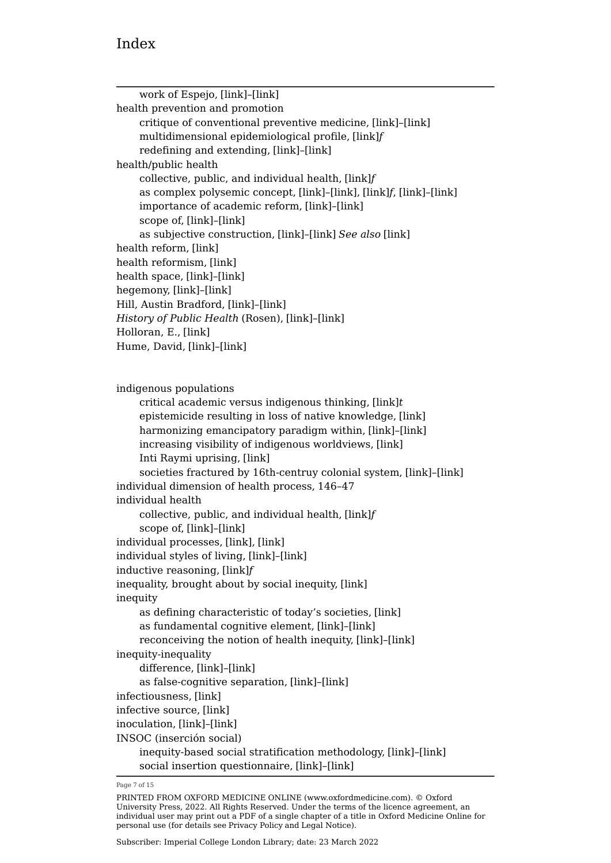| work of Espejo, [link]-[link]                                       |  |
|---------------------------------------------------------------------|--|
| health prevention and promotion                                     |  |
| critique of conventional preventive medicine, [link]-[link]         |  |
| multidimensional epidemiological profile, [link]f                   |  |
| redefining and extending, [link]-[link]                             |  |
| health/public health                                                |  |
| collective, public, and individual health, [link]f                  |  |
| as complex polysemic concept, [link]-[link], [link]f, [link]-[link] |  |
| importance of academic reform, [link]-[link]                        |  |
| scope of, [link]-[link]                                             |  |
| as subjective construction, [link]-[link] See also [link]           |  |
| health reform, [link]                                               |  |
| health reformism, [link]                                            |  |
| health space, [link]-[link]                                         |  |
| hegemony, [link]-[link]                                             |  |
| Hill, Austin Bradford, [link]-[link]                                |  |
| History of Public Health (Rosen), [link]-[link]                     |  |
| Holloran, E., [link]                                                |  |
| Hume, David, [link]-[link]                                          |  |
|                                                                     |  |
| indigenous populations                                              |  |
| critical academic versus indigenous thinking, [link]t               |  |
| epistemicide resulting in loss of native knowledge, [link]          |  |
| harmonizing emancipatory paradigm within, [link]-[link]             |  |
| increasing visibility of indigenous worldviews, [link]              |  |
| Inti Raymi uprising, [link]                                         |  |
| societies fractured by 16th-centruy colonial system, [link]-[link]  |  |
| individual dimension of health process, 146-47                      |  |
| individual health                                                   |  |
| collective, public, and individual health, [link]f                  |  |
| scope of, [link]-[link]                                             |  |
| individual processes, [link], [link]                                |  |
| individual styles of living, [link]-[link]                          |  |
| inductive reasoning, [link]f                                        |  |
| inequality, brought about by social inequity, [link]<br>inequity    |  |
| as defining characteristic of today's societies, [link]             |  |
| as fundamental cognitive element, [link]-[link]                     |  |
| reconceiving the notion of health inequity, [link]-[link]           |  |
| inequity-inequality                                                 |  |
| difference, [link]-[link]                                           |  |
| as false-cognitive separation, [link]-[link]                        |  |
| infectiousness, [link]                                              |  |
| infective source, [link]                                            |  |
| inoculation, [link]-[link]                                          |  |
| INSOC (inserción social)                                            |  |
| inequity-based social stratification methodology, [link]-[link]     |  |
|                                                                     |  |

social insertion questionnaire, [\[link\]](https://oxfordmedicine.com/view/10.1093/med/9780190492786.001.0001/med-9780190492786-chapter-4#med-9780190492786-chapter-4-div2-17)–[\[link\]](https://oxfordmedicine.com/view/10.1093/med/9780190492786.001.0001/med-9780190492786-chapter-4#med-9780190492786-chapter-4-div2-17)

Page 7 of 15

PRINTED FROM OXFORD MEDICINE ONLINE (www.oxfordmedicine.com). © Oxford University Press, 2022. All Rights Reserved. Under the terms of the licence agreement, an individual user may print out a PDF of a single chapter of a title in Oxford Medicine Online for personal use (for details see [Privacy Policy](https://global.oup.com/privacy) and [Legal Notice](https://oxfordmedicine.com/page/legal-notice)).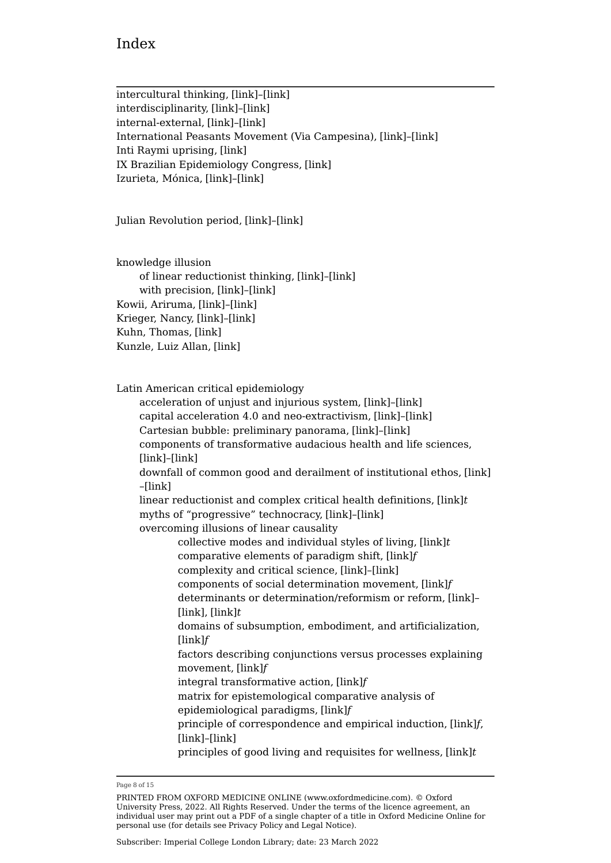intercultural thinking, [\[link\]](https://oxfordmedicine.com/view/10.1093/med/9780190492786.001.0001/med-9780190492786-chapter-4#med-9780190492786-chapter-4-div2-22)–[\[link\]](https://oxfordmedicine.com/view/10.1093/med/9780190492786.001.0001/med-9780190492786-chapter-4#med-9780190492786-chapter-4-div2-22) interdisciplinarity, [\[link\]](https://oxfordmedicine.com/view/10.1093/med/9780190492786.001.0001/med-9780190492786-chapter-4#med-9780190492786-chapter-4-div2-21)–[\[link\]](https://oxfordmedicine.com/view/10.1093/med/9780190492786.001.0001/med-9780190492786-chapter-4#med-9780190492786-chapter-4-div2-21) internal-external, [\[link\]](https://oxfordmedicine.com/view/10.1093/med/9780190492786.001.0001/med-9780190492786-chapter-3#med-9780190492786-chapter-3-div2-5)–[\[link\]](https://oxfordmedicine.com/view/10.1093/med/9780190492786.001.0001/med-9780190492786-chapter-3#med-9780190492786-chapter-3-div2-5) International Peasants Movement (Via Campesina), [\[link\]](https://oxfordmedicine.com/view/10.1093/med/9780190492786.001.0001/med-9780190492786-chapter-3#med-9780190492786-chapter-3-div1-6)–[\[link\]](https://oxfordmedicine.com/view/10.1093/med/9780190492786.001.0001/med-9780190492786-chapter-3#med-9780190492786-chapter-3-div1-6) Inti Raymi uprising, [\[link\]](https://oxfordmedicine.com/view/10.1093/med/9780190492786.001.0001/med-9780190492786-chapter-4#med-9780190492786-chapter-4-div2-22) IX Brazilian Epidemiology Congress, [\[link\]](https://oxfordmedicine.com/view/10.1093/med/9780190492786.001.0001/med-9780190492786-chapter-4#med-9780190492786-chapter-4-div2-19) Izurieta, Mónica, [\[link\]](https://oxfordmedicine.com/view/10.1093/med/9780190492786.001.0001/med-9780190492786-chapter-4#med-9780190492786-chapter-4-div1-20)–[\[link\]](https://oxfordmedicine.com/view/10.1093/med/9780190492786.001.0001/med-9780190492786-chapter-4#med-9780190492786-chapter-4-div1-20)

Julian Revolution period, [\[link\]](https://oxfordmedicine.com/view/10.1093/med/9780190492786.001.0001/med-9780190492786-chapter-2#med-9780190492786-chapter-2-div1-3)–[\[link\]](https://oxfordmedicine.com/view/10.1093/med/9780190492786.001.0001/med-9780190492786-chapter-2#med-9780190492786-chapter-2-div1-3)

knowledge illusion of linear reductionist thinking, [\[link\]](https://oxfordmedicine.com/view/10.1093/med/9780190492786.001.0001/med-9780190492786-chapter-3#med-9780190492786-chapter-3-div2-4)–[\[link\]](https://oxfordmedicine.com/view/10.1093/med/9780190492786.001.0001/med-9780190492786-chapter-3#med-9780190492786-chapter-3-div2-4) with precision, [\[link\]](https://oxfordmedicine.com/view/10.1093/med/9780190492786.001.0001/med-9780190492786-chapter-4#med-9780190492786-chapter-4-div2-13)–[\[link\]](https://oxfordmedicine.com/view/10.1093/med/9780190492786.001.0001/med-9780190492786-chapter-4#med-9780190492786-chapter-4-div2-13) Kowii, Ariruma, [\[link\]](https://oxfordmedicine.com/view/10.1093/med/9780190492786.001.0001/med-9780190492786-chapter-4#med-9780190492786-chapter-4-div2-22)–[\[link\]](https://oxfordmedicine.com/view/10.1093/med/9780190492786.001.0001/med-9780190492786-chapter-4#med-9780190492786-chapter-4-div2-22) Krieger, Nancy, [\[link\]](https://oxfordmedicine.com/view/10.1093/med/9780190492786.001.0001/med-9780190492786-chapter-3#med-9780190492786-chapter-3-div2-9)–[\[link\]](https://oxfordmedicine.com/view/10.1093/med/9780190492786.001.0001/med-9780190492786-chapter-3#med-9780190492786-chapter-3-div2-9) Kuhn, Thomas, [\[link\]](https://oxfordmedicine.com/view/10.1093/med/9780190492786.001.0001/med-9780190492786-chapter-2#med-9780190492786-chapter-2-div1-2) Kunzle, Luiz Allan, [\[link\]](https://oxfordmedicine.com/view/10.1093/med/9780190492786.001.0001/med-9780190492786-chapter-4#med-9780190492786-chapter-4-div1-20)

Latin American critical epidemiology

acceleration of unjust and injurious system, [\[link\]](https://oxfordmedicine.com/view/10.1093/med/9780190492786.001.0001/med-9780190492786-chapter-3#med-9780190492786-chapter-3-div1-5)–[\[link\]](https://oxfordmedicine.com/view/10.1093/med/9780190492786.001.0001/med-9780190492786-chapter-3#med-9780190492786-chapter-3-div1-5) capital acceleration 4.0 and neo-extractivism, [\[link\]](https://oxfordmedicine.com/view/10.1093/med/9780190492786.001.0001/med-9780190492786-chapter-3#med-9780190492786-chapter-3-div1-6)–[\[link\]](https://oxfordmedicine.com/view/10.1093/med/9780190492786.001.0001/med-9780190492786-chapter-3#med-9780190492786-chapter-3-div1-6) Cartesian bubble: preliminary panorama, [\[link\]](https://oxfordmedicine.com/view/10.1093/med/9780190492786.001.0001/med-9780190492786-chapter-3#med-9780190492786-chapter-3-div1-10)–[\[link\]](https://oxfordmedicine.com/view/10.1093/med/9780190492786.001.0001/med-9780190492786-chapter-3#med-9780190492786-chapter-3-div1-10) components of transformative audacious health and life sciences, [\[link\]](https://oxfordmedicine.com/view/10.1093/med/9780190492786.001.0001/med-9780190492786-chapter-3#med-9780190492786-chapter-3-div1-9)–[\[link\]](https://oxfordmedicine.com/view/10.1093/med/9780190492786.001.0001/med-9780190492786-chapter-3#med-9780190492786-chapter-3-div1-9) downfall of common good and derailment of institutional ethos, [\[link\]](https://oxfordmedicine.com/view/10.1093/med/9780190492786.001.0001/med-9780190492786-chapter-3#med-9780190492786-chapter-3-div1-7) –[\[link\]](https://oxfordmedicine.com/view/10.1093/med/9780190492786.001.0001/med-9780190492786-chapter-3#med-9780190492786-chapter-3-div1-7) linear reductionist and complex critical health definitions, [\[link\]](https://oxfordmedicine.com/view/10.1093/med/9780190492786.001.0001/med-9780190492786-chapter-3#med-9780190492786-chapter-3-tableGroup-2)*t* myths of "progressive" technocracy, [\[link\]](https://oxfordmedicine.com/view/10.1093/med/9780190492786.001.0001/med-9780190492786-chapter-3#med-9780190492786-chapter-3-div1-8)–[\[link\]](https://oxfordmedicine.com/view/10.1093/med/9780190492786.001.0001/med-9780190492786-chapter-3#med-9780190492786-chapter-3-div1-8) overcoming illusions of linear causality collective modes and individual styles of living, [\[link\]](https://oxfordmedicine.com/view/10.1093/med/9780190492786.001.0001/med-9780190492786-chapter-3#med-9780190492786-chapter-3-tableGroup-5)*t* comparative elements of paradigm shift, [\[link\]](https://oxfordmedicine.com/view/10.1093/med/9780190492786.001.0001/med-9780190492786-chapter-3#med-9780190492786-chapter-3-figureGroup-10)*f* complexity and critical science, [\[link\]](https://oxfordmedicine.com/view/10.1093/med/9780190492786.001.0001/med-9780190492786-chapter-3#med-9780190492786-chapter-3-div2-5)–[\[link\]](https://oxfordmedicine.com/view/10.1093/med/9780190492786.001.0001/med-9780190492786-chapter-3#med-9780190492786-chapter-3-div2-5) components of social determination movement, [\[link\]](https://oxfordmedicine.com/view/10.1093/med/9780190492786.001.0001/med-9780190492786-chapter-3#med-9780190492786-chapter-3-figureGroup-9)*f* determinants or determination/reformism or reform, [\[link\]](https://oxfordmedicine.com/view/10.1093/med/9780190492786.001.0001/med-9780190492786-chapter-3#med-9780190492786-chapter-3-div2-7)– [\[link\]](https://oxfordmedicine.com/view/10.1093/med/9780190492786.001.0001/med-9780190492786-chapter-3#med-9780190492786-chapter-3-div2-7), [\[link\]](https://oxfordmedicine.com/view/10.1093/med/9780190492786.001.0001/med-9780190492786-chapter-3#med-9780190492786-chapter-3-tableGroup-3)*t* domains of subsumption, embodiment, and artificialization, [\[link\]](https://oxfordmedicine.com/view/10.1093/med/9780190492786.001.0001/med-9780190492786-chapter-3#med-9780190492786-chapter-3-figureGroup-8)*f* factors describing conjunctions versus processes explaining movement, [\[link\]](https://oxfordmedicine.com/view/10.1093/med/9780190492786.001.0001/med-9780190492786-chapter-3#med-9780190492786-chapter-3-figureGroup-6)*f* integral transformative action, [\[link\]](https://oxfordmedicine.com/view/10.1093/med/9780190492786.001.0001/med-9780190492786-chapter-3#med-9780190492786-chapter-3-figureGroup-7)*f* matrix for epistemological comparative analysis of epidemiological paradigms, [\[link\]](https://oxfordmedicine.com/view/10.1093/med/9780190492786.001.0001/med-9780190492786-chapter-3#med-9780190492786-chapter-3-figureGroup-11)*f* principle of correspondence and empirical induction, [\[link\]](https://oxfordmedicine.com/view/10.1093/med/9780190492786.001.0001/med-9780190492786-chapter-3#med-9780190492786-chapter-3-figureGroup-5)*f*, [\[link\]](https://oxfordmedicine.com/view/10.1093/med/9780190492786.001.0001/med-9780190492786-chapter-3#med-9780190492786-chapter-3-div2-4)–[\[link\]](https://oxfordmedicine.com/view/10.1093/med/9780190492786.001.0001/med-9780190492786-chapter-3#med-9780190492786-chapter-3-div2-4) principles of good living and requisites for wellness, [\[link\]](https://oxfordmedicine.com/view/10.1093/med/9780190492786.001.0001/med-9780190492786-chapter-3#med-9780190492786-chapter-3-tableGroup-4)*t*

Page 8 of 15

PRINTED FROM OXFORD MEDICINE ONLINE (www.oxfordmedicine.com). © Oxford University Press, 2022. All Rights Reserved. Under the terms of the licence agreement, an individual user may print out a PDF of a single chapter of a title in Oxford Medicine Online for personal use (for details see [Privacy Policy](https://global.oup.com/privacy) and [Legal Notice](https://oxfordmedicine.com/page/legal-notice)).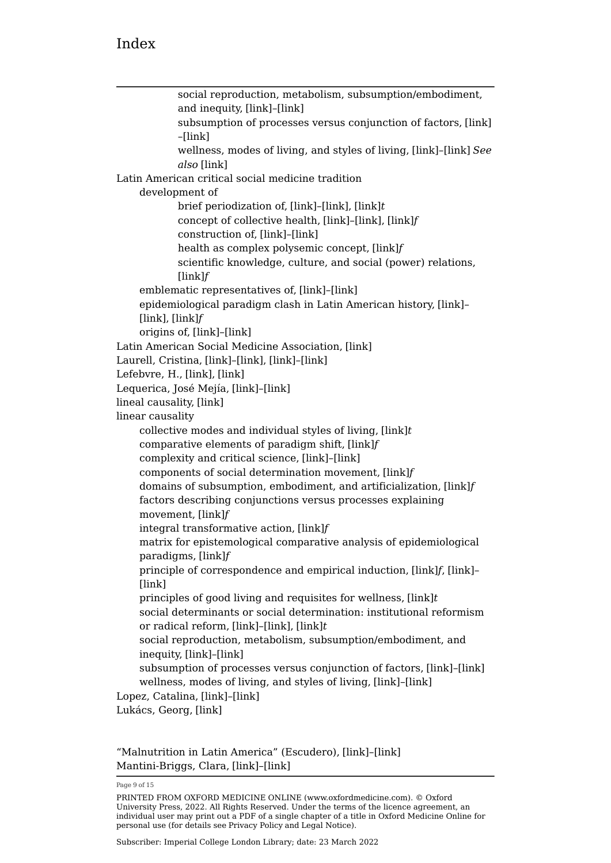| social reproduction, metabolism, subsumption/embodiment,                          |
|-----------------------------------------------------------------------------------|
| and inequity, [link]-[link]                                                       |
| subsumption of processes versus conjunction of factors, [link]<br>-[link]         |
| wellness, modes of living, and styles of living, [link]-[link] See<br>also [link] |
| Latin American critical social medicine tradition                                 |
| development of                                                                    |
| brief periodization of, [link]-[link], [link]t                                    |
| concept of collective health, [link]-[link], [link]f                              |
| construction of, [link]-[link]                                                    |
| health as complex polysemic concept, [link]f                                      |
| scientific knowledge, culture, and social (power) relations,                      |
| $[\ln k]$                                                                         |
| emblematic representatives of, [link]-[link]                                      |
| epidemiological paradigm clash in Latin American history, [link]-                 |
| [ $link$ ], [ $link$ ] $f$                                                        |
| origins of, [link]-[link]                                                         |
| Latin American Social Medicine Association, [link]                                |
| Laurell, Cristina, [link]-[link], [link]-[link]                                   |
| Lefebvre, H., [link], [link]                                                      |
| Lequerica, José Mejía, [link]-[link]                                              |
| lineal causality, [link]                                                          |
| linear causality                                                                  |
| collective modes and individual styles of living, [link]t                         |
| comparative elements of paradigm shift, [link]f                                   |
| complexity and critical science, [link]-[link]                                    |
| components of social determination movement, [link]f                              |
| domains of subsumption, embodiment, and artificialization, [link]f                |
| factors describing conjunctions versus processes explaining<br>movement, [link]f  |
| integral transformative action, [link]f                                           |
| matrix for epistemological comparative analysis of epidemiological                |
| paradigms, [link]f                                                                |
| principle of correspondence and empirical induction, [link]f, [link]-             |
| [link]                                                                            |
| principles of good living and requisites for wellness, [link]t                    |
| social determinants or social determination: institutional reformism              |
| or radical reform, [link]-[link], [link]t                                         |
| social reproduction, metabolism, subsumption/embodiment, and                      |
| inequity, [link]-[link]                                                           |
| subsumption of processes versus conjunction of factors, [link]-[link]             |
| wellness, modes of living, and styles of living, [link]-[link]                    |
| Lopez, Catalina, [link]-[link]                                                    |
| Lukács, Georg, [link]                                                             |
|                                                                                   |

"Malnutrition in Latin America" (Escudero), [\[link\]](https://oxfordmedicine.com/view/10.1093/med/9780190492786.001.0001/med-9780190492786-chapter-2#med-9780190492786-chapter-2-div2-3)–[\[link\]](https://oxfordmedicine.com/view/10.1093/med/9780190492786.001.0001/med-9780190492786-chapter-2#med-9780190492786-chapter-2-div2-3) Mantini-Briggs, Clara, [\[link\]](https://oxfordmedicine.com/view/10.1093/med/9780190492786.001.0001/med-9780190492786-chapter-4#med-9780190492786-chapter-4-div2-14)–[\[link\]](https://oxfordmedicine.com/view/10.1093/med/9780190492786.001.0001/med-9780190492786-chapter-4#med-9780190492786-chapter-4-div2-14)

Page 9 of 15

PRINTED FROM OXFORD MEDICINE ONLINE (www.oxfordmedicine.com). © Oxford University Press, 2022. All Rights Reserved. Under the terms of the licence agreement, an individual user may print out a PDF of a single chapter of a title in Oxford Medicine Online for personal use (for details see [Privacy Policy](https://global.oup.com/privacy) and [Legal Notice](https://oxfordmedicine.com/page/legal-notice)).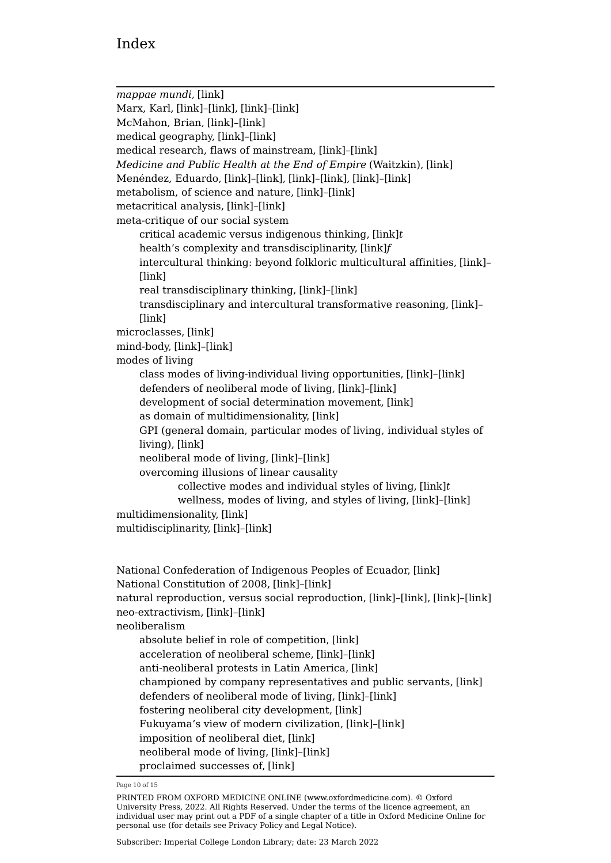*mappae mundi,* [\[link\]](https://oxfordmedicine.com/view/10.1093/med/9780190492786.001.0001/med-9780190492786-chapter-4#med-9780190492786-chapter-4-div2-18) Marx, Karl, [\[link\]](https://oxfordmedicine.com/view/10.1093/med/9780190492786.001.0001/med-9780190492786-chapter-3#med-9780190492786-chapter-3-div2-6)–[\[link\],](https://oxfordmedicine.com/view/10.1093/med/9780190492786.001.0001/med-9780190492786-chapter-3#med-9780190492786-chapter-3-div2-6) [\[link\]](https://oxfordmedicine.com/view/10.1093/med/9780190492786.001.0001/med-9780190492786-chapter-4#med-9780190492786-chapter-4-div2-19)–[\[link\]](https://oxfordmedicine.com/view/10.1093/med/9780190492786.001.0001/med-9780190492786-chapter-4#med-9780190492786-chapter-4-div2-19) McMahon, Brian, [\[link\]](https://oxfordmedicine.com/view/10.1093/med/9780190492786.001.0001/med-9780190492786-chapter-3#med-9780190492786-chapter-3-div2-6)–[\[link\]](https://oxfordmedicine.com/view/10.1093/med/9780190492786.001.0001/med-9780190492786-chapter-3#med-9780190492786-chapter-3-div2-6) medical geography, [\[link\]](https://oxfordmedicine.com/view/10.1093/med/9780190492786.001.0001/med-9780190492786-chapter-4#med-9780190492786-chapter-4-div2-18)–[\[link\]](https://oxfordmedicine.com/view/10.1093/med/9780190492786.001.0001/med-9780190492786-chapter-4#med-9780190492786-chapter-4-div2-18) medical research, flaws of mainstream, [\[link\]](https://oxfordmedicine.com/view/10.1093/med/9780190492786.001.0001/med-9780190492786-chapter-2#med-9780190492786-chapter-2-div2-3)–[\[link\]](https://oxfordmedicine.com/view/10.1093/med/9780190492786.001.0001/med-9780190492786-chapter-2#med-9780190492786-chapter-2-div2-3) *Medicine and Public Health at the End of Empire* (Waitzkin), [\[link\]](https://oxfordmedicine.com/view/10.1093/med/9780190492786.001.0001/med-9780190492786-chapter-2#med-9780190492786-chapter-2-div1-3) Menéndez, Eduardo, [\[link\]](https://oxfordmedicine.com/view/10.1093/med/9780190492786.001.0001/med-9780190492786-chapter-2#med-9780190492786-chapter-2-div2-3)–[\[link\]](https://oxfordmedicine.com/view/10.1093/med/9780190492786.001.0001/med-9780190492786-chapter-2#med-9780190492786-chapter-2-div2-3), [\[link\]](https://oxfordmedicine.com/view/10.1093/med/9780190492786.001.0001/med-9780190492786-chapter-3#med-9780190492786-chapter-3-div2-9)–[\[link\]](https://oxfordmedicine.com/view/10.1093/med/9780190492786.001.0001/med-9780190492786-chapter-3#med-9780190492786-chapter-3-div2-9), [\[link\]](https://oxfordmedicine.com/view/10.1093/med/9780190492786.001.0001/med-9780190492786-chapter-4#med-9780190492786-chapter-4-div2-14)–[\[link\]](https://oxfordmedicine.com/view/10.1093/med/9780190492786.001.0001/med-9780190492786-chapter-4#med-9780190492786-chapter-4-div2-14) metabolism, of science and nature, [\[link\]](https://oxfordmedicine.com/view/10.1093/med/9780190492786.001.0001/med-9780190492786-chapter-3#med-9780190492786-chapter-3-div2-6)–[\[link\]](https://oxfordmedicine.com/view/10.1093/med/9780190492786.001.0001/med-9780190492786-chapter-3#med-9780190492786-chapter-3-div2-6) metacritical analysis, [\[link\]](https://oxfordmedicine.com/view/10.1093/med/9780190492786.001.0001/med-9780190492786-chapter-4#med-9780190492786-chapter-4-div2-20)–[\[link\]](https://oxfordmedicine.com/view/10.1093/med/9780190492786.001.0001/med-9780190492786-chapter-4#med-9780190492786-chapter-4-div2-20) meta-critique of our social system critical academic versus indigenous thinking, [\[link\]](https://oxfordmedicine.com/view/10.1093/med/9780190492786.001.0001/med-9780190492786-chapter-4#med-9780190492786-chapter-4-tableGroup-8)*t* health's complexity and transdisciplinarity, [\[link\]](https://oxfordmedicine.com/view/10.1093/med/9780190492786.001.0001/med-9780190492786-chapter-4#med-9780190492786-chapter-4-figureGroup-15)*f* intercultural thinking: beyond folkloric multicultural affinities, [\[link\]](https://oxfordmedicine.com/view/10.1093/med/9780190492786.001.0001/med-9780190492786-chapter-4#med-9780190492786-chapter-4-div2-22)– [\[link\]](https://oxfordmedicine.com/view/10.1093/med/9780190492786.001.0001/med-9780190492786-chapter-4#med-9780190492786-chapter-4-div2-22) real transdisciplinary thinking, [\[link\]](https://oxfordmedicine.com/view/10.1093/med/9780190492786.001.0001/med-9780190492786-chapter-4#med-9780190492786-chapter-4-div2-21)–[\[link\]](https://oxfordmedicine.com/view/10.1093/med/9780190492786.001.0001/med-9780190492786-chapter-4#med-9780190492786-chapter-4-div2-21) transdisciplinary and intercultural transformative reasoning, [\[link\]](https://oxfordmedicine.com/view/10.1093/med/9780190492786.001.0001/med-9780190492786-chapter-4#med-9780190492786-chapter-4-div2-20)– [\[link\]](https://oxfordmedicine.com/view/10.1093/med/9780190492786.001.0001/med-9780190492786-chapter-4#med-9780190492786-chapter-4-div2-20) microclasses, [\[link\]](https://oxfordmedicine.com/view/10.1093/med/9780190492786.001.0001/med-9780190492786-chapter-4#med-9780190492786-chapter-4-div2-16) mind-body, [\[link\]](https://oxfordmedicine.com/view/10.1093/med/9780190492786.001.0001/med-9780190492786-chapter-3#med-9780190492786-chapter-3-div2-5)–[\[link\]](https://oxfordmedicine.com/view/10.1093/med/9780190492786.001.0001/med-9780190492786-chapter-3#med-9780190492786-chapter-3-div2-5) modes of living class modes of living-individual living opportunities, [\[link\]](https://oxfordmedicine.com/view/10.1093/med/9780190492786.001.0001/med-9780190492786-chapter-4#med-9780190492786-chapter-4-div2-15)–[\[link\]](https://oxfordmedicine.com/view/10.1093/med/9780190492786.001.0001/med-9780190492786-chapter-4#med-9780190492786-chapter-4-div2-15) defenders of neoliberal mode of living, [\[link\]](https://oxfordmedicine.com/view/10.1093/med/9780190492786.001.0001/med-9780190492786-chapter-3#med-9780190492786-chapter-3-div1-5)–[\[link\]](https://oxfordmedicine.com/view/10.1093/med/9780190492786.001.0001/med-9780190492786-chapter-3#med-9780190492786-chapter-3-div1-5) development of social determination movement, [\[link\]](https://oxfordmedicine.com/view/10.1093/med/9780190492786.001.0001/med-9780190492786-chapter-3#med-9780190492786-chapter-3-div2-5) as domain of multidimensionality, [\[link\]](https://oxfordmedicine.com/view/10.1093/med/9780190492786.001.0001/med-9780190492786-chapter-3#med-9780190492786-chapter-3-div2-5) GPI (general domain, particular modes of living, individual styles of living), [\[link\]](https://oxfordmedicine.com/view/10.1093/med/9780190492786.001.0001/med-9780190492786-chapter-3#med-9780190492786-chapter-3-div1-6) neoliberal mode of living, [\[link\]](https://oxfordmedicine.com/view/10.1093/med/9780190492786.001.0001/med-9780190492786-chapter-1#med-9780190492786-chapter-1-div1-1)–[\[link\]](https://oxfordmedicine.com/view/10.1093/med/9780190492786.001.0001/med-9780190492786-chapter-1#med-9780190492786-chapter-1-div1-1) overcoming illusions of linear causality collective modes and individual styles of living, [\[link\]](https://oxfordmedicine.com/view/10.1093/med/9780190492786.001.0001/med-9780190492786-chapter-3#med-9780190492786-chapter-3-tableGroup-5)*t* wellness, modes of living, and styles of living, [\[link\]](https://oxfordmedicine.com/view/10.1093/med/9780190492786.001.0001/med-9780190492786-chapter-3#med-9780190492786-chapter-3-div2-8)–[\[link\]](https://oxfordmedicine.com/view/10.1093/med/9780190492786.001.0001/med-9780190492786-chapter-3#med-9780190492786-chapter-3-div2-8) multidimensionality, [\[link\]](https://oxfordmedicine.com/view/10.1093/med/9780190492786.001.0001/med-9780190492786-chapter-3#med-9780190492786-chapter-3-div2-5) multidisciplinarity, [\[link\]](https://oxfordmedicine.com/view/10.1093/med/9780190492786.001.0001/med-9780190492786-chapter-4#med-9780190492786-chapter-4-div2-21)–[\[link\]](https://oxfordmedicine.com/view/10.1093/med/9780190492786.001.0001/med-9780190492786-chapter-4#med-9780190492786-chapter-4-div2-21)

National Confederation of Indigenous Peoples of Ecuador, [\[link\]](https://oxfordmedicine.com/view/10.1093/med/9780190492786.001.0001/med-9780190492786-chapter-4#med-9780190492786-chapter-4-div2-22) National Constitution of 2008, [\[link\]](https://oxfordmedicine.com/view/10.1093/med/9780190492786.001.0001/med-9780190492786-chapter-4#med-9780190492786-chapter-4-div2-22)–[\[link\]](https://oxfordmedicine.com/view/10.1093/med/9780190492786.001.0001/med-9780190492786-chapter-4#med-9780190492786-chapter-4-div2-22) natural reproduction, versus social reproduction, [\[link\]](https://oxfordmedicine.com/view/10.1093/med/9780190492786.001.0001/med-9780190492786-chapter-3#med-9780190492786-chapter-3-div2-6)–[\[link\]](https://oxfordmedicine.com/view/10.1093/med/9780190492786.001.0001/med-9780190492786-chapter-3#med-9780190492786-chapter-3-div2-6), [\[link\]](https://oxfordmedicine.com/view/10.1093/med/9780190492786.001.0001/med-9780190492786-chapter-3#med-9780190492786-chapter-3-div2-6)–[\[link\]](https://oxfordmedicine.com/view/10.1093/med/9780190492786.001.0001/med-9780190492786-chapter-3#med-9780190492786-chapter-3-div2-6) neo-extractivism, [\[link\]](https://oxfordmedicine.com/view/10.1093/med/9780190492786.001.0001/med-9780190492786-chapter-3#med-9780190492786-chapter-3-div1-6)–[\[link\]](https://oxfordmedicine.com/view/10.1093/med/9780190492786.001.0001/med-9780190492786-chapter-3#med-9780190492786-chapter-3-div1-6) neoliberalism absolute belief in role of competition, [\[link\]](https://oxfordmedicine.com/view/10.1093/med/9780190492786.001.0001/med-9780190492786-chapter-3#med-9780190492786-chapter-3-div1-5) acceleration of neoliberal scheme, [\[link\]](https://oxfordmedicine.com/view/10.1093/med/9780190492786.001.0001/med-9780190492786-chapter-3#med-9780190492786-chapter-3-div1-8)–[\[link\]](https://oxfordmedicine.com/view/10.1093/med/9780190492786.001.0001/med-9780190492786-chapter-3#med-9780190492786-chapter-3-div1-8) anti-neoliberal protests in Latin America, [\[link\]](https://oxfordmedicine.com/view/10.1093/med/9780190492786.001.0001/med-9780190492786-chapter-3#med-9780190492786-chapter-3-div1-6) championed by company representatives and public servants, [\[link\]](https://oxfordmedicine.com/view/10.1093/med/9780190492786.001.0001/med-9780190492786-chapter-2#med-9780190492786-chapter-2-div2-3) defenders of neoliberal mode of living, [\[link\]](https://oxfordmedicine.com/view/10.1093/med/9780190492786.001.0001/med-9780190492786-chapter-3#med-9780190492786-chapter-3-div1-5)–[\[link\]](https://oxfordmedicine.com/view/10.1093/med/9780190492786.001.0001/med-9780190492786-chapter-3#med-9780190492786-chapter-3-div1-5) fostering neoliberal city development, [\[link\]](https://oxfordmedicine.com/view/10.1093/med/9780190492786.001.0001/med-9780190492786-chapter-4#med-9780190492786-chapter-4-div1-18) Fukuyama's view of modern civilization, [\[link\]](https://oxfordmedicine.com/view/10.1093/med/9780190492786.001.0001/med-9780190492786-chapter-3#med-9780190492786-chapter-3-div1-5)–[\[link\]](https://oxfordmedicine.com/view/10.1093/med/9780190492786.001.0001/med-9780190492786-chapter-3#med-9780190492786-chapter-3-div1-5) imposition of neoliberal diet, [\[link\]](https://oxfordmedicine.com/view/10.1093/med/9780190492786.001.0001/med-9780190492786-chapter-1#med-9780190492786-chapter-1-div1-1) neoliberal mode of living, [\[link\]](https://oxfordmedicine.com/view/10.1093/med/9780190492786.001.0001/med-9780190492786-chapter-1#med-9780190492786-chapter-1-div1-1)–[\[link\]](https://oxfordmedicine.com/view/10.1093/med/9780190492786.001.0001/med-9780190492786-chapter-1#med-9780190492786-chapter-1-div1-1) proclaimed successes of, [\[link\]](https://oxfordmedicine.com/view/10.1093/med/9780190492786.001.0001/med-9780190492786-chapter-3#med-9780190492786-chapter-3-div1-5)

Page 10 of 15

PRINTED FROM OXFORD MEDICINE ONLINE (www.oxfordmedicine.com). © Oxford University Press, 2022. All Rights Reserved. Under the terms of the licence agreement, an individual user may print out a PDF of a single chapter of a title in Oxford Medicine Online for personal use (for details see [Privacy Policy](https://global.oup.com/privacy) and [Legal Notice](https://oxfordmedicine.com/page/legal-notice)).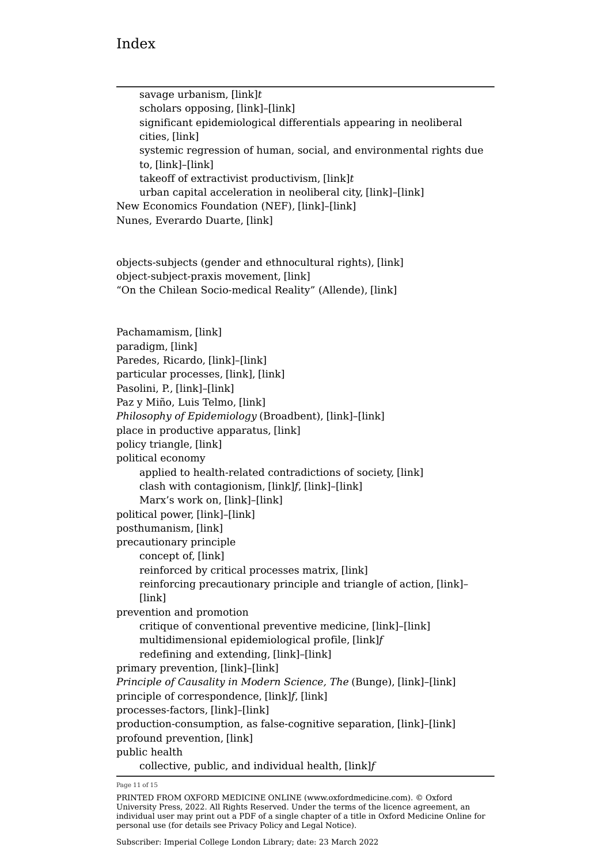savage urbanism, [\[link\]](https://oxfordmedicine.com/view/10.1093/med/9780190492786.001.0001/med-9780190492786-chapter-4#med-9780190492786-chapter-4-tableGroup-8)*t* scholars opposing, [\[link\]](https://oxfordmedicine.com/view/10.1093/med/9780190492786.001.0001/med-9780190492786-chapter-2#med-9780190492786-chapter-2-div1-3)–[\[link\]](https://oxfordmedicine.com/view/10.1093/med/9780190492786.001.0001/med-9780190492786-chapter-2#med-9780190492786-chapter-2-div1-3) significant epidemiological differentials appearing in neoliberal cities, [\[link\]](https://oxfordmedicine.com/view/10.1093/med/9780190492786.001.0001/med-9780190492786-chapter-3#med-9780190492786-chapter-3-div1-6) systemic regression of human, social, and environmental rights due to, [\[link\]](https://oxfordmedicine.com/view/10.1093/med/9780190492786.001.0001/med-9780190492786-chapter-1#med-9780190492786-chapter-1-div1-1)–[\[link\]](https://oxfordmedicine.com/view/10.1093/med/9780190492786.001.0001/med-9780190492786-chapter-1#med-9780190492786-chapter-1-div1-1) takeoff of extractivist productivism, [\[link\]](https://oxfordmedicine.com/view/10.1093/med/9780190492786.001.0001/med-9780190492786-chapter-2#med-9780190492786-chapter-2-tableGroup-1)*t* urban capital acceleration in neoliberal city, [\[link\]](https://oxfordmedicine.com/view/10.1093/med/9780190492786.001.0001/med-9780190492786-chapter-3#med-9780190492786-chapter-3-div1-6)–[\[link\]](https://oxfordmedicine.com/view/10.1093/med/9780190492786.001.0001/med-9780190492786-chapter-3#med-9780190492786-chapter-3-div1-6) New Economics Foundation (NEF), [\[link\]](https://oxfordmedicine.com/view/10.1093/med/9780190492786.001.0001/med-9780190492786-chapter-3#med-9780190492786-chapter-3-div2-8)–[\[link\]](https://oxfordmedicine.com/view/10.1093/med/9780190492786.001.0001/med-9780190492786-chapter-3#med-9780190492786-chapter-3-div2-8) Nunes, Everardo Duarte, [\[link\]](https://oxfordmedicine.com/view/10.1093/med/9780190492786.001.0001/med-9780190492786-chapter-2#med-9780190492786-chapter-2-div2-3) objects-subjects (gender and ethnocultural rights), [\[link\]](https://oxfordmedicine.com/view/10.1093/med/9780190492786.001.0001/med-9780190492786-chapter-2#med-9780190492786-chapter-2-div2-3) object-subject-praxis movement, [\[link\]](https://oxfordmedicine.com/view/10.1093/med/9780190492786.001.0001/med-9780190492786-chapter-1#med-9780190492786-chapter-1-div1-1) "On the Chilean Socio-medical Reality" (Allende), [\[link\]](https://oxfordmedicine.com/view/10.1093/med/9780190492786.001.0001/med-9780190492786-chapter-2#med-9780190492786-chapter-2-div1-3) Pachamamism, [\[link\]](https://oxfordmedicine.com/view/10.1093/med/9780190492786.001.0001/med-9780190492786-chapter-4#med-9780190492786-chapter-4-div2-22) paradigm, [\[link\]](https://oxfordmedicine.com/view/10.1093/med/9780190492786.001.0001/med-9780190492786-chapter-2#med-9780190492786-chapter-2-div1-2) Paredes, Ricardo, [\[link\]](https://oxfordmedicine.com/view/10.1093/med/9780190492786.001.0001/med-9780190492786-chapter-2#med-9780190492786-chapter-2-div1-3)–[\[link\]](https://oxfordmedicine.com/view/10.1093/med/9780190492786.001.0001/med-9780190492786-chapter-2#med-9780190492786-chapter-2-div1-3) particular processes, [\[link\],](https://oxfordmedicine.com/view/10.1093/med/9780190492786.001.0001/med-9780190492786-chapter-3#med-9780190492786-chapter-3-div2-6) [\[link\]](https://oxfordmedicine.com/view/10.1093/med/9780190492786.001.0001/med-9780190492786-chapter-4#med-9780190492786-chapter-4-div2-11) Pasolini, P., [\[link\]](https://oxfordmedicine.com/view/10.1093/med/9780190492786.001.0001/med-9780190492786-chapter-3#med-9780190492786-chapter-3-div1-7)–[\[link\]](https://oxfordmedicine.com/view/10.1093/med/9780190492786.001.0001/med-9780190492786-chapter-3#med-9780190492786-chapter-3-div1-7) Paz y Miño, Luis Telmo, [\[link\]](https://oxfordmedicine.com/view/10.1093/med/9780190492786.001.0001/med-9780190492786-chapter-2#med-9780190492786-chapter-2-div1-3) *Philosophy of Epidemiology* (Broadbent), [\[link\]](https://oxfordmedicine.com/view/10.1093/med/9780190492786.001.0001/med-9780190492786-chapter-3#med-9780190492786-chapter-3-div1-9)–[\[link\]](https://oxfordmedicine.com/view/10.1093/med/9780190492786.001.0001/med-9780190492786-chapter-3#med-9780190492786-chapter-3-div1-9) place in productive apparatus, [\[link\]](https://oxfordmedicine.com/view/10.1093/med/9780190492786.001.0001/med-9780190492786-chapter-4#med-9780190492786-chapter-4-div2-17) policy triangle, [\[link\]](https://oxfordmedicine.com/view/10.1093/med/9780190492786.001.0001/med-9780190492786-chapter-4#med-9780190492786-chapter-4-div1-19) political economy applied to health-related contradictions of society, [\[link\]](https://oxfordmedicine.com/view/10.1093/med/9780190492786.001.0001/med-9780190492786-chapter-2#med-9780190492786-chapter-2-div2-3) clash with contagionism, [\[link\]](https://oxfordmedicine.com/view/10.1093/med/9780190492786.001.0001/med-9780190492786-chapter-2#med-9780190492786-chapter-2-figureGroup-1)*f*, [\[link\]](https://oxfordmedicine.com/view/10.1093/med/9780190492786.001.0001/med-9780190492786-chapter-2#med-9780190492786-chapter-2-div1-2)–[\[link\]](https://oxfordmedicine.com/view/10.1093/med/9780190492786.001.0001/med-9780190492786-chapter-2#med-9780190492786-chapter-2-div1-2) Marx's work on, [\[link\]](https://oxfordmedicine.com/view/10.1093/med/9780190492786.001.0001/med-9780190492786-chapter-3#med-9780190492786-chapter-3-div2-6)–[\[link\]](https://oxfordmedicine.com/view/10.1093/med/9780190492786.001.0001/med-9780190492786-chapter-3#med-9780190492786-chapter-3-div2-6) political power, [\[link\]](https://oxfordmedicine.com/view/10.1093/med/9780190492786.001.0001/med-9780190492786-chapter-4#med-9780190492786-chapter-4-div2-17)–[\[link\]](https://oxfordmedicine.com/view/10.1093/med/9780190492786.001.0001/med-9780190492786-chapter-4#med-9780190492786-chapter-4-div2-17) posthumanism, [\[link\]](https://oxfordmedicine.com/view/10.1093/med/9780190492786.001.0001/med-9780190492786-chapter-3#med-9780190492786-chapter-3-div1-6) precautionary principle concept of, [\[link\]](https://oxfordmedicine.com/view/10.1093/med/9780190492786.001.0001/med-9780190492786-chapter-4#med-9780190492786-chapter-4-div1-19) reinforced by critical processes matrix, [\[link\]](https://oxfordmedicine.com/view/10.1093/med/9780190492786.001.0001/med-9780190492786-chapter-4#med-9780190492786-chapter-4-div2-11) reinforcing precautionary principle and triangle of action, [\[link\]](https://oxfordmedicine.com/view/10.1093/med/9780190492786.001.0001/med-9780190492786-chapter-4#med-9780190492786-chapter-4-div1-19)– [\[link\]](https://oxfordmedicine.com/view/10.1093/med/9780190492786.001.0001/med-9780190492786-chapter-4#med-9780190492786-chapter-4-div1-19) prevention and promotion critique of conventional preventive medicine, [\[link\]](https://oxfordmedicine.com/view/10.1093/med/9780190492786.001.0001/med-9780190492786-chapter-4#med-9780190492786-chapter-4-div1-18)–[\[link\]](https://oxfordmedicine.com/view/10.1093/med/9780190492786.001.0001/med-9780190492786-chapter-4#med-9780190492786-chapter-4-div1-18) multidimensional epidemiological profile, [\[link\]](https://oxfordmedicine.com/view/10.1093/med/9780190492786.001.0001/med-9780190492786-chapter-4#med-9780190492786-chapter-4-figureGroup-16)*f* redefining and extending, [\[link\]](https://oxfordmedicine.com/view/10.1093/med/9780190492786.001.0001/med-9780190492786-chapter-4#med-9780190492786-chapter-4-div1-18)–[\[link\]](https://oxfordmedicine.com/view/10.1093/med/9780190492786.001.0001/med-9780190492786-chapter-4#med-9780190492786-chapter-4-div1-18) primary prevention, [\[link\]](https://oxfordmedicine.com/view/10.1093/med/9780190492786.001.0001/med-9780190492786-chapter-4#med-9780190492786-chapter-4-div1-18)–[\[link\]](https://oxfordmedicine.com/view/10.1093/med/9780190492786.001.0001/med-9780190492786-chapter-4#med-9780190492786-chapter-4-div1-18) *Principle of Causality in Modern Science, The* (Bunge), [\[link\]](https://oxfordmedicine.com/view/10.1093/med/9780190492786.001.0001/med-9780190492786-chapter-3#med-9780190492786-chapter-3-div2-6)–[\[link\]](https://oxfordmedicine.com/view/10.1093/med/9780190492786.001.0001/med-9780190492786-chapter-3#med-9780190492786-chapter-3-div2-6) principle of correspondence, [\[link\]](https://oxfordmedicine.com/view/10.1093/med/9780190492786.001.0001/med-9780190492786-chapter-3#med-9780190492786-chapter-3-figureGroup-5)*f*, [\[link\]](https://oxfordmedicine.com/view/10.1093/med/9780190492786.001.0001/med-9780190492786-chapter-3#med-9780190492786-chapter-3-div2-4) processes-factors, [\[link\]](https://oxfordmedicine.com/view/10.1093/med/9780190492786.001.0001/med-9780190492786-chapter-3#med-9780190492786-chapter-3-div2-5)–[\[link\]](https://oxfordmedicine.com/view/10.1093/med/9780190492786.001.0001/med-9780190492786-chapter-3#med-9780190492786-chapter-3-div2-5) production-consumption, as false-cognitive separation, [\[link\]](https://oxfordmedicine.com/view/10.1093/med/9780190492786.001.0001/med-9780190492786-chapter-4#med-9780190492786-chapter-4-div2-15)–[\[link\]](https://oxfordmedicine.com/view/10.1093/med/9780190492786.001.0001/med-9780190492786-chapter-4#med-9780190492786-chapter-4-div2-15) profound prevention, [\[link\]](https://oxfordmedicine.com/view/10.1093/med/9780190492786.001.0001/med-9780190492786-chapter-4#med-9780190492786-chapter-4-div1-18) public health collective, public, and individual health, [\[link\]](https://oxfordmedicine.com/view/10.1093/med/9780190492786.001.0001/med-9780190492786-chapter-2#med-9780190492786-chapter-2-figureGroup-2)*f*

Page 11 of 15

PRINTED FROM OXFORD MEDICINE ONLINE (www.oxfordmedicine.com). © Oxford University Press, 2022. All Rights Reserved. Under the terms of the licence agreement, an individual user may print out a PDF of a single chapter of a title in Oxford Medicine Online for personal use (for details see [Privacy Policy](https://global.oup.com/privacy) and [Legal Notice](https://oxfordmedicine.com/page/legal-notice)).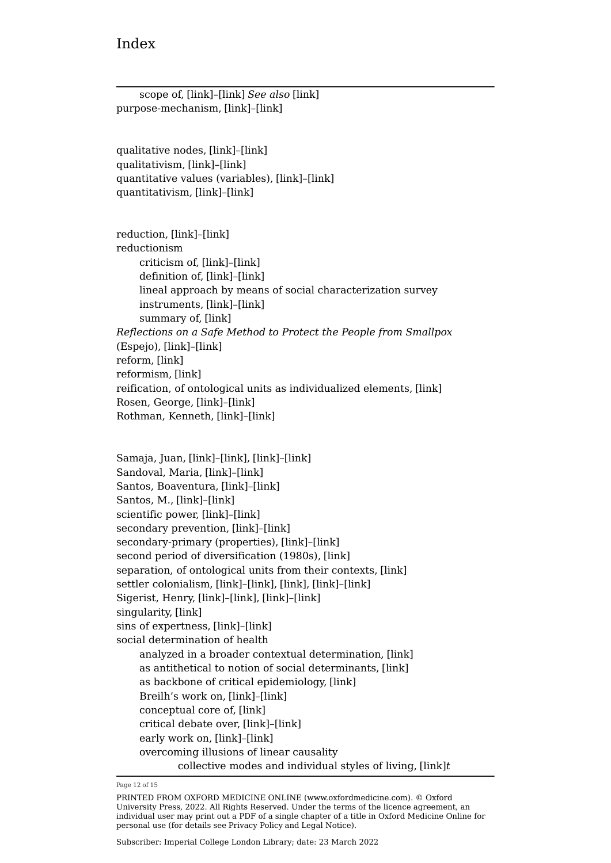| scope of, [link]-[link] See also [link]<br>purpose-mechanism, [link]-[link]                 |
|---------------------------------------------------------------------------------------------|
| qualitative nodes, [link]-[link]<br>qualitativism, [link]-[link]                            |
| quantitative values (variables), [link]-[link]<br>quantitativism, [link]-[link]             |
| reduction, [link]-[link]                                                                    |
| reductionism                                                                                |
| criticism of, [link]-[link]                                                                 |
| definition of, [link]-[link]                                                                |
| lineal approach by means of social characterization survey<br>instruments, [link]-[link]    |
| summary of, [link]                                                                          |
| Reflections on a Safe Method to Protect the People from Smallpox<br>(Espejo), [link]-[link] |
| reform, [link]                                                                              |
| reformism, [link]                                                                           |
| reification, of ontological units as individualized elements, [link]                        |
| Rosen, George, [link]-[link]                                                                |
| Rothman, Kenneth, [link]-[link]                                                             |
|                                                                                             |
|                                                                                             |
| Samaja, Juan, [link]-[link], [link]-[link]                                                  |
| Sandoval, Maria, [link]-[link]                                                              |
| Santos, Boaventura, [link]-[link]                                                           |
| Santos, M., [link]-[link]<br>scientific power, [link]-[link]                                |
| secondary prevention, [link]-[link]                                                         |
| secondary-primary (properties), [link]-[link]                                               |
| second period of diversification (1980s), [link]                                            |
| separation, of ontological units from their contexts, [link]                                |
| settler colonialism, [link]-[link], [link], [link]-[link]                                   |
| Sigerist, Henry, [link]-[link], [link]-[link]                                               |
| singularity, [link]                                                                         |
| sins of expertness, [link]-[link]                                                           |
| social determination of health                                                              |
| analyzed in a broader contextual determination, [link]                                      |
| as antithetical to notion of social determinants, [link]                                    |
| as backbone of critical epidemiology, [link]                                                |
| Breilh's work on, [link]-[link]                                                             |
| conceptual core of, [link]                                                                  |
| critical debate over, [link]-[link]                                                         |
| early work on, [link]-[link]                                                                |
| overcoming illusions of linear causality                                                    |
| collective modes and individual styles of living, [link]t                                   |

Page 12 of 15

PRINTED FROM OXFORD MEDICINE ONLINE (www.oxfordmedicine.com). © Oxford University Press, 2022. All Rights Reserved. Under the terms of the licence agreement, an individual user may print out a PDF of a single chapter of a title in Oxford Medicine Online for personal use (for details see [Privacy Policy](https://global.oup.com/privacy) and [Legal Notice](https://oxfordmedicine.com/page/legal-notice)).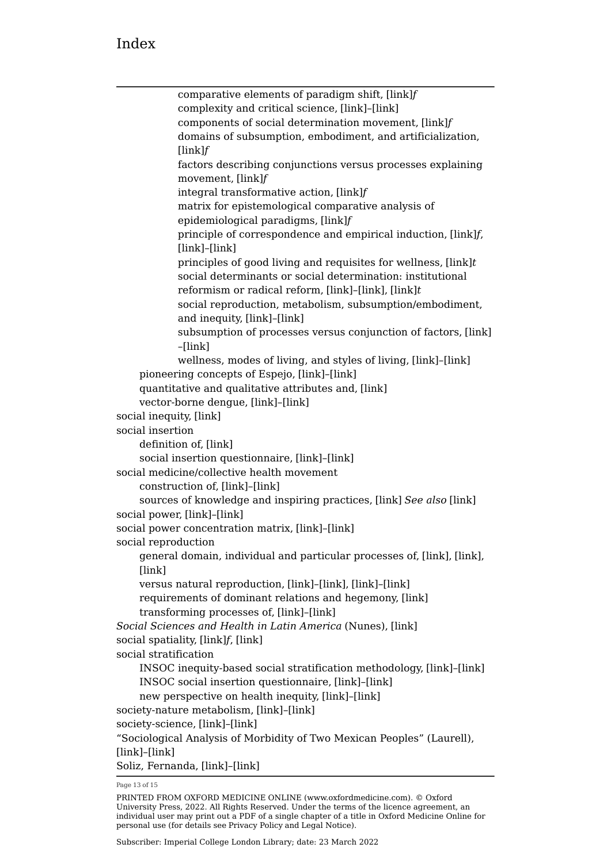```
comparative elements of paradigm shift, [link]f
            complexity and critical science, [link]–[link]
            components of social determination movement, [link]f
            domains of subsumption, embodiment, and artificialization,
            [link]f
            factors describing conjunctions versus processes explaining 
            movement, [link]f
            integral transformative action, [link]f
            matrix for epistemological comparative analysis of 
            epidemiological paradigms, [link]f
            principle of correspondence and empirical induction, [link]f,
            [link]–[link]
            principles of good living and requisites for wellness, [link]t
            social determinants or social determination: institutional 
            reformism or radical reform, [link]–[link], [link]t
            social reproduction, metabolism, subsumption/embodiment, 
            and inequity, [link]–[link]
            subsumption of processes versus conjunction of factors, [link]
            –[link]
            wellness, modes of living, and styles of living, [link]–[link]
    pioneering concepts of Espejo, [link]–[link]
    quantitative and qualitative attributes and, [link]
    vector-borne dengue, [link]–[link]
social inequity, [link]
social insertion
    definition of, [link]
    social insertion questionnaire, [link]–[link]
social medicine/collective health movement
    construction of, [link]–[link]
    sources of knowledge and inspiring practices, [link] See also [link]
social power, [link]–[link]
social power concentration matrix, [link]–[link]
social reproduction
    general domain, individual and particular processes of, [link], [link],
    [link]
    versus natural reproduction, [link]–[link], [link]–[link]
    requirements of dominant relations and hegemony, [link]
    transforming processes of, [link]–[link]
Social Sciences and Health in Latin America (Nunes), [link]
social spatiality, [link]f, [link]
social stratification
    INSOC inequity-based social stratification methodology, [link]–[link]
    INSOC social insertion questionnaire, [link]–[link]
    new perspective on health inequity, [link]–[link]
society-nature metabolism, [link]–[link]
society-science, [link]–[link]
"Sociological Analysis of Morbidity of Two Mexican Peoples" (Laurell),
[link]–[link]
Soliz, Fernanda, [link]–[link]
```
Page 13 of 15

PRINTED FROM OXFORD MEDICINE ONLINE (www.oxfordmedicine.com). © Oxford University Press, 2022. All Rights Reserved. Under the terms of the licence agreement, an individual user may print out a PDF of a single chapter of a title in Oxford Medicine Online for personal use (for details see [Privacy Policy](https://global.oup.com/privacy) and [Legal Notice](https://oxfordmedicine.com/page/legal-notice)).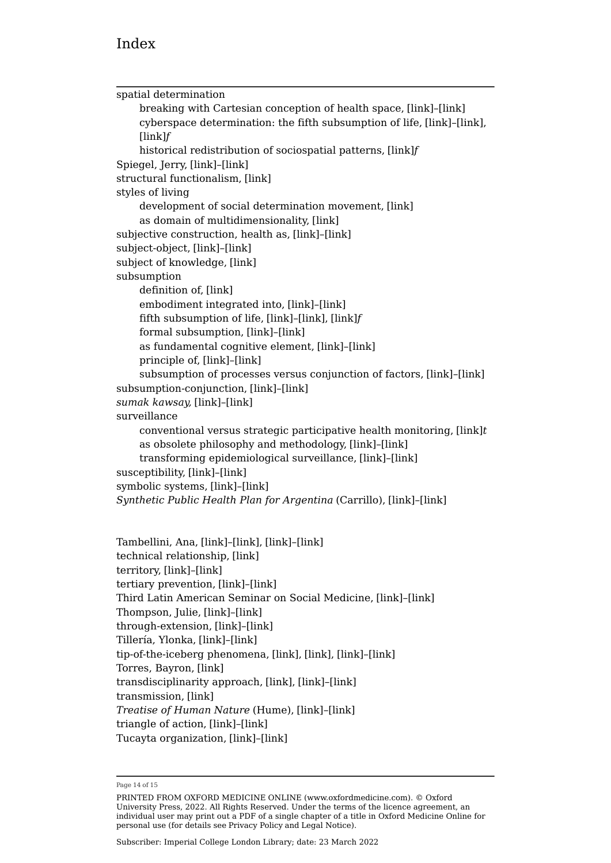```
spatial determination
    breaking with Cartesian conception of health space, [link]–[link]
    cyberspace determination: the fifth subsumption of life, [link]–[link],
    [link]f
    historical redistribution of sociospatial patterns, [link]f
Spiegel, Jerry, [link]–[link]
structural functionalism, [link]
styles of living
    development of social determination movement, [link]
    as domain of multidimensionality, [link]
subjective construction, health as, [link]–[link]
subject-object, [link]–[link]
subject of knowledge, [link]
subsumption
    [link]
    embodiment integrated into, [link]–[link]
    fifth subsumption of life, [link]–[link], [link]f
    formal subsumption, [link]–[link]
    as fundamental cognitive element, [link]–[link]
    principle of, [link]–[link]
    subsumption of processes versus conjunction of factors, [link]–[link]
subsumption-conjunction, [link]–[link]
sumak kawsay, [link]–[link]
surveillance
    conventional versus strategic participative health monitoring, [link]t
    as obsolete philosophy and methodology, [link]–[link]
    transforming epidemiological surveillance, [link]–[link]
susceptibility, [link]–[link]
symbolic systems, [link]–[link]
Synthetic Public Health Plan for Argentina (Carrillo), [link]–[link]
Tambellini, Ana, [link]–[link], [link]–[link]
technical relationship, [link]
territory, [link]–[link]
tertiary prevention, [link]–[link]
Third Latin American Seminar on Social Medicine, [link]–[link]
```
Thompson, Julie, [\[link\]](https://oxfordmedicine.com/view/10.1093/med/9780190492786.001.0001/med-9780190492786-chapter-4#med-9780190492786-chapter-4-div2-21)–[\[link\]](https://oxfordmedicine.com/view/10.1093/med/9780190492786.001.0001/med-9780190492786-chapter-4#med-9780190492786-chapter-4-div2-21) through-extension, [\[link\]](https://oxfordmedicine.com/view/10.1093/med/9780190492786.001.0001/med-9780190492786-chapter-3#med-9780190492786-chapter-3-div2-5)–[\[link\]](https://oxfordmedicine.com/view/10.1093/med/9780190492786.001.0001/med-9780190492786-chapter-3#med-9780190492786-chapter-3-div2-5) Tillería, Ylonka, [\[link\]](https://oxfordmedicine.com/view/10.1093/med/9780190492786.001.0001/med-9780190492786-chapter-4#med-9780190492786-chapter-4-div1-20)–[\[link\]](https://oxfordmedicine.com/view/10.1093/med/9780190492786.001.0001/med-9780190492786-chapter-4#med-9780190492786-chapter-4-div1-20) tip-of-the-iceberg phenomena, [\[link\]](https://oxfordmedicine.com/view/10.1093/med/9780190492786.001.0001/med-9780190492786-chapter-4#med-9780190492786-chapter-4-div2-13), [\[link\],](https://oxfordmedicine.com/view/10.1093/med/9780190492786.001.0001/med-9780190492786-chapter-4#med-9780190492786-chapter-4-div2-15) [\[link\]](https://oxfordmedicine.com/view/10.1093/med/9780190492786.001.0001/med-9780190492786-chapter-4#med-9780190492786-chapter-4-div1-16)–[\[link\]](https://oxfordmedicine.com/view/10.1093/med/9780190492786.001.0001/med-9780190492786-chapter-4#med-9780190492786-chapter-4-div1-16) Torres, Bayron, [\[link\]](https://oxfordmedicine.com/view/10.1093/med/9780190492786.001.0001/med-9780190492786-chapter-4#med-9780190492786-chapter-4-div1-20) transdisciplinarity approach, [\[link\],](https://oxfordmedicine.com/view/10.1093/med/9780190492786.001.0001/med-9780190492786-chapter-3#med-9780190492786-chapter-3-div2-5) [\[link\]](https://oxfordmedicine.com/view/10.1093/med/9780190492786.001.0001/med-9780190492786-chapter-4#med-9780190492786-chapter-4-div2-21)–[\[link\]](https://oxfordmedicine.com/view/10.1093/med/9780190492786.001.0001/med-9780190492786-chapter-4#med-9780190492786-chapter-4-div2-21) transmission, [\[link\]](https://oxfordmedicine.com/view/10.1093/med/9780190492786.001.0001/med-9780190492786-chapter-4#med-9780190492786-chapter-4-div2-10) *Treatise of Human Nature* (Hume), [\[link\]](https://oxfordmedicine.com/view/10.1093/med/9780190492786.001.0001/med-9780190492786-chapter-3#med-9780190492786-chapter-3-div2-6)–[\[link\]](https://oxfordmedicine.com/view/10.1093/med/9780190492786.001.0001/med-9780190492786-chapter-3#med-9780190492786-chapter-3-div2-6) triangle of action, [\[link\]](https://oxfordmedicine.com/view/10.1093/med/9780190492786.001.0001/med-9780190492786-chapter-4#med-9780190492786-chapter-4-div1-19)–[\[link\]](https://oxfordmedicine.com/view/10.1093/med/9780190492786.001.0001/med-9780190492786-chapter-4#med-9780190492786-chapter-4-div1-19) Tucayta organization, [\[link\]](https://oxfordmedicine.com/view/10.1093/med/9780190492786.001.0001/med-9780190492786-chapter-4#med-9780190492786-chapter-4-div2-22)–[\[link\]](https://oxfordmedicine.com/view/10.1093/med/9780190492786.001.0001/med-9780190492786-chapter-4#med-9780190492786-chapter-4-div2-22)

Page 14 of 15

PRINTED FROM OXFORD MEDICINE ONLINE (www.oxfordmedicine.com). © Oxford University Press, 2022. All Rights Reserved. Under the terms of the licence agreement, an individual user may print out a PDF of a single chapter of a title in Oxford Medicine Online for personal use (for details see [Privacy Policy](https://global.oup.com/privacy) and [Legal Notice](https://oxfordmedicine.com/page/legal-notice)).